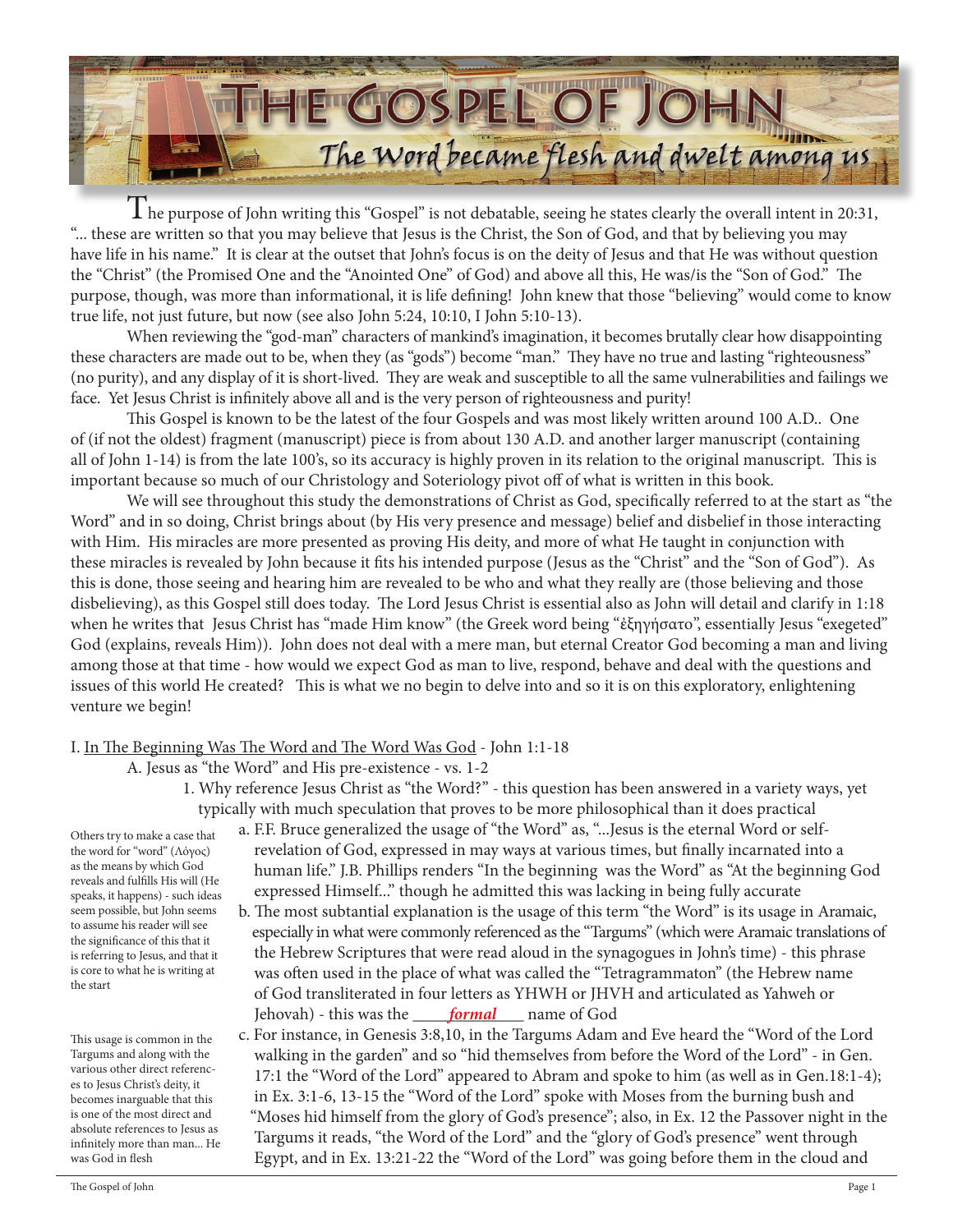

The purpose of John writing this "Gospel" is not debatable, seeing he states clearly the overall intent in 20:31, "... these are written so that you may believe that Jesus is the Christ, the Son of God, and that by believing you may have life in his name." It is clear at the outset that John's focus is on the deity of Jesus and that He was without question the "Christ" (the Promised One and the "Anointed One" of God) and above all this, He was/is the "Son of God." The purpose, though, was more than informational, it is life defining! John knew that those "believing" would come to know true life, not just future, but now (see also John 5:24, 10:10, I John 5:10-13).

When reviewing the "god-man" characters of mankind's imagination, it becomes brutally clear how disappointing these characters are made out to be, when they (as "gods") become "man." They have no true and lasting "righteousness" (no purity), and any display of it is short-lived. They are weak and susceptible to all the same vulnerabilities and failings we face. Yet Jesus Christ is infinitely above all and is the very person of righteousness and purity!

This Gospel is known to be the latest of the four Gospels and was most likely written around 100 A.D.. One of (if not the oldest) fragment (manuscript) piece is from about 130 A.D. and another larger manuscript (containing all of John 1-14) is from the late 100's, so its accuracy is highly proven in its relation to the original manuscript. This is important because so much of our Christology and Soteriology pivot off of what is written in this book.

We will see throughout this study the demonstrations of Christ as God, specifically referred to at the start as "the Word" and in so doing, Christ brings about (by His very presence and message) belief and disbelief in those interacting with Him. His miracles are more presented as proving His deity, and more of what He taught in conjunction with these miracles is revealed by John because it fits his intended purpose (Jesus as the "Christ" and the "Son of God"). As this is done, those seeing and hearing him are revealed to be who and what they really are (those believing and those disbelieving), as this Gospel still does today. The Lord Jesus Christ is essential also as John will detail and clarify in 1:18 when he writes that Jesus Christ has "made Him know" (the Greek word being "ἐξηγήσατο", essentially Jesus "exegeted" God (explains, reveals Him)). John does not deal with a mere man, but eternal Creator God becoming a man and living among those at that time - how would we expect God as man to live, respond, behave and deal with the questions and issues of this world He created? This is what we no begin to delve into and so it is on this exploratory, enlightening venture we begin!

# I. In The Beginning Was The Word and The Word Was God - John 1:1-18

A. Jesus as "the Word" and His pre-existence - vs. 1-2

 1. Why reference Jesus Christ as "the Word?" - this question has been answered in a variety ways, yet typically with much speculation that proves to be more philosophical than it does practical

Others try to make a case that the word for "word" (Λόγος) as the means by which God reveals and fulfills His will (He speaks, it happens) - such ideas seem possible, but John seems to assume his reader will see the significance of this that it is referring to Jesus, and that it is core to what he is writing at the start

This usage is common in the Targums and along with the various other direct references to Jesus Christ's deity, it becomes inarguable that this is one of the most direct and absolute references to Jesus as infinitely more than man... He was God in flesh

- a. F.F. Bruce generalized the usage of "the Word" as, "...Jesus is the eternal Word or self revelation of God, expressed in may ways at various times, but finally incarnated into a human life." J.B. Phillips renders "In the beginning was the Word" as "At the beginning God expressed Himself..." though he admitted this was lacking in being fully accurate
- b. The most subtantial explanation is the usage of this term "the Word" is its usage in Aramaic, especially in what were commonly referenced as the "Targums" (which were Aramaic translations of the Hebrew Scriptures that were read aloud in the synagogues in John's time) - this phrase was often used in the place of what was called the "Tetragrammaton" (the Hebrew name of God transliterated in four letters as YHWH or JHVH and articulated as Yahweh or Jehovah) - this was the <u>\_\_\_\_\_\_\_\_\_\_\_\_\_\_\_\_\_\_\_\_\_\_\_\_</u>\_ name of God
	- c. For instance, in Genesis 3:8,10, in the Targums Adam and Eve heard the "Word of the Lord walking in the garden" and so "hid themselves from before the Word of the Lord" - in Gen. 17:1 the "Word of the Lord" appeared to Abram and spoke to him (as well as in Gen.18:1-4); in Ex. 3:1-6, 13-15 the "Word of the Lord" spoke with Moses from the burning bush and "Moses hid himself from the glory of God's presence"; also, in Ex. 12 the Passover night in the Targums it reads, "the Word of the Lord" and the "glory of God's presence" went through Egypt, and in Ex. 13:21-22 the "Word of the Lord" was going before them in the cloud and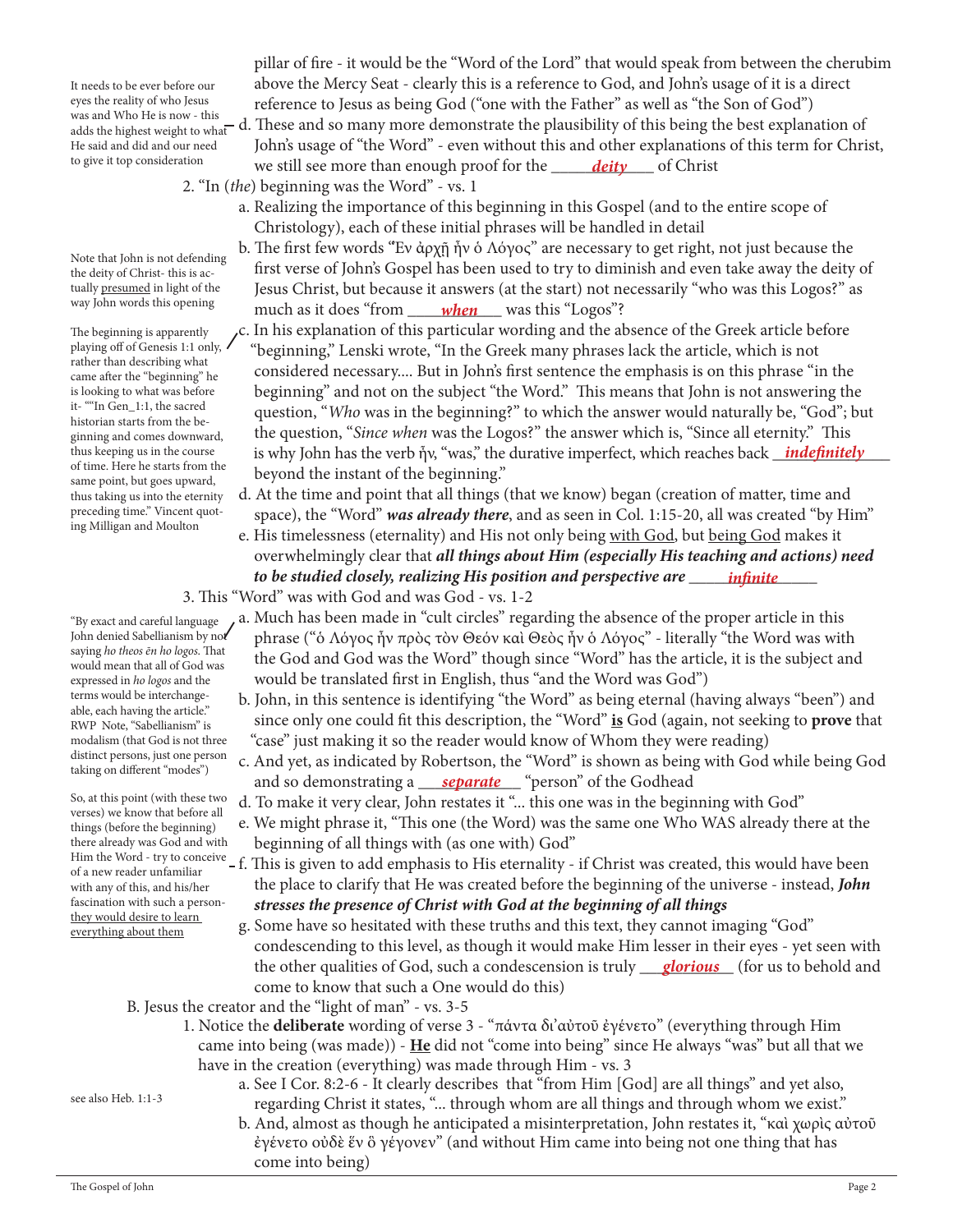It needs to be ever before our eyes the reality of who Jesus adds the highest weight to what He said and did and our need to give it top consideration

Note that John is not defending the deity of Christ- this is actually presumed in light of the way John words this opening

The beginning is apparently playing off of Genesis 1:1 only, rather than describing what came after the "beginning" he is looking to what was before it- ""In Gen\_1:1, the sacred historian starts from the beginning and comes downward, thus keeping us in the course of time. Here he starts from the same point, but goes upward, thus taking us into the eternity preceding time." Vincent quoting Milligan and Moulton

"By exact and careful language John denied Sabellianism by not saying *ho theos ēn ho logos*. That would mean that all of God was expressed in *ho logos* and the terms would be interchangeable, each having the article." RWP Note, "Sabellianism" is modalism (that God is not three distinct persons, just one person taking on different "modes")

So, at this point (with these two verses) we know that before all things (before the beginning) there already was God and with of a new reader unfamiliar with any of this, and his/her fascination with such a personthey would desire to learn everything about them

 pillar of fire - it would be the "Word of the Lord" that would speak from between the cherubim above the Mercy Seat - clearly this is a reference to God, and John's usage of it is a direct eyes the reality of who Jesus reference to Jesus as being God ("one with the Father" as well as "the Son of God") was and Who He is now - this was and Who He is now - this<br>adds the highest weight to what d. These and so many more demonstrate the plausibility of this being the best explanation of John's usage of "the Word" - even without this and other explanations of this term for Christ, to give it top consideration we still see more than enough proof for the <u>sail than the deity and</u> of Christ

- 2. "In (*the*) beginning was the Word" vs. 1
	- a. Realizing the importance of this beginning in this Gospel (and to the entire scope of Christology), each of these initial phrases will be handled in detail
- b. The first few words "Ἐν ἀρχῇ ἦν ὁ Λόγος" are necessary to get right, not just because the first verse of John's Gospel has been used to try to diminish and even take away the deity of Jesus Christ, but because it answers (at the start) not necessarily "who was this Logos?" as way jonn words this opening much as it does "from <u>when</u> was this "Logos"?
- c. In his explanation of this particular wording and the absence of the Greek article before "beginning," Lenski wrote, "In the Greek many phrases lack the article, which is not considered necessary.... But in John's first sentence the emphasis is on this phrase "in the beginning" and not on the subject "the Word." This means that John is not answering the question, "*Who* was in the beginning?" to which the answer would naturally be, "God"; but the question, "*Since when* was the Logos?" the answer which is, "Since all eternity." This thus keeping us in the course is why John has the verb ἦν, "was," the durative imperfect, which reaches back *\_indefinitely*  beyond the instant of the beginning."
	- d. At the time and point that all things (that we know) began (creation of matter, time and space), the "Word" *was already there*, and as seen in Col. 1:15-20, all was created "by Him"
- e. His timelessness (eternality) and His not only being with God, but being God makes it overwhelmingly clear that *all things about Him (especially His teaching and actions) need to be studied closely, realizing His position and perspective are \_\_\_\_\_\_\_\_\_\_\_\_\_\_\_ infinite*
	- 3. This "Word" was with God and was God vs. 1-2
		- a. Much has been made in "cult circles" regarding the absence of the proper article in this phrase ("ὁ Λόγος ἦν πρὸς τὸν Θεόν καὶ Θεὸς ἦν ὁ Λόγος" - literally "the Word was with the God and God was the Word" though since "Word" has the article, it is the subject and would be translated first in English, thus "and the Word was God")
		- b. John, in this sentence is identifying "the Word" as being eternal (having always "been") and since only one could fit this description, the "Word" **is** God (again, not seeking to **prove** that "case" just making it so the reader would know of Whom they were reading)
- c. And yet, as indicated by Robertson, the "Word" is shown as being with God while being God and so demonstrating a <u>separate</u> "person" of the Godhead
	- d. To make it very clear, John restates it "... this one was in the beginning with God"
	- e. We might phrase it, "This one (the Word) was the same one Who WAS already there at the beginning of all things with (as one with) God"
- Him the Word try to conceive f. This is given to add emphasis to His eternality if Christ was created, this would have been the place to clarify that He was created before the beginning of the universe - instead, *John stresses the presence of Christ with God at the beginning of all things*
- g. Some have so hesitated with these truths and this text, they cannot imaging "God" condescending to this level, as though it would make Him lesser in their eyes - yet seen with the other qualities of God, such a condescension is truly <u>glorious</u> (for us to behold and come to know that such a One would do this)
	- B. Jesus the creator and the "light of man" vs. 3-5
		- 1. Notice the **deliberate** wording of verse 3 "πάντα δι'αὐτοῦ ἐγένετο" (everything through Him came into being (was made)) - **He** did not "come into being" since He always "was" but all that we have in the creation (everything) was made through Him - vs. 3
- see also Heb. 1:1-3
- a. See I Cor. 8:2-6 It clearly describes that "from Him [God] are all things" and yet also, regarding Christ it states, "... through whom are all things and through whom we exist."
	- b. And, almost as though he anticipated a misinterpretation, John restates it, "καὶ χωρὶς αὐτοῦ ἐγένετο οὐδὲ ἕν ὃ γέγονεν" (and without Him came into being not one thing that has come into being)

The Gospel of John Page 2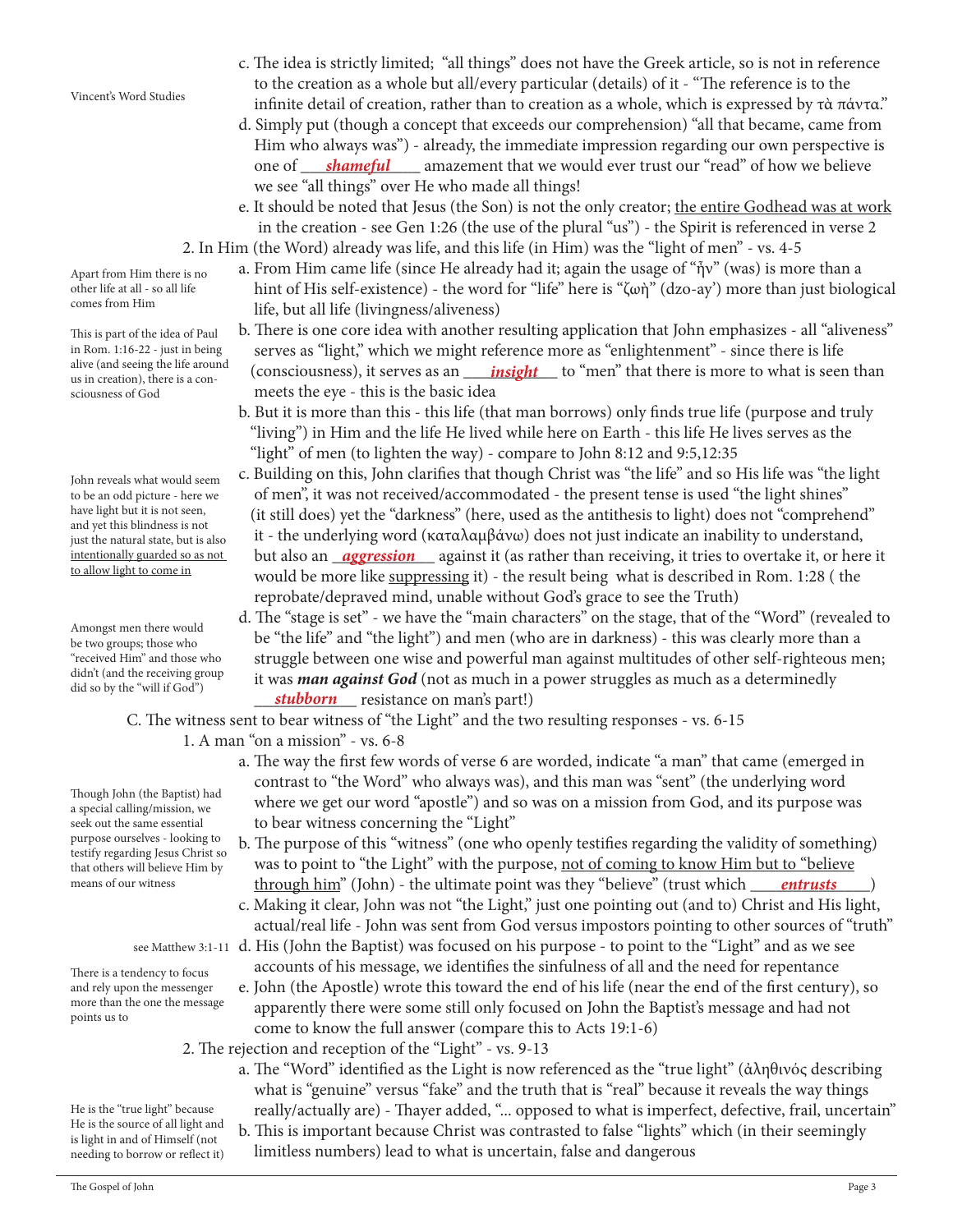Apart from Him there is no other life at all - so all life

comes from Him This is part of the idea of Paul

in Rom. 1:16-22 - just in being alive (and seeing the life around us in creation), there is a consciousness of God

John reveals what would seem to be an odd picture - here we have light but it is not seen, and yet this blindness is not just the natural state, but is also intentionally guarded so as not to allow light to come in

Amongst men there would be two groups; those who "received Him" and those who didn't (and the receiving group did so by the "will if God")

Though John (the Baptist) had a special calling/mission, we seek out the same essential purpose ourselves - looking to testify regarding Jesus Christ so that others will believe Him by means of our witness

There is a tendency to focus and rely upon the messenger more than the one the message points us to

He is the "true light" because He is the source of all light and is light in and of Himself (not needing to borrow or reflect it)

- c. The idea is strictly limited; "all things" does not have the Greek article, so is not in reference to the creation as a whole but all/every particular (details) of it - "The reference is to the infinite detail of creation, rather than to creation as a whole, which is expressed by τὰ πάντα."
- d. Simply put (though a concept that exceeds our comprehension) "all that became, came from Him who always was") - already, the immediate impression regarding our own perspective is one of <u>Shameful Samazement that we would ever trust our "read" of how we believe</u> we see "all things" over He who made all things!
	- e. It should be noted that Jesus (the Son) is not the only creator; the entire Godhead was at work in the creation - see Gen 1:26 (the use of the plural "us") - the Spirit is referenced in verse 2 2. In Him (the Word) already was life, and this life (in Him) was the "light of men" - vs. 4-5
		- a. From Him came life (since He already had it; again the usage of "ἦν" (was) is more than a hint of His self-existence) - the word for "life" here is "ζωὴ" (dzo-ay') more than just biological life, but all life (livingness/aliveness)
- b. There is one core idea with another resulting application that John emphasizes all "aliveness" serves as "light," which we might reference more as "enlightenment" - since there is life anve (and seemg the file around consciousness), it serves as an <u>insight</u> to "men" that there is more to what is seen than usin creation) there is a con meets the eye - this is the basic idea
	- b. But it is more than this this life (that man borrows) only finds true life (purpose and truly "living") in Him and the life He lived while here on Earth - this life He lives serves as the "light" of men (to lighten the way) - compare to John 8:12 and 9:5,12:35
- c. Building on this, John clarifies that though Christ was "the life" and so His life was "the light of men", it was not received/accommodated - the present tense is used "the light shines" (it still does) yet the "darkness" (here, used as the antithesis to light) does not "comprehend" it - the underlying word (καταλαμβάνω) does not just indicate an inability to understand, <u>intentionally guarded so as not but</u> also an <u>aggression</u> against it (as rather than receiving, it tries to overtake it, or here it would be more like suppressing it) - the result being what is described in Rom. 1:28 ( the reprobate/depraved mind, unable without God's grace to see the Truth)
- d. The "stage is set" we have the "main characters" on the stage, that of the "Word" (revealed to be "the life" and "the light") and men (who are in darkness) - this was clearly more than a struggle between one wise and powerful man against multitudes of other self-righteous men; it was *man against God* (not as much in a power struggles as much as a determinedly *stubborn* resistance on man's part!)

C. The witness sent to bear witness of "the Light" and the two resulting responses - vs. 6-15

- 1. A man "on a mission" vs. 6-8
	- a. The way the first few words of verse 6 are worded, indicate "a man" that came (emerged in contrast to "the Word" who always was), and this man was "sent" (the underlying word where we get our word "apostle") and so was on a mission from God, and its purpose was to bear witness concerning the "Light"
- b. The purpose of this "witness" (one who openly testifies regarding the validity of something) was to point to "the Light" with the purpose, not of coming to know Him but to "believe means of our witness **hotairm**" (John) - the ultimate point was they "believe" (trust which <u>\_\_\_\_\_\_\_\_\_\_\_\_\_\_\_\_\_</u>\_\_\_)
	- c. Making it clear, John was not "the Light," just one pointing out (and to) Christ and His light, actual/real life - John was sent from God versus impostors pointing to other sources of "truth"
- see Matthew 3:1-11  $\,$  d. His (John the Baptist) was focused on his purpose to point to the "Light" and as we see accounts of his message, we identifies the sinfulness of all and the need for repentance
	- e. John (the Apostle) wrote this toward the end of his life (near the end of the first century), so apparently there were some still only focused on John the Baptist's message and had not come to know the full answer (compare this to Acts 19:1-6)
	- 2. The rejection and reception of the "Light" vs. 9-13
		- a. The "Word" identified as the Light is now referenced as the "true light" (ἀληθινός describing what is "genuine" versus "fake" and the truth that is "real" because it reveals the way things really/actually are) - Thayer added, "... opposed to what is imperfect, defective, frail, uncertain" b. This is important because Christ was contrasted to false "lights" which (in their seemingly limitless numbers) lead to what is uncertain, false and dangerous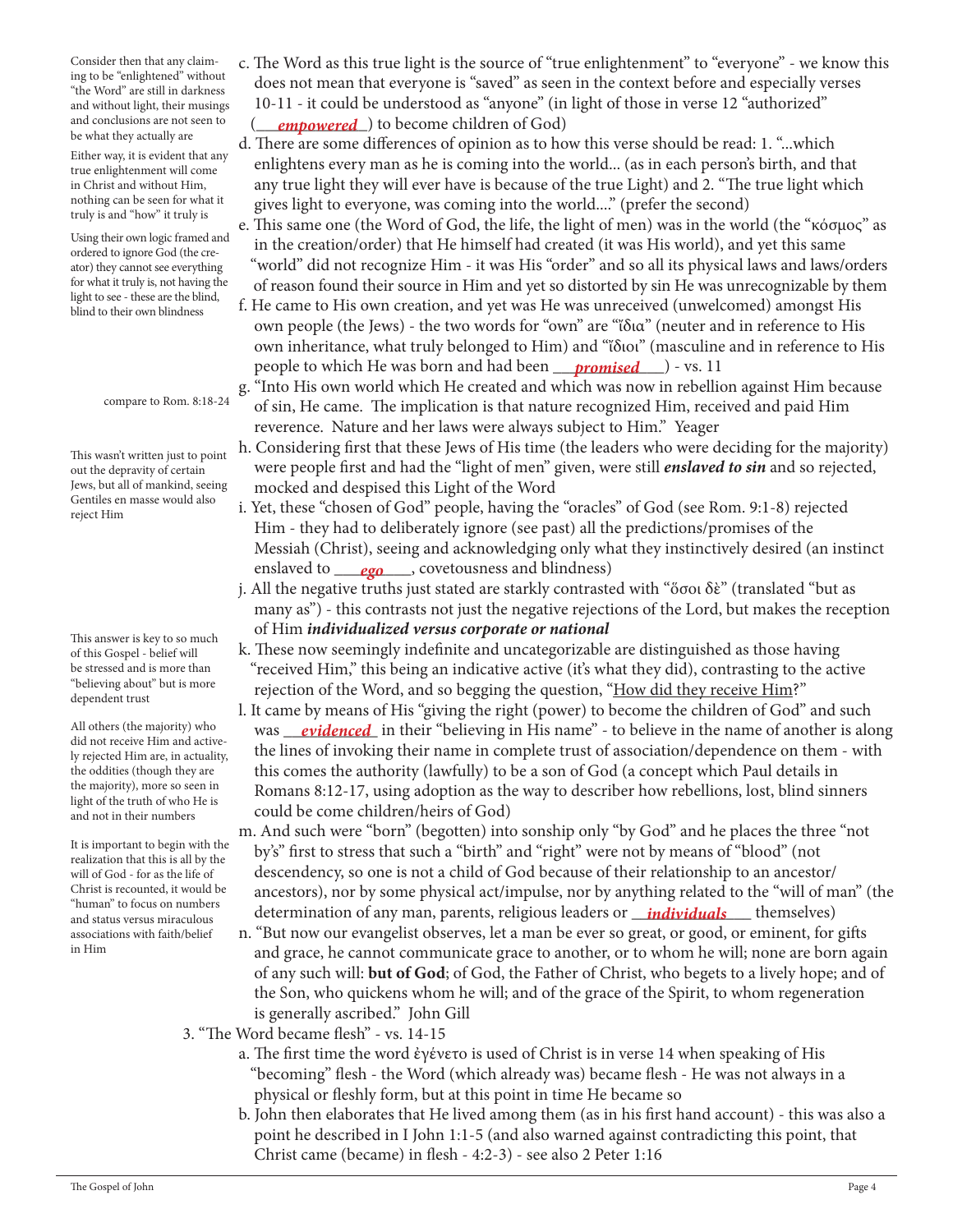Consider then that any claiming to be "enlightened" without "the Word" are still in darkness and without light, their musings and conclusions are not seen to be what they actually are

Either way, it is evident that any true enlightenment will come in Christ and without Him, nothing can be seen for what it truly is and "how" it truly is

Using their own logic framed and ordered to ignore God (the creator) they cannot see everything for what it truly is, not having the light to see - these are the blind, blind to their own blindness

compare to Rom. 8:18-24

This wasn't written just to point out the depravity of certain Jews, but all of mankind, seeing Gentiles en masse would also reject Him

This answer is key to so much of this Gospel - belief will be stressed and is more than "believing about" but is more dependent trust

All others (the majority) who did not receive Him and actively rejected Him are, in actuality, the oddities (though they are the majority), more so seen in light of the truth of who He is and not in their numbers

It is important to begin with the realization that this is all by the will of God - for as the life of Christ is recounted, it would be "human" to focus on numbers and status versus miraculous associations with faith/belief in Him

- c. The Word as this true light is the source of "true enlightenment" to "everyone" we know this does not mean that everyone is "saved" as seen in the context before and especially verses 10-11 - it could be understood as "anyone" (in light of those in verse 12 "authorized" and conclusions are not seen to  $\quad ( \quad \textit{empoured} \quad)$  to become children of God)
	- d. There are some differences of opinion as to how this verse should be read: 1. "...which enlightens every man as he is coming into the world... (as in each person's birth, and that any true light they will ever have is because of the true Light) and 2. "The true light which gives light to everyone, was coming into the world...." (prefer the second)
	- e. This same one (the Word of God, the life, the light of men) was in the world (the "κόσμος" as in the creation/order) that He himself had created (it was His world), and yet this same "world" did not recognize Him - it was His "order" and so all its physical laws and laws/orders of reason found their source in Him and yet so distorted by sin He was unrecognizable by them
- f. He came to His own creation, and yet was He was unreceived (unwelcomed) amongst His own people (the Jews) - the two words for "own" are "ἴδια" (neuter and in reference to His own inheritance, what truly belonged to Him) and "ἴδιοι" (masculine and in reference to His people to which He was born and had been <u>promised</u> \_\_\_) - vs. 11
	- g. "Into His own world which He created and which was now in rebellion against Him because of sin, He came. The implication is that nature recognized Him, received and paid Him reverence. Nature and her laws were always subject to Him." Yeager
	- h. Considering first that these Jews of His time (the leaders who were deciding for the majority) were people first and had the "light of men" given, were still *enslaved to sin* and so rejected, mocked and despised this Light of the Word
- i. Yet, these "chosen of God" people, having the "oracles" of God (see Rom. 9:1-8) rejected Him - they had to deliberately ignore (see past) all the predictions/promises of the Messiah (Christ), seeing and acknowledging only what they instinctively desired (an instinct enslaved to \_\_\_\_\_\_\_\_\_, covetousness and blindness) *ego*
	- j. All the negative truths just stated are starkly contrasted with "ὅσοι δὲ" (translated "but as many as") - this contrasts not just the negative rejections of the Lord, but makes the reception of Him *individualized versus corporate or national*
	- k. These now seemingly indefinite and uncategorizable are distinguished as those having "received Him," this being an indicative active (it's what they did), contrasting to the active rejection of the Word, and so begging the question, "How did they receive Him?"
- l. It came by means of His "giving the right (power) to become the children of God" and such All others (the majority) who was <u>evidenced</u> in their "believing in His name" - to believe in the name of another is along the lines of invoking their name in complete trust of association/dependence on them - with this comes the authority (lawfully) to be a son of God (a concept which Paul details in Romans 8:12-17, using adoption as the way to describer how rebellions, lost, blind sinners could be come children/heirs of God)
- m. And such were "born" (begotten) into sonship only "by God" and he places the three "not by's" first to stress that such a "birth" and "right" were not by means of "blood" (not descendency, so one is not a child of God because of their relationship to an ancestor/ ancestors), nor by some physical act/impulse, nor by anything related to the "will of man" (the indinal to locus on numbers determination of any man, parents, religious leaders or *individuals* themselves)
	- n. "But now our evangelist observes, let a man be ever so great, or good, or eminent, for gifts and grace, he cannot communicate grace to another, or to whom he will; none are born again of any such will: **but of God**; of God, the Father of Christ, who begets to a lively hope; and of the Son, who quickens whom he will; and of the grace of the Spirit, to whom regeneration is generally ascribed." John Gill
	- 3. "The Word became flesh" vs. 14-15
		- a. The first time the word ἐγένετο is used of Christ is in verse 14 when speaking of His "becoming" flesh - the Word (which already was) became flesh - He was not always in a physical or fleshly form, but at this point in time He became so
		- b. John then elaborates that He lived among them (as in his first hand account) this was also a point he described in I John 1:1-5 (and also warned against contradicting this point, that Christ came (became) in flesh - 4:2-3) - see also 2 Peter 1:16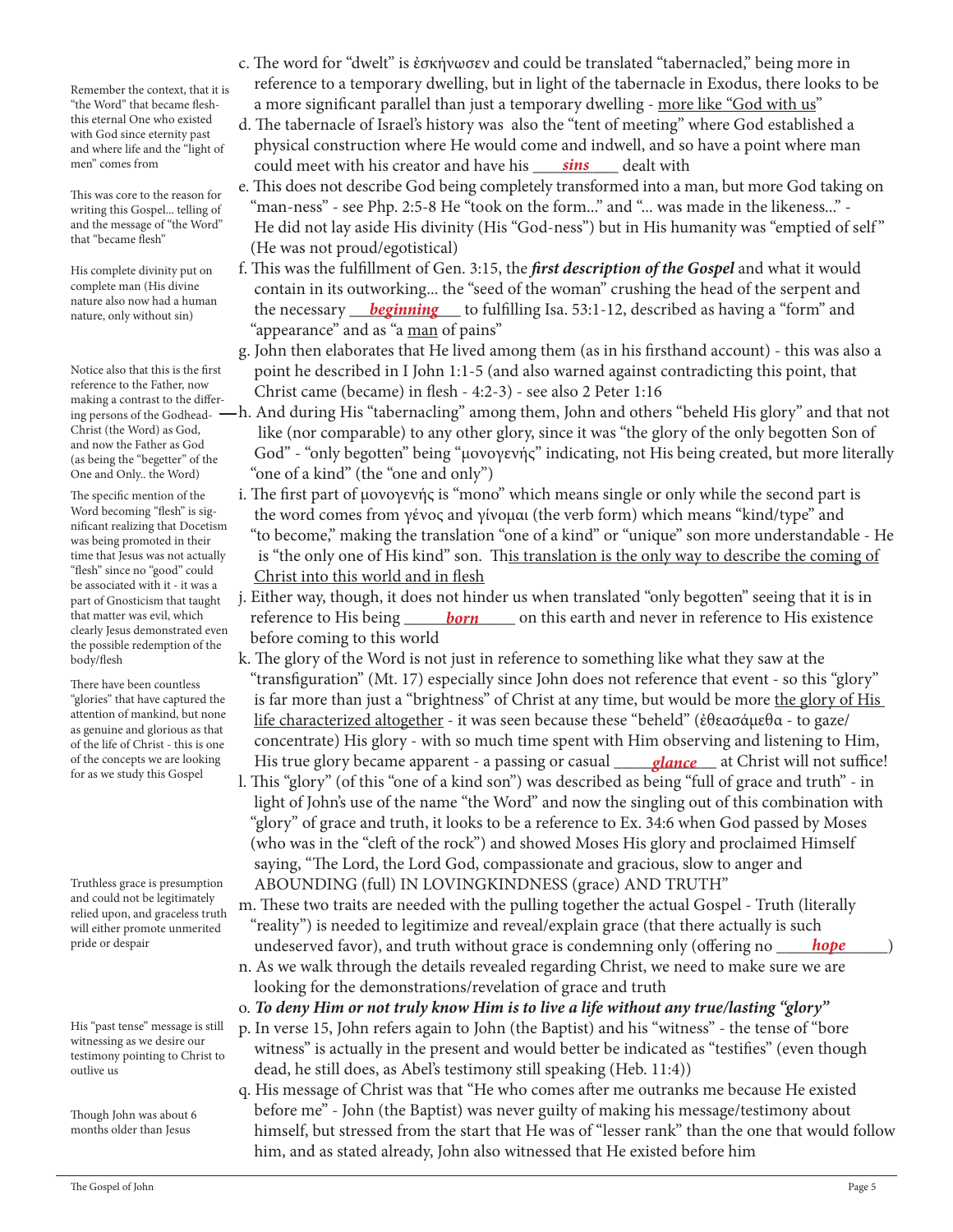Remember the context, that it is "the Word" that became fleshthis eternal One who existed with God since eternity past and where life and the "light of men" comes from

This was core to the reason for writing this Gospel... telling of and the message of "the Word" that "became flesh"

His complete divinity put on complete man (His divine nature also now had a human nature, only without sin)

Notice also that this is the first reference to the Father, now making a contrast to the differ-Christ (the Word) as God, and now the Father as God (as being the "begetter" of the One and Only.. the Word)

The specific mention of the Word becoming "flesh" is significant realizing that Docetism was being promoted in their time that Jesus was not actually "flesh" since no "good" could be associated with it - it was a part of Gnosticism that taught that matter was evil, which clearly Jesus demonstrated even the possible redemption of the body/flesh

There have been countless "glories" that have captured the attention of mankind, but none as genuine and glorious as that of the life of Christ - this is one of the concepts we are looking for as we study this Gospel

Truthless grace is presumption and could not be legitimately relied upon, and graceless truth will either promote unmerited pride or despair

His "past tense" message is still witnessing as we desire our testimony pointing to Christ to outlive us

Though John was about 6 months older than Jesus

- c. The word for "dwelt" is ἐσκήνωσεν and could be translated "tabernacled," being more in reference to a temporary dwelling, but in light of the tabernacle in Exodus, there looks to be a more significant parallel than just a temporary dwelling - more like "God with us"
- d. The tabernacle of Israel's history was also the "tent of meeting" where God established a physical construction where He would come and indwell, and so have a point where man men" comes from **could meet with his creator and have his** \_\_\_\_\_\_\_\_\_\_\_\_\_\_\_\_\_\_\_\_\_\_ dealt with
	- e. This does not describe God being completely transformed into a man, but more God taking on "man-ness" - see Php. 2:5-8 He "took on the form..." and "... was made in the likeness..." - He did not lay aside His divinity (His "God-ness") but in His humanity was "emptied of self " (He was not proud/egotistical)
- f. This was the fulfillment of Gen. 3:15, the *first description of the Gospel* and what it would contain in its outworking... the "seed of the woman" crushing the head of the serpent and nature also now had a numan<sup>1</sup> the necessary <u>beginning</u> to fulfilling Isa. 53:1-12, described as having a "form" and "appearance" and as "a man of pains"
	- g. John then elaborates that He lived among them (as in his firsthand account) this was also a point he described in I John 1:1-5 (and also warned against contradicting this point, that Christ came (became) in flesh - 4:2-3) - see also 2 Peter 1:16
- $\rm _{ing\,person}$  of the Godhead-  $-\rm h$ . And during His "tabernacling" among them, John and others "beheld His glory" and that not like (nor comparable) to any other glory, since it was "the glory of the only begotten Son of God" - "only begotten" being "μονογενής" indicating, not His being created, but more literally "one of a kind" (the "one and only")
	- i. The first part of μονογενής is "mono" which means single or only while the second part is the word comes from γένος and γίνομαι (the verb form) which means "kind/type" and "to become," making the translation "one of a kind" or "unique" son more understandable - He is "the only one of His kind" son. This translation is the only way to describe the coming of Christ into this world and in flesh
- j. Either way, though, it does not hinder us when translated "only begotten" seeing that it is in that matter was evil, which reference to His being <u>born</u> on this earth and never in reference to His existence before coming to this world
- k. The glory of the Word is not just in reference to something like what they saw at the "transfiguration" (Mt. 17) especially since John does not reference that event - so this "glory" is far more than just a "brightness" of Christ at any time, but would be more the glory of His life characterized altogether - it was seen because these "beheld" (ἐθεασάμεθα - to gaze/ concentrate) His glory - with so much time spent with Him observing and listening to Him, of the concepts we are looking His true glory became apparent - a passing or casual <u>Jance</u> at Christ will not suffice!
	- l. This "glory" (of this "one of a kind son") was described as being "full of grace and truth" in light of John's use of the name "the Word" and now the singling out of this combination with "glory" of grace and truth, it looks to be a reference to Ex. 34:6 when God passed by Moses (who was in the "cleft of the rock") and showed Moses His glory and proclaimed Himself saying, "The Lord, the Lord God, compassionate and gracious, slow to anger and ABOUNDING (full) IN LOVINGKINDNESS (grace) AND TRUTH"
- m. These two traits are needed with the pulling together the actual Gospel Truth (literally "reality") is needed to legitimize and reveal/explain grace (that there actually is such pride or despair **come and interpreted favor), and truth without grace is condemning only (offering no** *\_\_\_\_\_<mark>hope</mark>\_\_\_\_\_***)** 
	- n. As we walk through the details revealed regarding Christ, we need to make sure we are looking for the demonstrations/revelation of grace and truth
	- o. *To deny Him or not truly know Him is to live a life without any true/lasting "glory"*
	- p. In verse 15, John refers again to John (the Baptist) and his "witness" the tense of "bore witness" is actually in the present and would better be indicated as "testifies" (even though dead, he still does, as Abel's testimony still speaking (Heb. 11:4))
	- q. His message of Christ was that "He who comes after me outranks me because He existed before me" - John (the Baptist) was never guilty of making his message/testimony about himself, but stressed from the start that He was of "lesser rank" than the one that would follow him, and as stated already, John also witnessed that He existed before him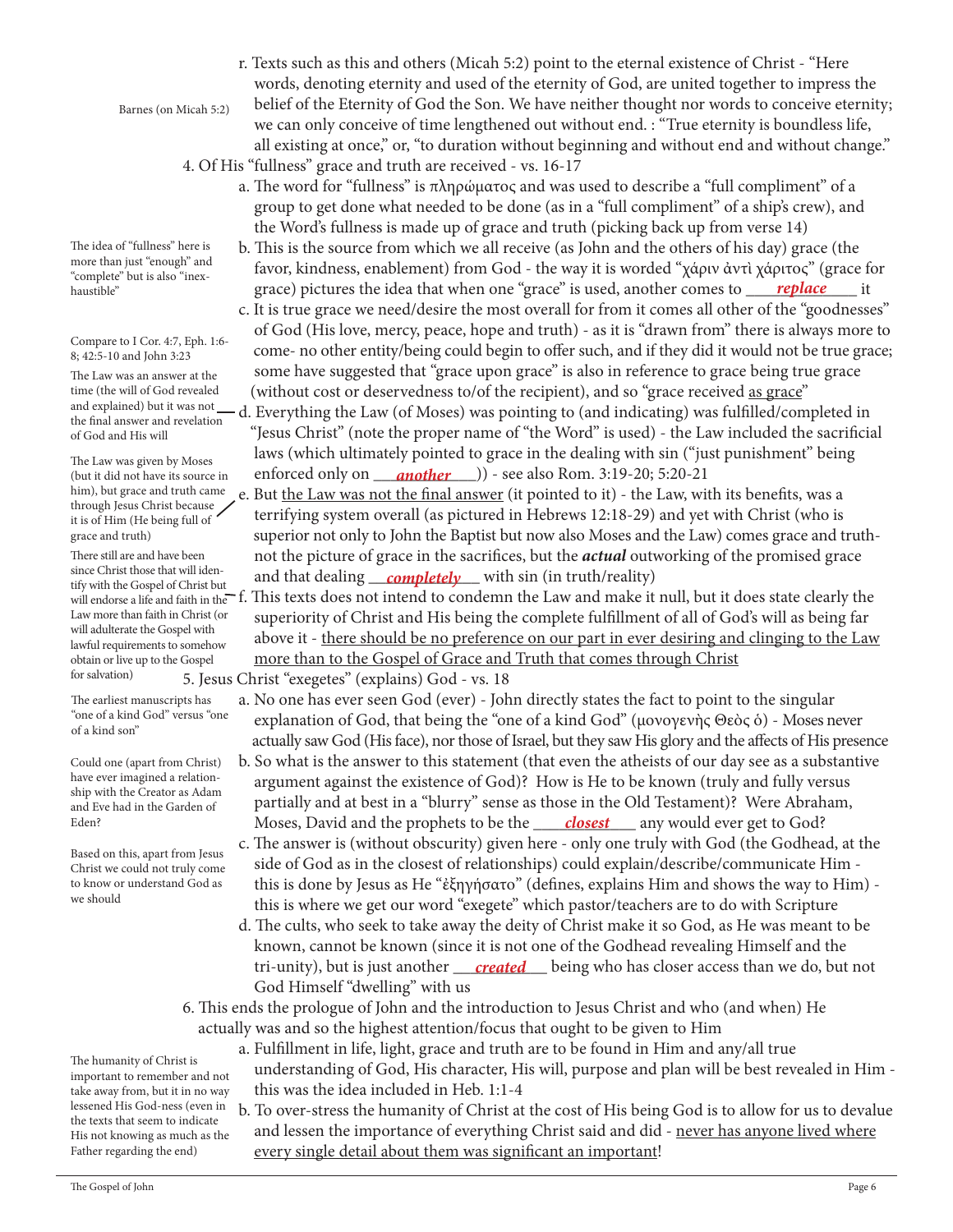The humanity of Christ is important to remember and not take away from, but it in no way lessened His God-ness (even in the texts that seem to indicate His not knowing as much as the Father regarding the end)

more than just "enough" and "complete" but is also "inexhaustible"

The idea of "fullness" here is

Barnes (on Micah 5:2)

Compare to I Cor. 4:7, Eph. 1:6- 8; 42:5-10 and John 3:23

The Law was an answer at the time (the will of God revealed and explained) but it was not the final answer and revelation of God and His will

The Law was given by Moses (but it did not have its source in him), but grace and truth came through Jesus Christ because it is of Him (He being full of grace and truth)

There still are and have been since Christ those that will identify with the Gospel of Christ but will endorse a life and faith in the f. Law more than faith in Christ (or will adulterate the Gospel with lawful requirements to somehow obtain or live up to the Gospel for salvation)

The earliest manuscripts has "one of a kind God" versus "one of a kind son"

Could one (apart from Christ) have ever imagined a relationship with the Creator as Adam and Eve had in the Garden of Eden?

Based on this, apart from Jesus Christ we could not truly come to know or understand God as we should

 r. Texts such as this and others (Micah 5:2) point to the eternal existence of Christ - "Here words, denoting eternity and used of the eternity of God, are united together to impress the belief of the Eternity of God the Son. We have neither thought nor words to conceive eternity; we can only conceive of time lengthened out without end. : "True eternity is boundless life, all existing at once," or, "to duration without beginning and without end and without change."

4. Of His "fullness" grace and truth are received - vs. 16-17

- a. The word for "fullness" is πληρώματος and was used to describe a "full compliment" of a group to get done what needed to be done (as in a "full compliment" of a ship's crew), and the Word's fullness is made up of grace and truth (picking back up from verse 14)
- b. This is the source from which we all receive (as John and the others of his day) grace (the favor, kindness, enablement) from God - the way it is worded "χάριν ἀντὶ χάριτος" (grace for grace) pictures the idea that when one "grace" is used, another comes to \_\_\_\_\_\_\_\_\_\_\_\_\_ it *replace*
	- c. It is true grace we need/desire the most overall for from it comes all other of the "goodnesses" of God (His love, mercy, peace, hope and truth) - as it is "drawn from" there is always more to come- no other entity/being could begin to offer such, and if they did it would not be true grace; some have suggested that "grace upon grace" is also in reference to grace being true grace (without cost or deservedness to/of the recipient), and so "grace received as grace"
- d. Everything the Law (of Moses) was pointing to (and indicating) was fulfilled/completed in "Jesus Christ" (note the proper name of "the Word" is used) - the Law included the sacrificial laws (which ultimately pointed to grace in the dealing with sin ("just punishment" being (but it did not have its source in enforced only on **\_\_\_another** \_\_\_)) - see also Rom. 3:19-20; 5:20-21
- e. But the Law was not the final answer (it pointed to it) the Law, with its benefits, was a terrifying system overall (as pictured in Hebrews 12:18-29) and yet with Christ (who is superior not only to John the Baptist but now also Moses and the Law) comes grace and truth not the picture of grace in the sacrifices, but the *actual* outworking of the promised grace since Christ those that will iden-<br>tify with the Gospel of Christ but **and that dealing <u>completely</u>** with sin (in truth/reality)
	- This texts does not intend to condemn the Law and make it null, but it does state clearly the superiority of Christ and His being the complete fulfillment of all of God's will as being far above it - there should be no preference on our part in ever desiring and clinging to the Law more than to the Gospel of Grace and Truth that comes through Christ

5. Jesus Christ "exegetes" (explains) God - vs. 18

- a. No one has ever seen God (ever) John directly states the fact to point to the singular explanation of God, that being the "one of a kind God" (μονογενὴς Θεὸς ὁ) - Moses never actually saw God (His face), nor those of Israel, but they saw His glory and the affects of His presence
- b. So what is the answer to this statement (that even the atheists of our day see as a substantive argument against the existence of God)? How is He to be known (truly and fully versus partially and at best in a "blurry" sense as those in the Old Testament)? Were Abraham, Eden? Moses, David and the prophets to be the <u> closest </u> any would ever get to God?
	- c. The answer is (without obscurity) given here only one truly with God (the Godhead, at the side of God as in the closest of relationships) could explain/describe/communicate Him this is done by Jesus as He "ἐξηγήσατο" (defines, explains Him and shows the way to Him) this is where we get our word "exegete" which pastor/teachers are to do with Scripture
- d. The cults, who seek to take away the deity of Christ make it so God, as He was meant to be known, cannot be known (since it is not one of the Godhead revealing Himself and the tri-unity), but is just another <u>\_\_\_\_*created* \_\_\_</u> being who has closer access than we do, but not God Himself "dwelling" with us
	- 6. This ends the prologue of John and the introduction to Jesus Christ and who (and when) He actually was and so the highest attention/focus that ought to be given to Him
		- a. Fulfillment in life, light, grace and truth are to be found in Him and any/all true understanding of God, His character, His will, purpose and plan will be best revealed in Him this was the idea included in Heb. 1:1-4
		- b. To over-stress the humanity of Christ at the cost of His being God is to allow for us to devalue and lessen the importance of everything Christ said and did - never has anyone lived where every single detail about them was significant an important!

The Gospel of John Page 6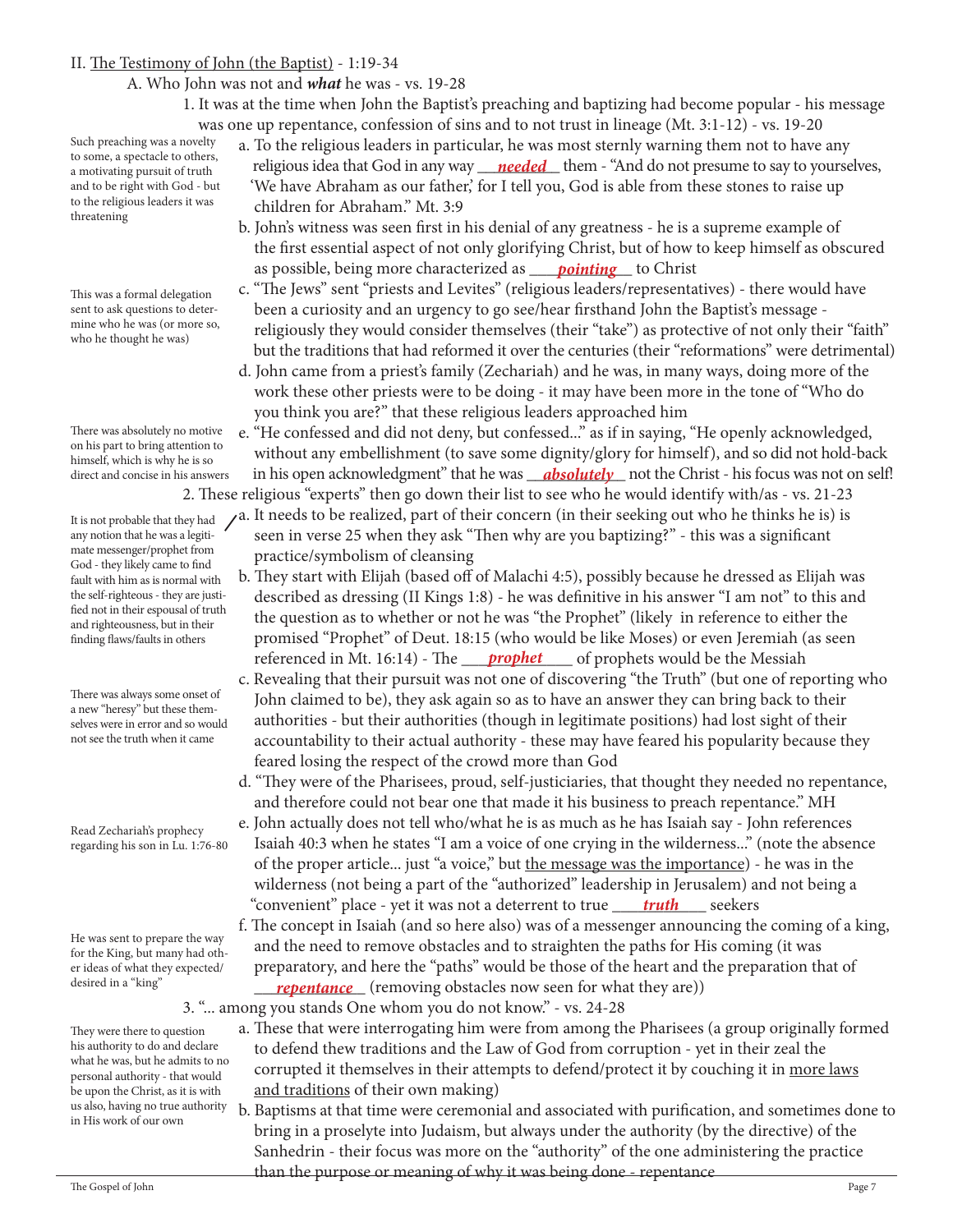#### II. The Testimony of John (the Baptist) - 1:19-34

A. Who John was not and *what* he was - vs. 19-28

 1. It was at the time when John the Baptist's preaching and baptizing had become popular - his message was one up repentance, confession of sins and to not trust in lineage (Mt. 3:1-12) - vs. 19-20

Such preaching was a novelty to some, a spectacle to others, a motivating pursuit of truth and to be right with God - but to the religious leaders it was threatening

This was a formal delegation sent to ask questions to determine who he was (or more so, who he thought he was)

There was absolutely no motive on his part to bring attention to himself, which is why he is so direct and concise in his answers

It is not probable that they had any notion that he was a legitimate messenger/prophet from God - they likely came to find fault with him as is normal with the self-righteous - they are justified not in their espousal of truth and righteousness, but in their finding flaws/faults in others

There was always some onset of a new "heresy" but these themselves were in error and so would not see the truth when it came

Read Zechariah's prophecy regarding his son in Lu. 1:76-80

He was sent to prepare the way for the King, but many had other ideas of what they expected/ desired in a "king"

They were there to question his authority to do and declare what he was, but he admits to no personal authority - that would be upon the Christ, as it is with us also, having no true authority in His work of our own

- a. To the religious leaders in particular, he was most sternly warning them not to have any a motivating pursuit of truth religious idea that God in any way <u>needed</u> them - "And do not presume to say to yourselves, 'We have Abraham as our father,' for I tell you, God is able from these stones to raise up children for Abraham." Mt. 3:9
- b. John's witness was seen first in his denial of any greatness he is a supreme example of the first essential aspect of not only glorifying Christ, but of how to keep himself as obscured as possible, being more characterized as <u>pointing</u> to Christ
	- c. "The Jews" sent "priests and Levites" (religious leaders/representatives) there would have been a curiosity and an urgency to go see/hear firsthand John the Baptist's message religiously they would consider themselves (their "take") as protective of not only their "faith" but the traditions that had reformed it over the centuries (their "reformations" were detrimental)
	- d. John came from a priest's family (Zechariah) and he was, in many ways, doing more of the work these other priests were to be doing - it may have been more in the tone of "Who do you think you are?" that these religious leaders approached him
- e. "He confessed and did not deny, but confessed..." as if in saying, "He openly acknowledged, without any embellishment (to save some dignity/glory for himself), and so did not hold-back direct and concise in his answers — in his open acknowledgment" that he was <u>—absolutely—</u> not the Christ - his focus was not on self! 2. These religious "experts" then go down their list to see who he would identify with/as - vs. 21-23
	- a. It needs to be realized, part of their concern (in their seeking out who he thinks he is) is seen in verse 25 when they ask "Then why are you baptizing?" - this was a significant practice/symbolism of cleansing
- b. They start with Elijah (based off of Malachi 4:5), possibly because he dressed as Elijah was described as dressing (II Kings 1:8) - he was definitive in his answer "I am not" to this and the question as to whether or not he was "the Prophet" (likely in reference to either the promised "Prophet" of Deut. 18:15 (who would be like Moses) or even Jeremiah (as seen referenced in Mt. 16:14) - The <u>prophet</u> sof prophets would be the Messiah
	- c. Revealing that their pursuit was not one of discovering "the Truth" (but one of reporting who John claimed to be), they ask again so as to have an answer they can bring back to their authorities - but their authorities (though in legitimate positions) had lost sight of their accountability to their actual authority - these may have feared his popularity because they feared losing the respect of the crowd more than God
	- d. "They were of the Pharisees, proud, self-justiciaries, that thought they needed no repentance, and therefore could not bear one that made it his business to preach repentance." MH
- e. John actually does not tell who/what he is as much as he has Isaiah say John references Isaiah 40:3 when he states "I am a voice of one crying in the wilderness..." (note the absence of the proper article... just "a voice," but the message was the importance) - he was in the wilderness (not being a part of the "authorized" leadership in Jerusalem) and not being a "convenient" place - yet it was not a deterrent to true \_\_\_\_\_\_\_\_\_\_\_ seekers *truth*
- f. The concept in Isaiah (and so here also) was of a messenger announcing the coming of a king, and the need to remove obstacles and to straighten the paths for His coming (it was preparatory, and here the "paths" would be those of the heart and the preparation that of desired in a "king" *repentance* (removing obstacles now seen for what they are))
	- 3. "... among you stands One whom you do not know." vs. 24-28
		- a. These that were interrogating him were from among the Pharisees (a group originally formed to defend thew traditions and the Law of God from corruption - yet in their zeal the corrupted it themselves in their attempts to defend/protect it by couching it in more laws and traditions of their own making)
- b. Baptisms at that time were ceremonial and associated with purification, and sometimes done to bring in a proselyte into Judaism, but always under the authority (by the directive) of the Sanhedrin - their focus was more on the "authority" of the one administering the practice than the purpose or meaning of why it was being done - repentance<br>The Gospel of John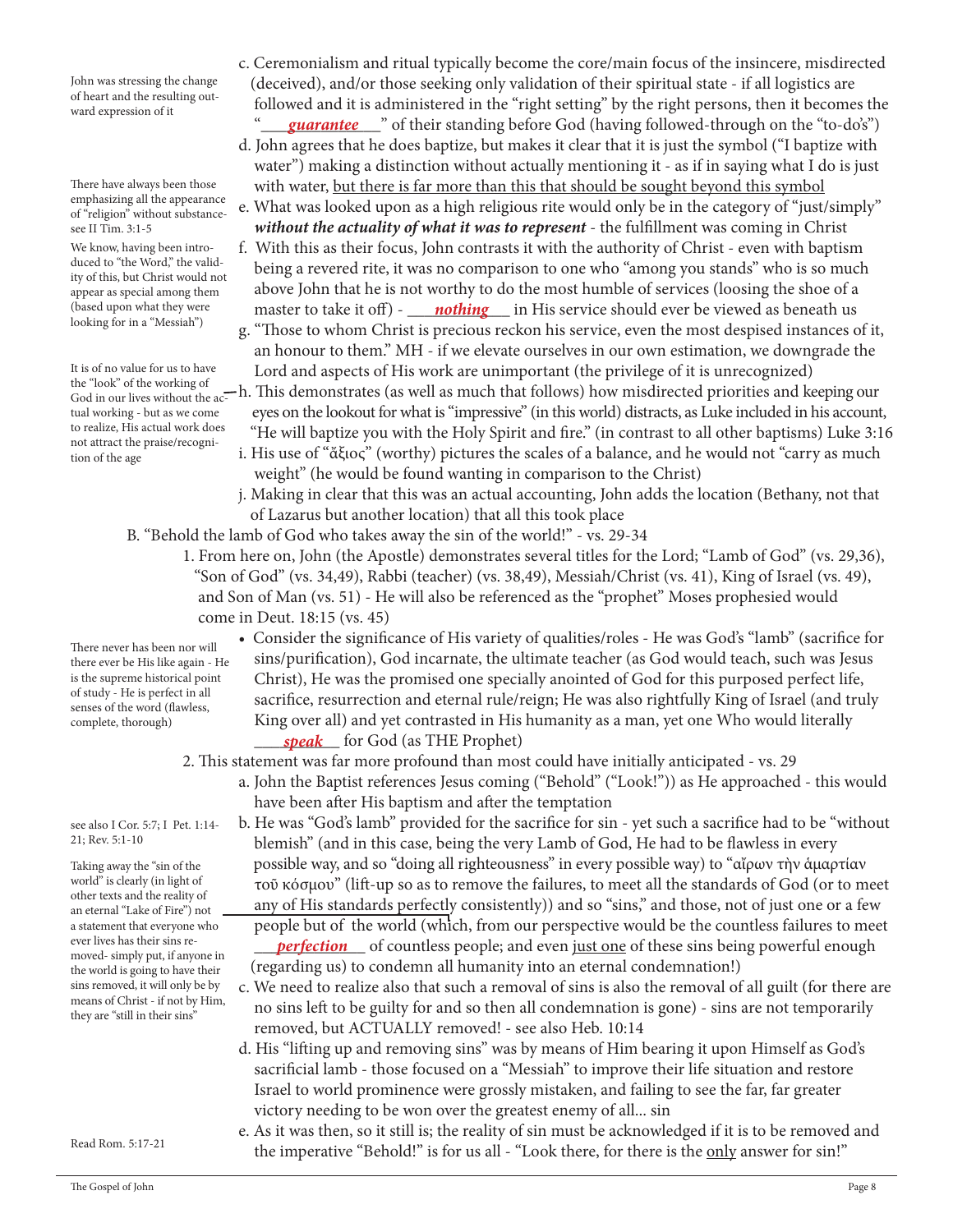John was stressing the change of heart and the resulting outward expression of it

There have always been those emphasizing all the appearance of "religion" without substancesee II Tim. 3:1-5

We know, having been introduced to "the Word," the validity of this, but Christ would not appear as special among them (based upon what they were looking for in a "Messiah")

It is of no value for us to have God in our lives without the actual working - but as we come to realize, His actual work does not attract the praise/recognition of the age

There never has been nor will there ever be His like again - He is the supreme historical point of study - He is perfect in all senses of the word (flawless, complete, thorough)

see also I Cor. 5:7; I Pet. 1:14- 21; Rev. 5:1-10

Taking away the "sin of the world" is clearly (in light of other texts and the reality of an eternal "Lake of Fire") not a statement that everyone who ever lives has their sins removed- simply put, if anyone in the world is going to have their sins removed, it will only be by means of Christ - if not by Him, they are "still in their sins"

- c. Ceremonialism and ritual typically become the core/main focus of the insincere, misdirected (deceived), and/or those seeking only validation of their spiritual state - if all logistics are followed and it is administered in the "right setting" by the right persons, then it becomes the
- <sup>"</sup> *guarantee* so their standing before God (having followed-through on the "to-do's") d. John agrees that he does baptize, but makes it clear that it is just the symbol ("I baptize with water") making a distinction without actually mentioning it - as if in saying what I do is just with water, but there is far more than this that should be sought beyond this symbol
	- e. What was looked upon as a high religious rite would only be in the category of "just/simply" *without the actuality of what it was to represent* - the fulfillment was coming in Christ f. With this as their focus, John contrasts it with the authority of Christ - even with baptism
- being a revered rite, it was no comparison to one who "among you stands" who is so much above John that he is not worthy to do the most humble of services (loosing the shoe of a (based upon what they were master to take it off) - **nothing** in His service should ever be viewed as beneath us
- g. "Those to whom Christ is precious reckon his service, even the most despised instances of it, an honour to them." MH - if we elevate ourselves in our own estimation, we downgrade the It is of no value for us to have Lord and aspects of His work are unimportant (the privilege of it is unrecognized) the "look" of the working of
- the "look" of the working of<br>God in our lives without the ac-h. This demonstrates (as well as much that follows) how misdirected priorities and keeping our eyes on the lookout for what is "impressive" (in this world) distracts, as Luke included in his account, "He will baptize you with the Holy Spirit and fire." (in contrast to all other baptisms) Luke 3:16
	- i. His use of "ἄξιος" (worthy) pictures the scales of a balance, and he would not "carry as much weight" (he would be found wanting in comparison to the Christ)
	- j. Making in clear that this was an actual accounting, John adds the location (Bethany, not that of Lazarus but another location) that all this took place
	- B. "Behold the lamb of God who takes away the sin of the world!" vs. 29-34
		- 1. From here on, John (the Apostle) demonstrates several titles for the Lord; "Lamb of God" (vs. 29,36), "Son of God" (vs. 34,49), Rabbi (teacher) (vs. 38,49), Messiah/Christ (vs. 41), King of Israel (vs. 49), and Son of Man (vs. 51) - He will also be referenced as the "prophet" Moses prophesied would come in Deut. 18:15 (vs. 45)
- Consider the significance of His variety of qualities/roles He was God's "lamb" (sacrifice for sins/purification), God incarnate, the ultimate teacher (as God would teach, such was Jesus Christ), He was the promised one specially anointed of God for this purposed perfect life, sacrifice, resurrection and eternal rule/reign; He was also rightfully King of Israel (and truly King over all) and yet contrasted in His humanity as a man, yet one Who would literally \_\_\_\_\_\_\_\_\_\_ for God (as THE Prophet) *speak*

2. This statement was far more profound than most could have initially anticipated - vs. 29

- a. John the Baptist references Jesus coming ("Behold" ("Look!")) as He approached this would have been after His baptism and after the temptation
- b. He was "God's lamb" provided for the sacrifice for sin yet such a sacrifice had to be "without blemish" (and in this case, being the very Lamb of God, He had to be flawless in every possible way, and so "doing all righteousness" in every possible way) to "αἴρων τὴν ἁμαρτίαν τοῦ κόσμου" (lift-up so as to remove the failures, to meet all the standards of God (or to meet any of His standards perfectly consistently)) and so "sins," and those, not of just one or a few people but of the world (which, from our perspective would be the countless failures to meet ever lives has their sins re-<br>moved simply put if anyone in **perfection** of countless people; and even <u>just one</u> of these sins being powerful enough
	- (regarding us) to condemn all humanity into an eternal condemnation!)
	- c. We need to realize also that such a removal of sins is also the removal of all guilt (for there are no sins left to be guilty for and so then all condemnation is gone) - sins are not temporarily removed, but ACTUALLY removed! - see also Heb. 10:14
	- d. His "lifting up and removing sins" was by means of Him bearing it upon Himself as God's sacrificial lamb - those focused on a "Messiah" to improve their life situation and restore Israel to world prominence were grossly mistaken, and failing to see the far, far greater victory needing to be won over the greatest enemy of all... sin
	- e. As it was then, so it still is; the reality of sin must be acknowledged if it is to be removed and the imperative "Behold!" is for us all - "Look there, for there is the only answer for sin!"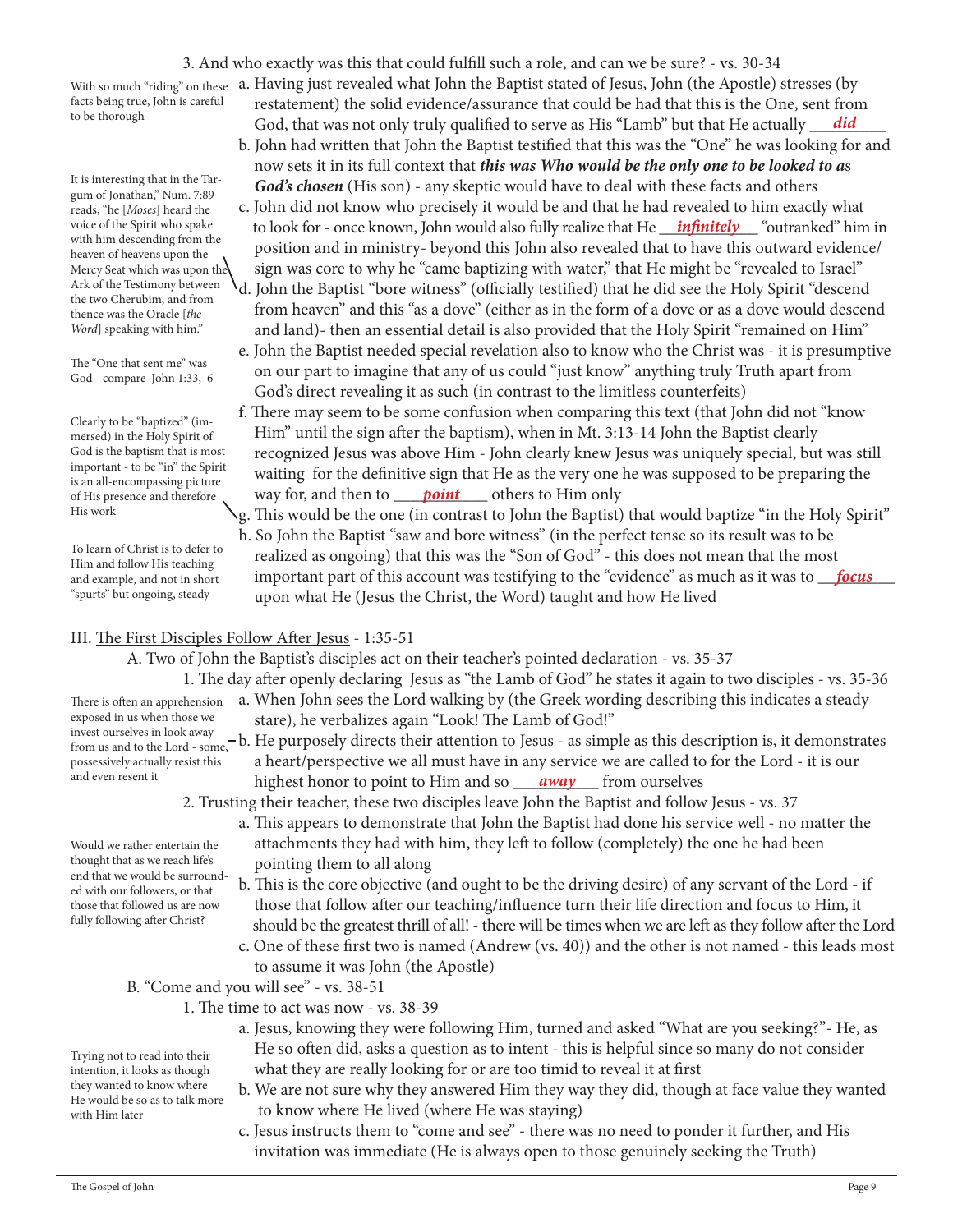3. And who exactly was this that could fulfill such a role, and can we be sure? - vs. 30-34

With so much "riding" on these facts being true, John is careful to be thorough

It is interesting that in the Targum of Jonathan," Num. 7:89 reads, "he [*Moses*] heard the voice of the Spirit who spake with him descending from the heaven of heavens upon the Mercy Seat which was upon the Ark of the Testimony between the two Cherubim, and from thence was the Oracle [*the Word*] speaking with him."

The "One that sent me" was God - compare John 1:33, 6

Clearly to be "baptized" (immersed) in the Holy Spirit of God is the baptism that is most important - to be "in" the Spirit is an all-encompassing picture of His presence and therefore His work

To learn of Christ is to defer to Him and follow His teaching and example, and not in short "spurts" but ongoing, steady

exposed in us when those we

and even resent it

- a. Having just revealed what John the Baptist stated of Jesus, John (the Apostle) stresses (by restatement) the solid evidence/assurance that could be had that this is the One, sent from <sup>to be thorough</sup> subsets and that was not only truly qualified to serve as His "Lamb" but that He actually <u>did</u>
	- b. John had written that John the Baptist testified that this was the "One" he was looking for and now sets it in its full context that *this was Who would be the only one to be looked to a*s *God's chosen* (His son) - any skeptic would have to deal with these facts and others
- c. John did not know who precisely it would be and that he had revealed to him exactly what voice of the Spirit who spake to look for - once known, John would also fully realize that He *infinitely* "outranked" him in position and in ministry- beyond this John also revealed that to have this outward evidence/ sign was core to why he "came baptizing with water," that He might be "revealed to Israel"
	- d. John the Baptist "bore witness" (officially testified) that he did see the Holy Spirit "descend from heaven" and this "as a dove" (either as in the form of a dove or as a dove would descend and land)- then an essential detail is also provided that the Holy Spirit "remained on Him"
	- e. John the Baptist needed special revelation also to know who the Christ was it is presumptive on our part to imagine that any of us could "just know" anything truly Truth apart from God's direct revealing it as such (in contrast to the limitless counterfeits)
- f. There may seem to be some confusion when comparing this text (that John did not "know Him" until the sign after the baptism), when in Mt. 3:13-14 John the Baptist clearly recognized Jesus was above Him - John clearly knew Jesus was uniquely special, but was still waiting for the definitive sign that He as the very one he was supposed to be preparing the of His presence and therefore way for, and then to **point** others to Him only
- g. This would be the one (in contrast to John the Baptist) that would baptize "in the Holy Spirit" h. So John the Baptist "saw and bore witness" (in the perfect tense so its result was to be realized as ongoing) that this was the "Son of God" - this does not mean that the most and example, and not in short **comportant part of this account was testifying to the "evidence" as much as it was to <u>gocus</u>** upon what He (Jesus the Christ, the Word) taught and how He lived

### III. The First Disciples Follow After Jesus - 1:35-51

A. Two of John the Baptist's disciples act on their teacher's pointed declaration - vs. 35-37

- 1. The day after openly declaring Jesus as "the Lamb of God" he states it again to two disciples vs. 35-36 a. When John sees the Lord walking by (the Greek wording describing this indicates a steady There is often an apprehension
- exposed in us when those we stare), he verbalizes again "Look! The Lamb of God!"<br>invest ourselves in look away
- invest ourselves in look away<br>from us and to the Lord some. b. He purposely directs their attention to Jesus as simple as this description is, it demonstrates a heart/perspective we all must have in any service we are called to for the Lord - it is our <sup>and even resent it highest honor to point to Him and so <u>away</u> from ourselves</sup> from us and to the Lord - some, possessively actually resist this
	- 2. Trusting their teacher, these two disciples leave John the Baptist and follow Jesus vs. 37
		- a. This appears to demonstrate that John the Baptist had done his service well no matter the attachments they had with him, they left to follow (completely) the one he had been pointing them to all along
			- b. This is the core objective (and ought to be the driving desire) of any servant of the Lord if those that follow after our teaching/influence turn their life direction and focus to Him, it should be the greatest thrill of all! - there will be times when we are left as they follow after the Lord
			- c. One of these first two is named (Andrew (vs. 40)) and the other is not named this leads most to assume it was John (the Apostle)
	- B. "Come and you will see" vs. 38-51
		- 1. The time to act was now vs. 38-39
			- a. Jesus, knowing they were following Him, turned and asked "What are you seeking?"- He, as He so often did, asks a question as to intent - this is helpful since so many do not consider what they are really looking for or are too timid to reveal it at first
			- b. We are not sure why they answered Him they way they did, though at face value they wanted to know where He lived (where He was staying)
			- c. Jesus instructs them to "come and see" there was no need to ponder it further, and His invitation was immediate (He is always open to those genuinely seeking the Truth)

Would we rather entertain the thought that as we reach life's end that we would be surrounded with our followers, or that those that followed us are now fully following after Christ?

Trying not to read into their intention, it looks as though they wanted to know where He would be so as to talk more

with Him later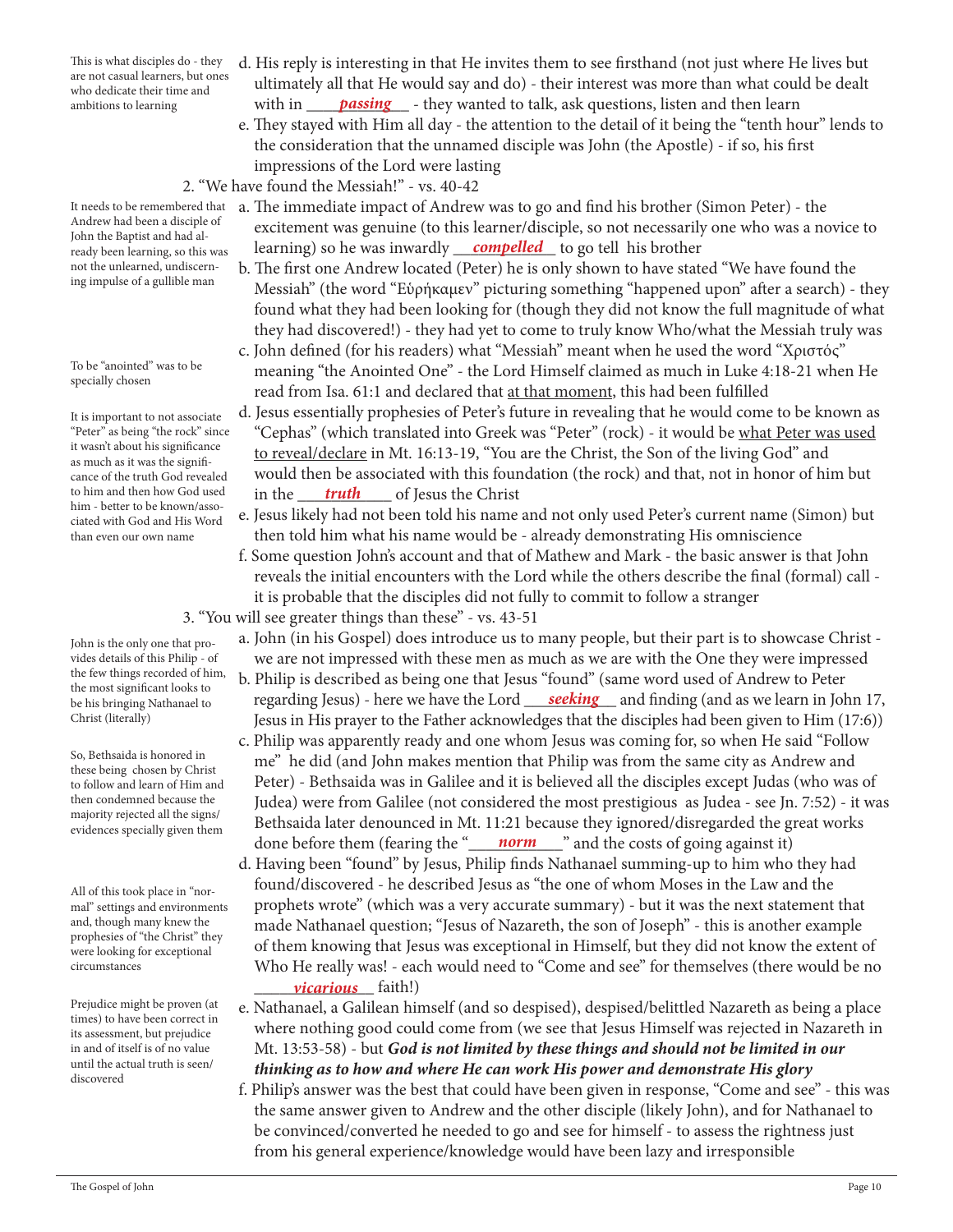This is what disciples do - they are not casual learners, but ones who dedicate their time and ambitions to learning

Andrew had been a disciple of John the Baptist and had al-

not the unlearned, undiscerning impulse of a gullible man

To be "anointed" was to be specially chosen

It is important to not associate "Peter" as being "the rock" since it wasn't about his significance as much as it was the significance of the truth God revealed to him and then how God used him - better to be known/associated with God and His Word than even our own name

John is the only one that provides details of this Philip - of the few things recorded of him, the most significant looks to be his bringing Nathanael to Christ (literally)

So, Bethsaida is honored in these being chosen by Christ to follow and learn of Him and then condemned because the majority rejected all the signs/ evidences specially given them

All of this took place in "normal" settings and environments and, though many knew the prophesies of "the Christ" they were looking for exceptional circumstances

Prejudice might be proven (at times) to have been correct in its assessment, but prejudice in and of itself is of no value until the actual truth is seen/ discovered

- d. His reply is interesting in that He invites them to see firsthand (not just where He lives but ultimately all that He would say and do) - their interest was more than what could be dealt ambitions to learning **with in <u>passing</u>** - they wanted to talk, ask questions, listen and then learn
	- e. They stayed with Him all day the attention to the detail of it being the "tenth hour" lends to the consideration that the unnamed disciple was John (the Apostle) - if so, his first impressions of the Lord were lasting
	- 2. "We have found the Messiah!" vs. 40-42
- It needs to be remembered that a. The immediate impact of Andrew was to go and find his brother (Simon Peter) the excitement was genuine (to this learner/disciple, so not necessarily one who was a novice to ready been learning, so this was learning) so he was inwardly <u>compelled</u> to go tell his brother ready been learning, so this was
	- b. The first one Andrew located (Peter) he is only shown to have stated "We have found the Messiah" (the word "Εὑρήκαμεν" picturing something "happened upon" after a search) - they found what they had been looking for (though they did not know the full magnitude of what they had discovered!) - they had yet to come to truly know Who/what the Messiah truly was
	- c. John defined (for his readers) what "Messiah" meant when he used the word "Χριστός" meaning "the Anointed One" - the Lord Himself claimed as much in Luke 4:18-21 when He read from Isa. 61:1 and declared that at that moment, this had been fulfilled
- d. Jesus essentially prophesies of Peter's future in revealing that he would come to be known as "Cephas" (which translated into Greek was "Peter" (rock) - it would be what Peter was used to reveal/declare in Mt. 16:13-19, "You are the Christ, the Son of the living God" and would then be associated with this foundation (the rock) and that, not in honor of him but to him and then how God used in the <u>truth</u> of Jesus the Christ
	- e. Jesus likely had not been told his name and not only used Peter's current name (Simon) but then told him what his name would be - already demonstrating His omniscience
	- f. Some question John's account and that of Mathew and Mark the basic answer is that John reveals the initial encounters with the Lord while the others describe the final (formal) call it is probable that the disciples did not fully to commit to follow a stranger 3. "You will see greater things than these" - vs. 43-51
		- a. John (in his Gospel) does introduce us to many people, but their part is to showcase Christ we are not impressed with these men as much as we are with the One they were impressed
- b. Philip is described as being one that Jesus "found" (same word used of Andrew to Peter be his bringing Nathanael to regarding Jesus) - here we have the Lord <u>seeking</u> and finding (and as we learn in John 17, Jesus in His prayer to the Father acknowledges that the disciples had been given to Him (17:6))
- c. Philip was apparently ready and one whom Jesus was coming for, so when He said "Follow me" he did (and John makes mention that Philip was from the same city as Andrew and Peter) - Bethsaida was in Galilee and it is believed all the disciples except Judas (who was of Judea) were from Galilee (not considered the most prestigious as Judea - see Jn. 7:52) - it was Bethsaida later denounced in Mt. 11:21 because they ignored/disregarded the great works done before them (fearing the "**norm**" and the costs of going against it)
- d. Having been "found" by Jesus, Philip finds Nathanael summing-up to him who they had found/discovered - he described Jesus as "the one of whom Moses in the Law and the prophets wrote" (which was a very accurate summary) - but it was the next statement that made Nathanael question; "Jesus of Nazareth, the son of Joseph" - this is another example of them knowing that Jesus was exceptional in Himself, but they did not know the extent of Who He really was! - each would need to "Come and see" for themselves (there would be no \_\_\_\_\_\_\_\_\_\_\_\_\_\_ faith!) *vicarious*
	- e. Nathanael, a Galilean himself (and so despised), despised/belittled Nazareth as being a place where nothing good could come from (we see that Jesus Himself was rejected in Nazareth in Mt. 13:53-58) - but *God is not limited by these things and should not be limited in our thinking as to how and where He can work His power and demonstrate His glory*
	- f. Philip's answer was the best that could have been given in response, "Come and see" this was the same answer given to Andrew and the other disciple (likely John), and for Nathanael to be convinced/converted he needed to go and see for himself - to assess the rightness just from his general experience/knowledge would have been lazy and irresponsible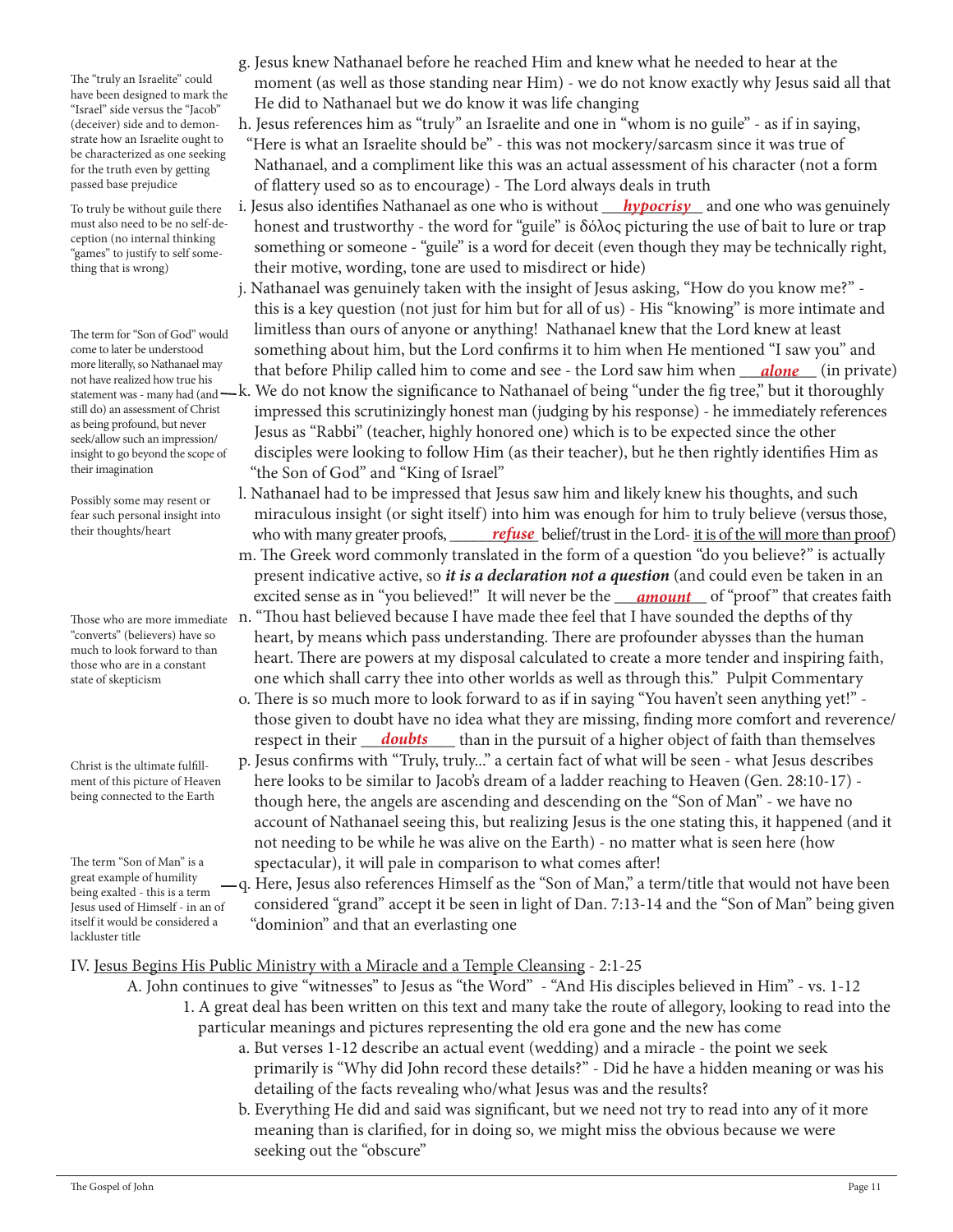The "truly an Israelite" could have been designed to mark the "Israel" side versus the "Jacob" (deceiver) side and to demonstrate how an Israelite ought to be characterized as one seeking for the truth even by getting passed base prejudice

To truly be without guile there must also need to be no self-deception (no internal thinking "games" to justify to self something that is wrong)

The term for "Son of God" would come to later be understood more literally, so Nathanael may not have realized how true his statement was - many had (and still do) an assessment of Christ as being profound, but never seek/allow such an impression/ insight to go beyond the scope of their imagination

Possibly some may resent or fear such personal insight into their thoughts/heart

"converts" (believers) have so much to look forward to than those who are in a constant state of skepticism

Christ is the ultimate fulfillment of this picture of Heaven being connected to the Earth

The term "Son of Man" is a great example of humility being exalted - this is a term Jesus used of Himself - in an of itself it would be considered a lackluster title

- g. Jesus knew Nathanael before he reached Him and knew what he needed to hear at the moment (as well as those standing near Him) - we do not know exactly why Jesus said all that He did to Nathanael but we do know it was life changing
- h. Jesus references him as "truly" an Israelite and one in "whom is no guile" as if in saying, "Here is what an Israelite should be" - this was not mockery/sarcasm since it was true of Nathanael, and a compliment like this was an actual assessment of his character (not a form of flattery used so as to encourage) - The Lord always deals in truth
- To truly be without guile there i. Jesus also identifies Nathanael as one who is without <u>hypocrisy</u> and one who was genuinely honest and trustworthy - the word for "guile" is δόλος picturing the use of bait to lure or trap something or someone - "guile" is a word for deceit (even though they may be technically right, their motive, wording, tone are used to misdirect or hide)
- j. Nathanael was genuinely taken with the insight of Jesus asking, "How do you know me?" this is a key question (not just for him but for all of us) - His "knowing" is more intimate and limitless than ours of anyone or anything! Nathanael knew that the Lord knew at least something about him, but the Lord confirms it to him when He mentioned "I saw you" and more literally, so Nathanael may that before Philip called him to come and see - the Lord saw him when *\_\_<mark>alone</mark>* (in private) k. We do not know the significance to Nathanael of being "under the fig tree," but it thoroughly impressed this scrutinizingly honest man (judging by his response) - he immediately references Jesus as "Rabbi" (teacher, highly honored one) which is to be expected since the other
	- disciples were looking to follow Him (as their teacher), but he then rightly identifies Him as "the Son of God" and "King of Israel"
- l. Nathanael had to be impressed that Jesus saw him and likely knew his thoughts, and such miraculous insight (or sight itself) into him was enough for him to truly believe (versus those, their thoughts/heart who with many greater proofs, <u>refuse</u> belief/trust in the Lord- <u>it is of the will more than proof</u>)
- m. The Greek word commonly translated in the form of a question "do you believe?" is actually present indicative active, so *it is a declaration not a question* (and could even be taken in an excited sense as in "you believed!" It will never be the <u>\_\_\_\_amount\_\_</u> of "proof" that creates faith
- Those who are more immediate  $\,$  n. "Thou hast believed because I have made thee feel that I have sounded the depths of thy heart, by means which pass understanding. There are profounder abysses than the human heart. There are powers at my disposal calculated to create a more tender and inspiring faith, one which shall carry thee into other worlds as well as through this." Pulpit Commentary
- o. There is so much more to look forward to as if in saying "You haven't seen anything yet!" those given to doubt have no idea what they are missing, finding more comfort and reverence/ respect in their <u>\_\_\_\_\_\_\_\_\_\_\_\_\_\_\_\_\_\_\_\_\_</u>\_ than in the pursuit of a higher object of faith than themselves
	- p. Jesus confirms with "Truly, truly..." a certain fact of what will be seen what Jesus describes here looks to be similar to Jacob's dream of a ladder reaching to Heaven (Gen. 28:10-17) though here, the angels are ascending and descending on the "Son of Man" - we have no account of Nathanael seeing this, but realizing Jesus is the one stating this, it happened (and it not needing to be while he was alive on the Earth) - no matter what is seen here (how spectacular), it will pale in comparison to what comes after!

 q. Here, Jesus also references Himself as the "Son of Man," a term/title that would not have been considered "grand" accept it be seen in light of Dan. 7:13-14 and the "Son of Man" being given "dominion" and that an everlasting one

### IV. Jesus Begins His Public Ministry with a Miracle and a Temple Cleansing - 2:1-25

- A. John continues to give "witnesses" to Jesus as "the Word" "And His disciples believed in Him" vs. 1-12
	- 1. A great deal has been written on this text and many take the route of allegory, looking to read into the particular meanings and pictures representing the old era gone and the new has come
		- a. But verses 1-12 describe an actual event (wedding) and a miracle the point we seek primarily is "Why did John record these details?" - Did he have a hidden meaning or was his detailing of the facts revealing who/what Jesus was and the results?
		- b. Everything He did and said was significant, but we need not try to read into any of it more meaning than is clarified, for in doing so, we might miss the obvious because we were seeking out the "obscure"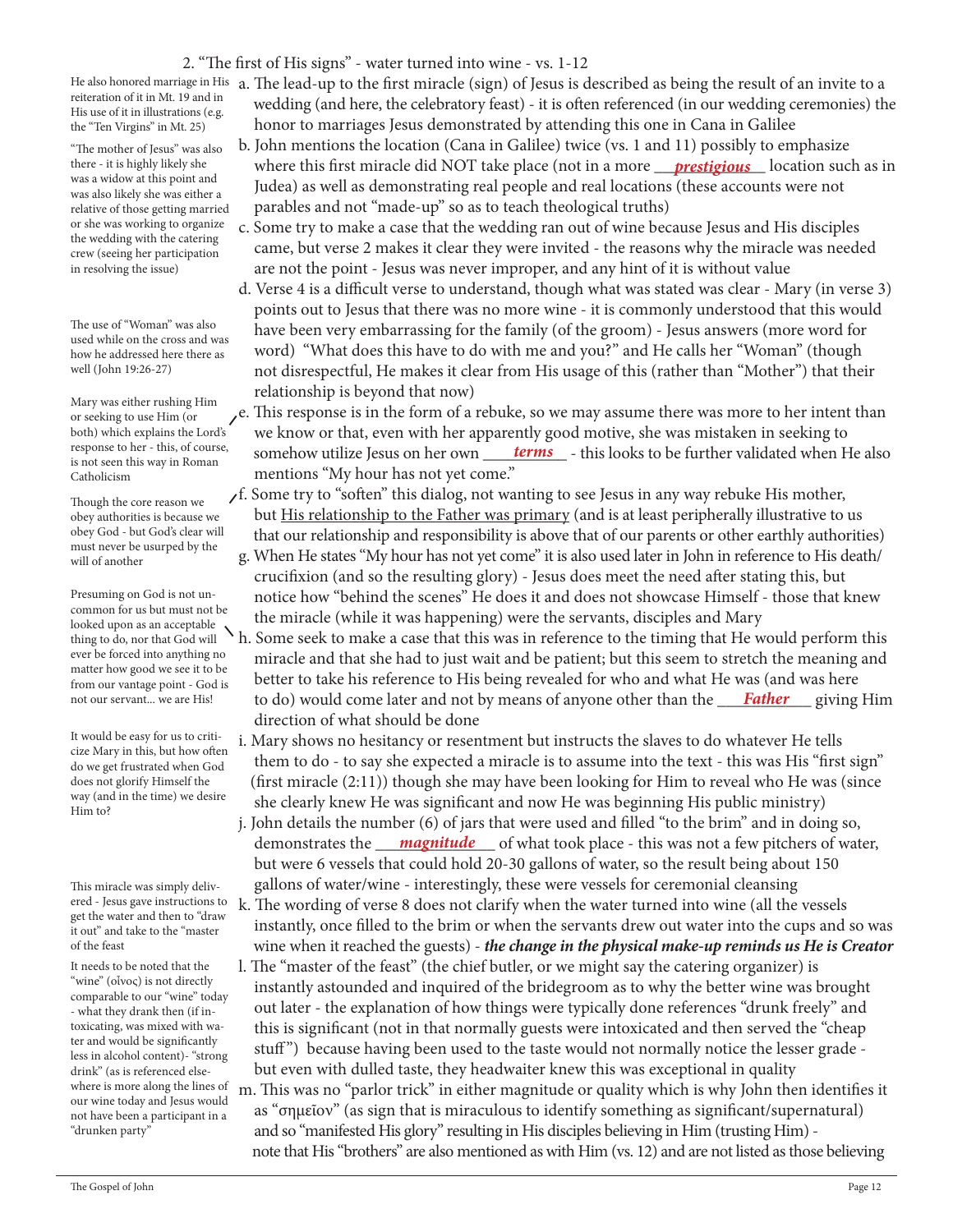## 2. "The first of His signs" - water turned into wine - vs. 1-12

reiteration of it in Mt. 19 and in His use of it in illustrations (e.g. the "Ten Virgins" in Mt. 25)

"The mother of Jesus" was also there - it is highly likely she was a widow at this point and was also likely she was either a relative of those getting married or she was working to organize the wedding with the catering crew (seeing her participation in resolving the issue)

The use of "Woman" was also used while on the cross and was how he addressed here there as well (John 19:26-27)

Mary was either rushing Him or seeking to use Him (or both) which explains the Lord's response to her - this, of course, is not seen this way in Roman Catholicism

Though the core reason we obey authorities is because we obey God - but God's clear will must never be usurped by the will of another

Presuming on God is not uncommon for us but must not be looked upon as an acceptable thing to do, nor that God will ever be forced into anything no matter how good we see it to be from our vantage point - God is not our servant... we are His!

It would be easy for us to criticize Mary in this, but how often do we get frustrated when God does not glorify Himself the way (and in the time) we desire Him to?

This miracle was simply delivered - Jesus gave instructions to get the water and then to "draw it out" and take to the "master of the feast

It needs to be noted that the "wine" (οἶνος) is not directly comparable to our "wine" today - what they drank then (if intoxicating, was mixed with water and would be significantly less in alcohol content)- "strong drink" (as is referenced elsewhere is more along the lines of our wine today and Jesus would not have been a participant in a "drunken party"

He also honored marriage in His  $\,$  a. The lead-up to the first miracle (sign) of Jesus is described as being the result of an invite to a wedding (and here, the celebratory feast) - it is often referenced (in our wedding ceremonies) the honor to marriages Jesus demonstrated by attending this one in Cana in Galilee

- b. John mentions the location (Cana in Galilee) twice (vs. 1 and 11) possibly to emphasize there - it is highly likely she where this first miracle did NOT take place (not in a more <u>prestigious</u> location such as in Judea) as well as demonstrating real people and real locations (these accounts were not parables and not "made-up" so as to teach theological truths)
	- c. Some try to make a case that the wedding ran out of wine because Jesus and His disciples came, but verse 2 makes it clear they were invited - the reasons why the miracle was needed are not the point - Jesus was never improper, and any hint of it is without value
	- d. Verse 4 is a difficult verse to understand, though what was stated was clear Mary (in verse 3) points out to Jesus that there was no more wine - it is commonly understood that this would have been very embarrassing for the family (of the groom) - Jesus answers (more word for word) "What does this have to do with me and you?" and He calls her "Woman" (though not disrespectful, He makes it clear from His usage of this (rather than "Mother") that their relationship is beyond that now)
- $e$ . This response is in the form of a rebuke, so we may assume there was more to her intent than we know or that, even with her apparently good motive, she was mistaken in seeking to response to her - this, of course, somehow utilize Jesus on her own <u>terms</u> - this looks to be further validated when He also mentions "My hour has not yet come."

 f. Some try to "soften" this dialog, not wanting to see Jesus in any way rebuke His mother, but His relationship to the Father was primary (and is at least peripherally illustrative to us that our relationship and responsibility is above that of our parents or other earthly authorities)

- g. When He states "My hour has not yet come" it is also used later in John in reference to His death/ crucifixion (and so the resulting glory) - Jesus does meet the need after stating this, but notice how "behind the scenes" He does it and does not showcase Himself - those that knew the miracle (while it was happening) were the servants, disciples and Mary
- h. Some seek to make a case that this was in reference to the timing that He would perform this miracle and that she had to just wait and be patient; but this seem to stretch the meaning and better to take his reference to His being revealed for who and what He was (and was here not our servant... we are His! to do) would come later and not by means of anyone other than the <u>Father</u> giving Him direction of what should be done
	- i. Mary shows no hesitancy or resentment but instructs the slaves to do whatever He tells them to do - to say she expected a miracle is to assume into the text - this was His "first sign" (first miracle (2:11)) though she may have been looking for Him to reveal who He was (since she clearly knew He was significant and now He was beginning His public ministry)
- j. John details the number (6) of jars that were used and filled "to the brim" and in doing so, demonstrates the <u>magnitude</u> of what took place - this was not a few pitchers of water, but were 6 vessels that could hold 20-30 gallons of water, so the result being about 150 gallons of water/wine - interestingly, these were vessels for ceremonial cleansing
	- k. The wording of verse 8 does not clarify when the water turned into wine (all the vessels instantly, once filled to the brim or when the servants drew out water into the cups and so was wine when it reached the guests) - *the change in the physical make-up reminds us He is Creator*
	- l. The "master of the feast" (the chief butler, or we might say the catering organizer) is instantly astounded and inquired of the bridegroom as to why the better wine was brought out later - the explanation of how things were typically done references "drunk freely" and this is significant (not in that normally guests were intoxicated and then served the "cheap stuff") because having been used to the taste would not normally notice the lesser grade but even with dulled taste, they headwaiter knew this was exceptional in quality
	- m. This was no "parlor trick" in either magnitude or quality which is why John then identifies it as "σημεῖον" (as sign that is miraculous to identify something as significant/supernatural) and so "manifested His glory" resulting in His disciples believing in Him (trusting Him) note that His "brothers" are also mentioned as with Him (vs. 12) and are not listed as those believing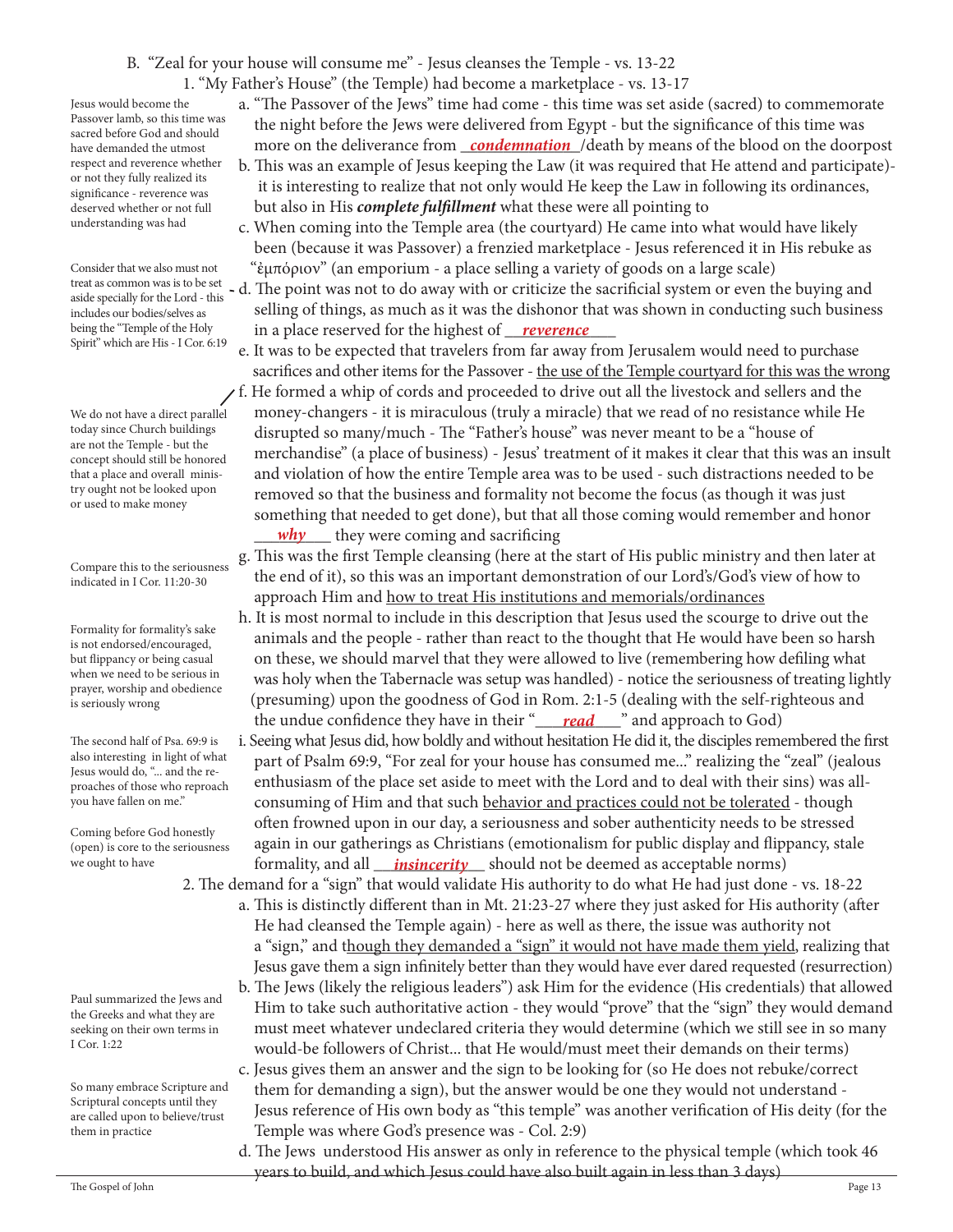# B. "Zeal for your house will consume me" - Jesus cleanses the Temple - vs. 13-22

1. "My Father's House" (the Temple) had become a marketplace - vs. 13-17

Jesus would become the Passover lamb, so this time was sacred before God and should have demanded the utmost respect and reverence whether or not they fully realized its significance - reverence was deserved whether or not full understanding was had

Consider that we also must not aside specially for the Lord - this includes our bodies/selves as being the "Temple of the Holy Spirit" which are His - I Cor. 6:19

We do not have a direct parallel today since Church buildings are not the Temple - but the concept should still be honored that a place and overall ministry ought not be looked upon or used to make money

Compare this to the seriousness indicated in I Cor. 11:20-30

Formality for formality's sake is not endorsed/encouraged, but flippancy or being casual when we need to be serious in prayer, worship and obedience is seriously wrong

The second half of Psa. 69:9 is also interesting in light of what Jesus would do, "... and the reproaches of those who reproach you have fallen on me."

Coming before God honestly (open) is core to the seriousness we ought to have

Paul summarized the Jews and the Greeks and what they are seeking on their own terms in I Cor. 1:22

So many embrace Scripture and Scriptural concepts until they are called upon to believe/trust them in practice

- a. "The Passover of the Jews" time had come this time was set aside (sacred) to commemorate the night before the Jews were delivered from Egypt - but the significance of this time was have demanded the utmost **contagata in the deliverance from <u>condemnation</u>** /death by means of the blood on the doorpost
	- b. This was an example of Jesus keeping the Law (it was required that He attend and participate) it is interesting to realize that not only would He keep the Law in following its ordinances, but also in His *complete fulfillment* what these were all pointing to
	- c. When coming into the Temple area (the courtyard) He came into what would have likely been (because it was Passover) a frenzied marketplace - Jesus referenced it in His rebuke as "ἐμπόριον" (an emporium - a place selling a variety of goods on a large scale)
- treat as common was is to be set d. The point was not to do away with or criticize the sacrificial system or even the buying and selling of things, as much as it was the dishonor that was shown in conducting such business being the "Temple of the Holy *in a place reserved for the highest of <u>reverence</u>*
- e. It was to be expected that travelers from far away from Jerusalem would need to purchase sacrifices and other items for the Passover - the use of the Temple courtyard for this was the wrong f. He formed a whip of cords and proceeded to drive out all the livestock and sellers and the money-changers - it is miraculous (truly a miracle) that we read of no resistance while He disrupted so many/much - The "Father's house" was never meant to be a "house of merchandise" (a place of business) - Jesus' treatment of it makes it clear that this was an insult and violation of how the entire Temple area was to be used - such distractions needed to be removed so that the business and formality not become the focus (as though it was just something that needed to get done), but that all those coming would remember and honor *why* they were coming and sacrificing
	- g. This was the first Temple cleansing (here at the start of His public ministry and then later at the end of it), so this was an important demonstration of our Lord's/God's view of how to approach Him and how to treat His institutions and memorials/ordinances
- h. It is most normal to include in this description that Jesus used the scourge to drive out the animals and the people - rather than react to the thought that He would have been so harsh on these, we should marvel that they were allowed to live (remembering how defiling what was holy when the Tabernacle was setup was handled) - notice the seriousness of treating lightly (presuming) upon the goodness of God in Rom. 2:1-5 (dealing with the self-righteous and the undue confidence they have in their "**\_\_\_\_\_\_\_\_\_\_\_\_**" and approach to God)
- i. Seeing what Jesus did, how boldly and without hesitation He did it, the disciples remembered the first part of Psalm 69:9, "For zeal for your house has consumed me..." realizing the "zeal" (jealous enthusiasm of the place set aside to meet with the Lord and to deal with their sins) was all consuming of Him and that such behavior and practices could not be tolerated - though often frowned upon in our day, a seriousness and sober authenticity needs to be stressed again in our gatherings as Christians (emotionalism for public display and flippancy, stale formality, and all \_\_\_\_\_\_\_\_\_\_\_\_\_ should not be deemed as acceptable norms) *insincerity*
	- 2. The demand for a "sign" that would validate His authority to do what He had just done vs. 18-22 a. This is distinctly different than in Mt. 21:23-27 where they just asked for His authority (after He had cleansed the Temple again) - here as well as there, the issue was authority not a "sign," and though they demanded a "sign" it would not have made them yield, realizing that Jesus gave them a sign infinitely better than they would have ever dared requested (resurrection)
		- b. The Jews (likely the religious leaders") ask Him for the evidence (His credentials) that allowed Him to take such authoritative action - they would "prove" that the "sign" they would demand must meet whatever undeclared criteria they would determine (which we still see in so many would-be followers of Christ... that He would/must meet their demands on their terms) c. Jesus gives them an answer and the sign to be looking for (so He does not rebuke/correct them for demanding a sign), but the answer would be one they would not understand - Jesus reference of His own body as "this temple" was another verification of His deity (for the
- Temple was where God's presence was Col. 2:9) d. The Jews understood His answer as only in reference to the physical temple (which took 46 years to build, and which Jesus could have also built again in less than 3 days)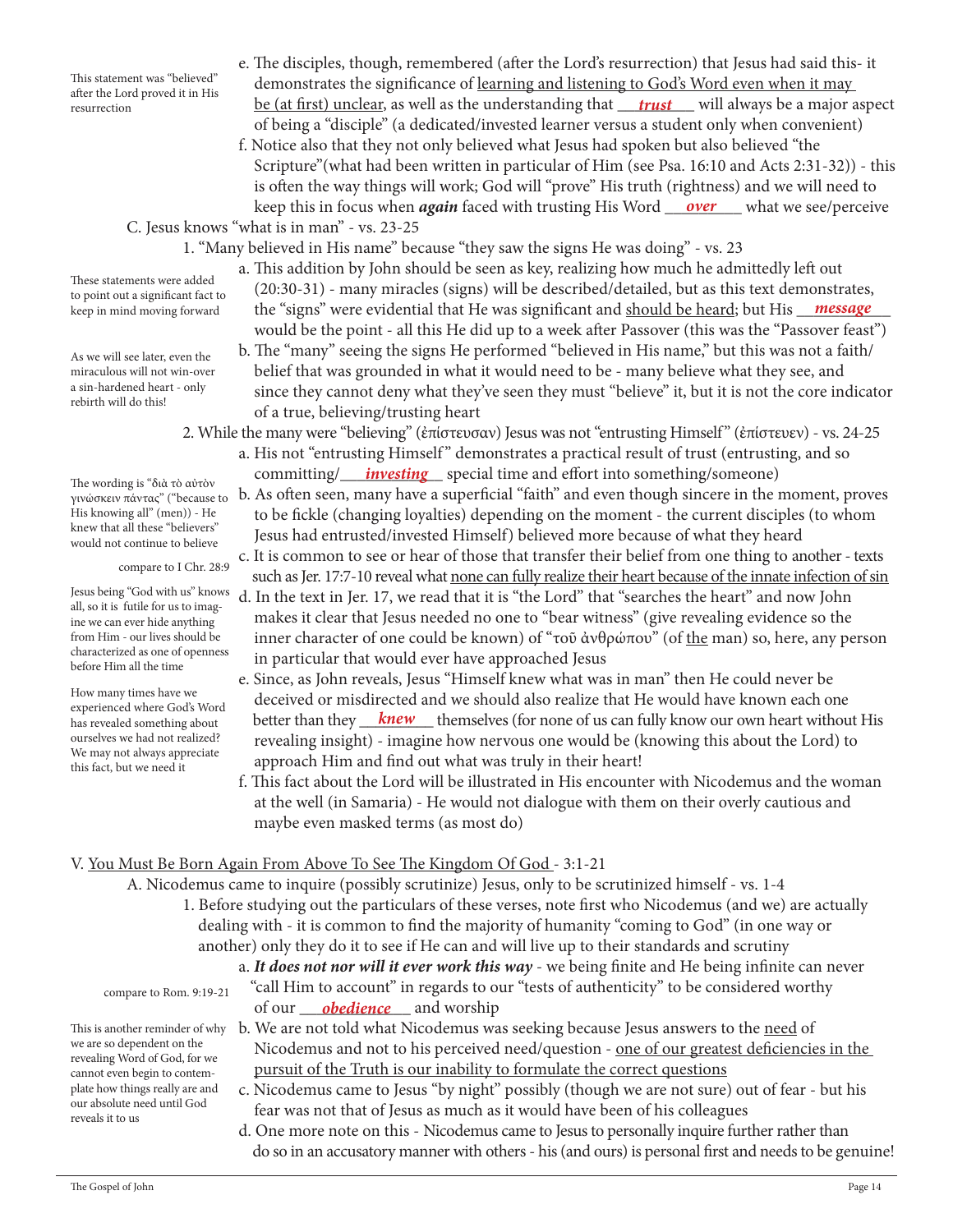This statement was "believed" after the Lord proved it in His resurrection

- e. The disciples, though, remembered (after the Lord's resurrection) that Jesus had said this- it demonstrates the significance of learning and listening to God's Word even when it may resurrection **be (at first) unclear, as well as the understanding that <u>trust</u> will always be a major aspect** of being a "disciple" (a dedicated/invested learner versus a student only when convenient)
- f. Notice also that they not only believed what Jesus had spoken but also believed "the Scripture"(what had been written in particular of Him (see Psa. 16:10 and Acts 2:31-32)) - this is often the way things will work; God will "prove" His truth (rightness) and we will need to keep this in focus when *again* faced with trusting His Word <u>\_\_\_\_over\_\_\_\_</u> what we see/perceive

C. Jesus knows "what is in man" - vs. 23-25

- 1. "Many believed in His name" because "they saw the signs He was doing" vs. 23
- a. This addition by John should be seen as key, realizing how much he admittedly left out (20:30-31) - many miracles (signs) will be described/detailed, but as this text demonstrates, keep in mind moving forward the "signs" were evidential that He was significant and <u>should be heard</u>; but His <u>\_\_\_**message** \_\_</u> would be the point - all this He did up to a week after Passover (this was the "Passover feast")
	- b. The "many" seeing the signs He performed "believed in His name," but this was not a faith/ belief that was grounded in what it would need to be - many believe what they see, and since they cannot deny what they've seen they must "believe" it, but it is not the core indicator of a true, believing/trusting heart
- 2. While the many were "believing" (ἐπίστευσαν) Jesus was not "entrusting Himself" (ἐπίστευεν) vs. 24-25 a. His not "entrusting Himself" demonstrates a practical result of trust (entrusting, and so The wording is "*Sels To girth*y committing/<u>*investing*</u> special time and effort into something/someone)
	- b. As often seen, many have a superficial "faith" and even though sincere in the moment, proves to be fickle (changing loyalties) depending on the moment - the current disciples (to whom Jesus had entrusted/invested Himself) believed more because of what they heard
	- c. It is common to see or hear of those that transfer their belief from one thing to another texts such as Jer. 17:7-10 reveal what none can fully realize their heart because of the innate infection of sin
	- d. In the text in Jer. 17, we read that it is "the Lord" that "searches the heart" and now John makes it clear that Jesus needed no one to "bear witness" (give revealing evidence so the inner character of one could be known) of "τοῦ ἀνθρώπου" (of the man) so, here, any person in particular that would ever have approached Jesus
- e. Since, as John reveals, Jesus "Himself knew what was in man" then He could never be deceived or misdirected and we should also realize that He would have known each one has revealed something about better than they <u>knew</u> themselves (for none of us can fully know our own heart without His revealing insight) - imagine how nervous one would be (knowing this about the Lord) to approach Him and find out what was truly in their heart!
	- f. This fact about the Lord will be illustrated in His encounter with Nicodemus and the woman at the well (in Samaria) - He would not dialogue with them on their overly cautious and maybe even masked terms (as most do)

# V. You Must Be Born Again From Above To See The Kingdom Of God - 3:1-21

A. Nicodemus came to inquire (possibly scrutinize) Jesus, only to be scrutinized himself - vs. 1-4

- 1. Before studying out the particulars of these verses, note first who Nicodemus (and we) are actually dealing with - it is common to find the majority of humanity "coming to God" (in one way or another) only they do it to see if He can and will live up to their standards and scrutiny
- a. *It does not nor will it ever work this way* we being finite and He being infinite can never "call Him to account" in regards to our "tests of authenticity" to be considered worthy of our <u>obedience</u> and worship
- This is another reminder of why b. We are not told what Nicodemus was seeking because Jesus answers to the <u>need</u> of Nicodemus and not to his perceived need/question - one of our greatest deficiencies in the pursuit of the Truth is our inability to formulate the correct questions
	- c. Nicodemus came to Jesus "by night" possibly (though we are not sure) out of fear but his fear was not that of Jesus as much as it would have been of his colleagues
	- d. One more note on this Nicodemus came to Jesus to personally inquire further rather than do so in an accusatory manner with others - his (and ours) is personal first and needs to be genuine!

These statements were added to point out a significant fact to

As we will see later, even the miraculous will not win-over a sin-hardened heart - only rebirth will do this!

The wording is "διὰ τὸ αὐτὸν γινώσκειν πάντας" ("because to His knowing all" (men)) - He knew that all these "believers" would not continue to believe

compare to I Chr. 28:9

Jesus being "God with us" knows all, so it is futile for us to imagine we can ever hide anything from Him - our lives should be characterized as one of openness before Him all the time

How many times have we experienced where God's Word has revealed something about ourselves we had not realized? We may not always appreciate this fact, but we need it

compare to Rom. 9:19-21

we are so dependent on the revealing Word of God, for we cannot even begin to contemplate how things really are and our absolute need until God

reveals it to us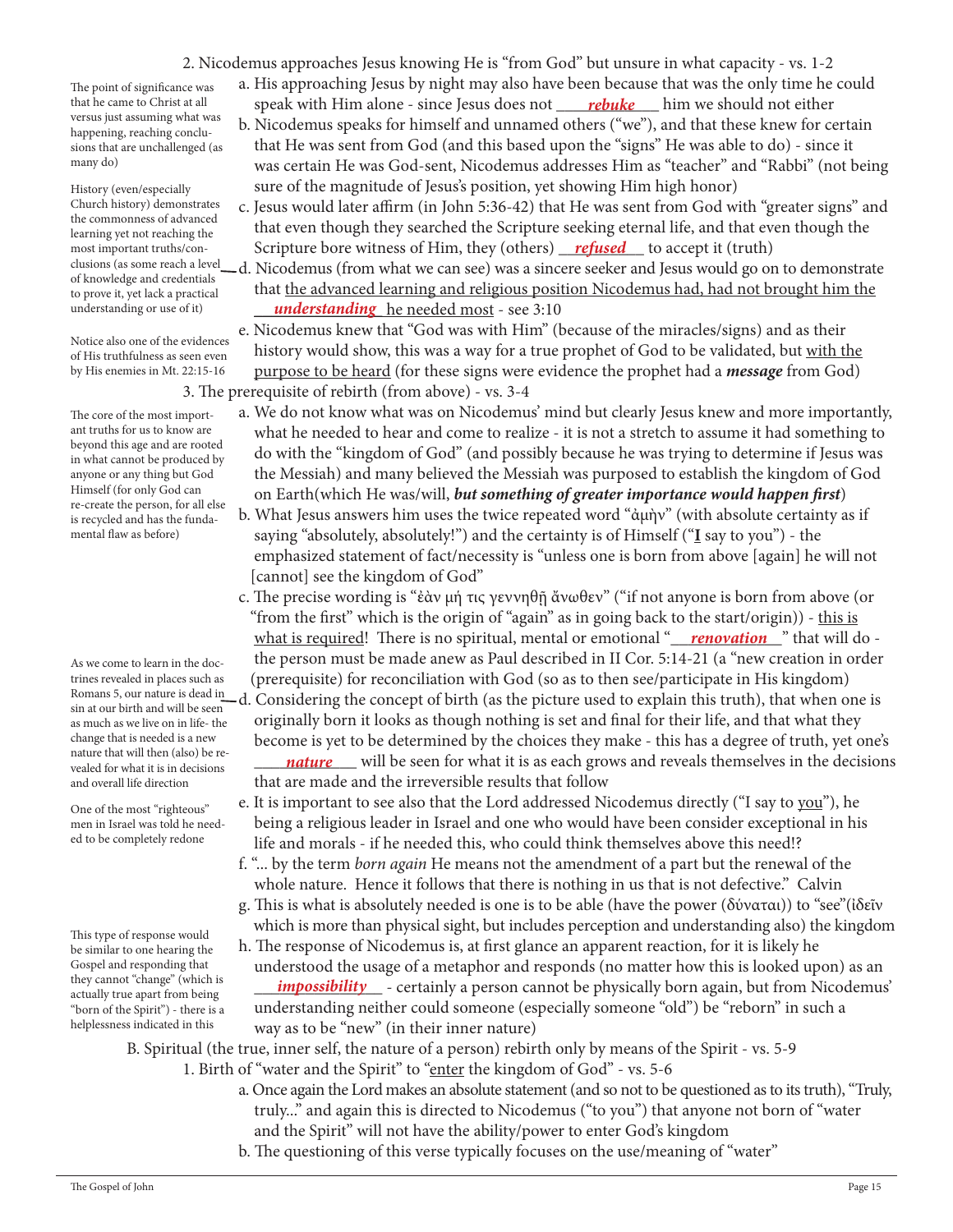2. Nicodemus approaches Jesus knowing He is "from God" but unsure in what capacity - vs. 1-2

The point of significance was that he came to Christ at all versus just assuming what was happening, reaching conclusions that are unchallenged (as many do)

History (even/especially Church history) demonstrates the commonness of advanced learning yet not reaching the most important truths/conof knowledge and credentials to prove it, yet lack a practical understanding or use of it)

Notice also one of the evidences of His truthfulness as seen even by His enemies in Mt. 22:15-16

The core of the most important truths for us to know are beyond this age and are rooted in what cannot be produced by anyone or any thing but God Himself (for only God can re-create the person, for all else is recycled and has the fundamental flaw as before)

As we come to learn in the doctrines revealed in places such as Romans 5, our nature is dead in sin at our birth and will be seen as much as we live on in life- the change that is needed is a new nature that will then (also) be revealed for what it is in decisions and overall life direction

One of the most "righteous" men in Israel was told he needed to be completely redone

This type of response would be similar to one hearing the Gospel and responding that they cannot "change" (which is actually true apart from being "born of the Spirit") - there is a helplessness indicated in this

 a. His approaching Jesus by night may also have been because that was the only time he could that he came to Christ at all speak with Him alone - since Jesus does not <u>rebuke</u> him we should not either

- b. Nicodemus speaks for himself and unnamed others ("we"), and that these knew for certain that He was sent from God (and this based upon the "signs" He was able to do) - since it was certain He was God-sent, Nicodemus addresses Him as "teacher" and "Rabbi" (not being sure of the magnitude of Jesus's position, yet showing Him high honor)
- c. Jesus would later affirm (in John 5:36-42) that He was sent from God with "greater signs" and that even though they searched the Scripture seeking eternal life, and that even though the most important truths/con-**Scripture bore witness of Him, they (others)** refused to accept it (truth)
- clusions (as some reach a level—d. Nicodemus (from what we can see) was a sincere seeker and Jesus would go on to demonstrate that the advanced learning and religious position Nicodemus had, had not brought him the understanding or use of it) **understanding** he needed most - see 3:10

 e. Nicodemus knew that "God was with Him" (because of the miracles/signs) and as their history would show, this was a way for a true prophet of God to be validated, but with the purpose to be heard (for these signs were evidence the prophet had a *message* from God) 3. The prerequisite of rebirth (from above) - vs. 3-4

- a. We do not know what was on Nicodemus' mind but clearly Jesus knew and more importantly, what he needed to hear and come to realize - it is not a stretch to assume it had something to do with the "kingdom of God" (and possibly because he was trying to determine if Jesus was the Messiah) and many believed the Messiah was purposed to establish the kingdom of God on Earth(which He was/will, *but something of greater importance would happen first*)
- b. What Jesus answers him uses the twice repeated word "ἀμὴν" (with absolute certainty as if saying "absolutely, absolutely!") and the certainty is of Himself ("**I** say to you") - the emphasized statement of fact/necessity is "unless one is born from above [again] he will not [cannot] see the kingdom of God"
- c. The precise wording is "ἐὰν μή τις γεννηθῇ ἄνωθεν" ("if not anyone is born from above (or "from the first" which is the origin of "again" as in going back to the start/origin)) - this is what is required! There is no spiritual, mental or emotional "<u>\_\_\_\_\_\_\_\_\_\_\_\_\_\_\_\_\_</u>" that will do the person must be made anew as Paul described in II Cor. 5:14-21 (a "new creation in order (prerequisite) for reconciliation with God (so as to then see/participate in His kingdom) d. Considering the concept of birth (as the picture used to explain this truth), that when one is

 originally born it looks as though nothing is set and final for their life, and that what they become is yet to be determined by the choices they make - this has a degree of truth, yet one's radule that will then (also) be re-<br>vealed for what it is in decisions <u>anature</u> will be seen for what it is as each grows and reveals themselves in the decisions

- that are made and the irreversible results that follow e. It is important to see also that the Lord addressed Nicodemus directly ("I say to you"), he being a religious leader in Israel and one who would have been consider exceptional in his life and morals - if he needed this, who could think themselves above this need!?
- f. "... by the term *born again* He means not the amendment of a part but the renewal of the whole nature. Hence it follows that there is nothing in us that is not defective." Calvin
- g. This is what is absolutely needed is one is to be able (have the power (δύναται)) to "see"(ἰδεῖν which is more than physical sight, but includes perception and understanding also) the kingdom
- h. The response of Nicodemus is, at first glance an apparent reaction, for it is likely he understood the usage of a metaphor and responds (no matter how this is looked upon) as an actually true apart from being *impossibility* - certainly a person cannot be physically born again, but from Nicodemus' understanding neither could someone (especially someone "old") be "reborn" in such a way as to be "new" (in their inner nature)

B. Spiritual (the true, inner self, the nature of a person) rebirth only by means of the Spirit - vs. 5-9

- 1. Birth of "water and the Spirit" to "enter the kingdom of God" vs. 5-6
	- a. Once again the Lord makes an absolute statement (and so not to be questioned as to its truth), "Truly, truly..." and again this is directed to Nicodemus ("to you") that anyone not born of "water and the Spirit" will not have the ability/power to enter God's kingdom
	- b. The questioning of this verse typically focuses on the use/meaning of "water"

The Gospel of John Page 15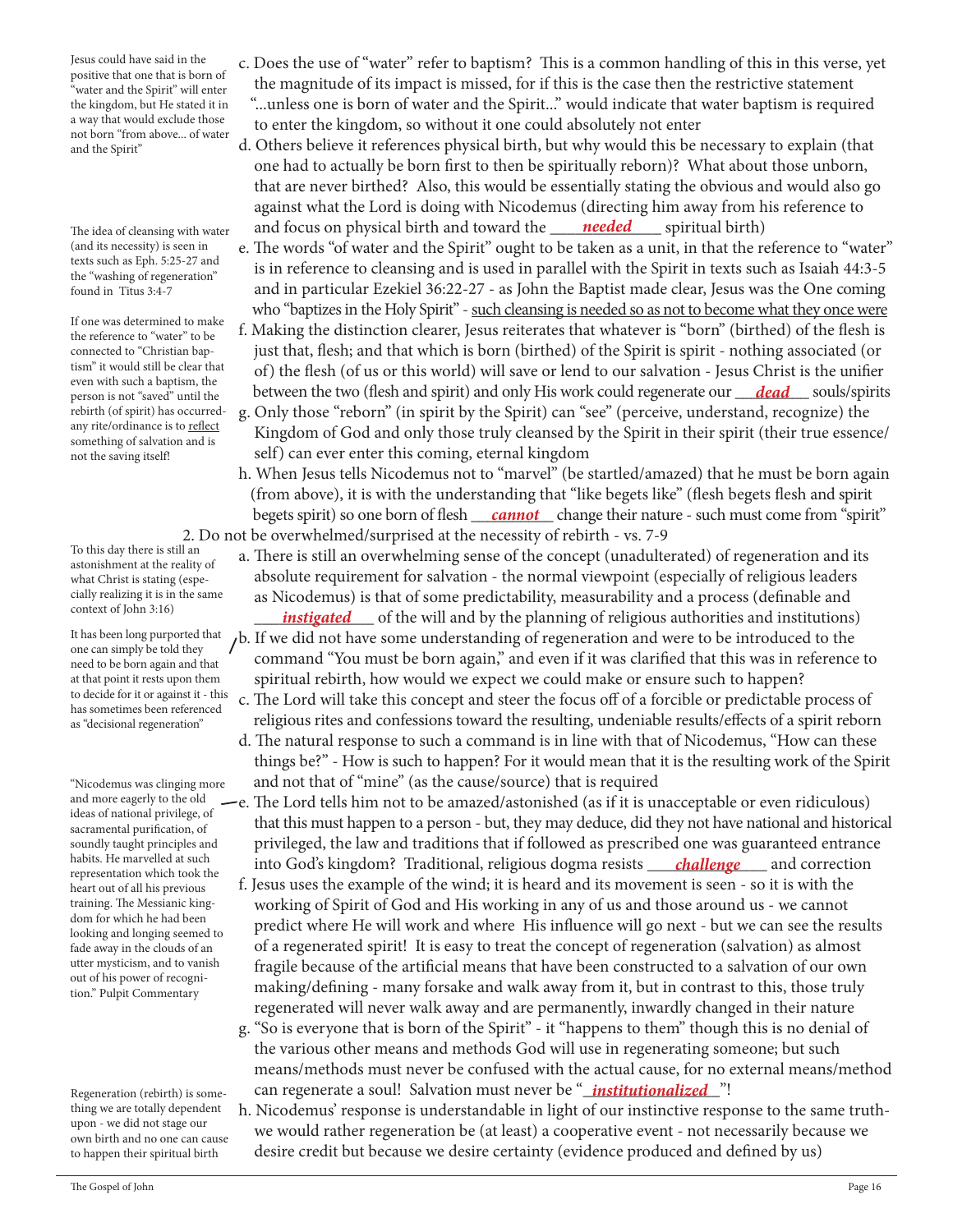Jesus could have said in the positive that one that is born of "water and the Spirit" will enter the kingdom, but He stated it in a way that would exclude those not born "from above... of water and the Spirit"

The idea of cleansing with water (and its necessity) is seen in texts such as Eph. 5:25-27 and the "washing of regeneration" found in Titus 3:4-7

If one was determined to make the reference to "water" to be connected to "Christian baptism" it would still be clear that even with such a baptism, the person is not "saved" until the rebirth (of spirit) has occurredany rite/ordinance is to reflect something of salvation and is not the saving itself!

To this day there is still an astonishment at the reality of what Christ is stating (especially realizing it is in the same context of John 3:16)

It has been long purported that one can simply be told they need to be born again and that at that point it rests upon them to decide for it or against it - this has sometimes been referenced as "decisional regeneration"

"Nicodemus was clinging more and more eagerly to the old ideas of national privilege, of sacramental purification, of soundly taught principles and habits. He marvelled at such representation which took the heart out of all his previous training. The Messianic kingdom for which he had been looking and longing seemed to fade away in the clouds of an utter mysticism, and to vanish out of his power of recognition." Pulpit Commentary

Regeneration (rebirth) is something we are totally dependent upon - we did not stage our own birth and no one can cause to happen their spiritual birth

- c. Does the use of "water" refer to baptism? This is a common handling of this in this verse, yet the magnitude of its impact is missed, for if this is the case then the restrictive statement "...unless one is born of water and the Spirit..." would indicate that water baptism is required to enter the kingdom, so without it one could absolutely not enter
- d. Others believe it references physical birth, but why would this be necessary to explain (that one had to actually be born first to then be spiritually reborn)? What about those unborn, that are never birthed? Also, this would be essentially stating the obvious and would also go against what the Lord is doing with Nicodemus (directing him away from his reference to The idea of cleansing with water and focus on physical birth and toward the <u>needed</u> spiritual birth)
	- e. The words "of water and the Spirit" ought to be taken as a unit, in that the reference to "water" is in reference to cleansing and is used in parallel with the Spirit in texts such as Isaiah 44:3-5 and in particular Ezekiel 36:22-27 - as John the Baptist made clear, Jesus was the One coming who "baptizes in the Holy Spirit" - such cleansing is needed so as not to become what they once were
- f. Making the distinction clearer, Jesus reiterates that whatever is "born" (birthed) of the flesh is just that, flesh; and that which is born (birthed) of the Spirit is spirit - nothing associated (or of) the flesh (of us or this world) will save or lend to our salvation - Jesus Christ is the unifier person is not "saved" until the between the two (flesh and spirit) and only His work could regenerate our <u>dead</u> souls/spirits
	- g. Only those "reborn" (in spirit by the Spirit) can "see" (perceive, understand, recognize) the Kingdom of God and only those truly cleansed by the Spirit in their spirit (their true essence/ self) can ever enter this coming, eternal kingdom
- h. When Jesus tells Nicodemus not to "marvel" (be startled/amazed) that he must be born again (from above), it is with the understanding that "like begets like" (flesh begets flesh and spirit begets spirit) so one born of flesh <u>cannot</u> change their nature - such must come from "spirit" 2. Do not be overwhelmed/surprised at the necessity of rebirth - vs. 7-9
	- a. There is still an overwhelming sense of the concept (unadulterated) of regeneration and its absolute requirement for salvation - the normal viewpoint (especially of religious leaders as Nicodemus) is that of some predictability, measurability and a process (definable and
- <sup>*instigated* of the will and by the planning of religious authorities and institutions)</sup>  $b$ . If we did not have some understanding of regeneration and were to be introduced to the command "You must be born again," and even if it was clarified that this was in reference to spiritual rebirth, how would we expect we could make or ensure such to happen?
	- c. The Lord will take this concept and steer the focus off of a forcible or predictable process of religious rites and confessions toward the resulting, undeniable results/effects of a spirit reborn
	- d. The natural response to such a command is in line with that of Nicodemus, "How can these things be?" - How is such to happen? For it would mean that it is the resulting work of the Spirit and not that of "mine" (as the cause/source) that is required
- e. The Lord tells him not to be amazed/astonished (as if it is unacceptable or even ridiculous) that this must happen to a person - but, they may deduce, did they not have national and historical privileged, the law and traditions that if followed as prescribed one was guaranteed entrance habits. He marvelled at such and to God's kingdom? Traditional, religious dogma resists <u>challenge a</u>nd correction
	- f. Jesus uses the example of the wind; it is heard and its movement is seen so it is with the working of Spirit of God and His working in any of us and those around us - we cannot predict where He will work and where His influence will go next - but we can see the results of a regenerated spirit! It is easy to treat the concept of regeneration (salvation) as almost fragile because of the artificial means that have been constructed to a salvation of our own making/defining - many forsake and walk away from it, but in contrast to this, those truly regenerated will never walk away and are permanently, inwardly changed in their nature
- g. "So is everyone that is born of the Spirit" it "happens to them" though this is no denial of the various other means and methods God will use in regenerating someone; but such means/methods must never be confused with the actual cause, for no external means/method Regeneration (rebirth) is some-can regenerate a soul! Salvation must never be "*\_institutionalized\_*"!
	- h. Nicodemus' response is understandable in light of our instinctive response to the same truth we would rather regeneration be (at least) a cooperative event - not necessarily because we desire credit but because we desire certainty (evidence produced and defined by us)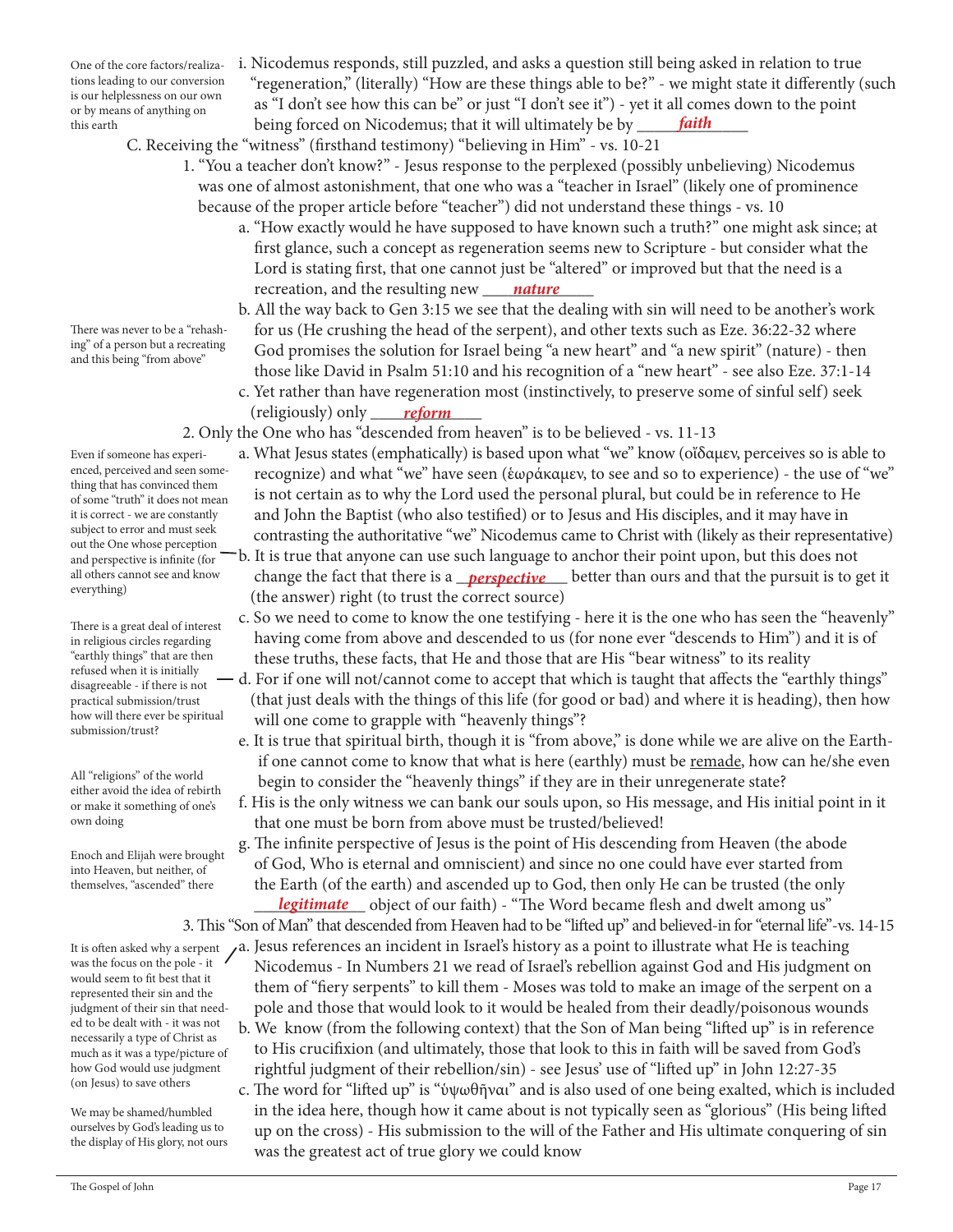One of the core factors/realizations leading to our conversion is our helplessness on our own or by means of anything on this earth

There was never to be a "rehashing" of a person but a recreating

and this being "from above"

Even if someone has experienced, perceived and seen something that has convinced them of some "truth" it does not mean it is correct - we are constantly subject to error and must seek out the One whose perception and perspective is infinite (for all others cannot see and know everything)

There is a great deal of interest in religious circles regarding "earthly things" that are then refused when it is initially disagreeable - if there is not practical submission/trust how will there ever be spiritual submission/trust?

All "religions" of the world either avoid the idea of rebirth or make it something of one's own doing

Enoch and Elijah were brought into Heaven, but neither, of themselves, "ascended" there

It is often asked why a serpent was the focus on the pole - it would seem to fit best that it represented their sin and the judgment of their sin that needed to be dealt with - it was not necessarily a type of Christ as much as it was a type/picture of how God would use judgment (on Jesus) to save others

We may be shamed/humbled ourselves by God's leading us to the display of His glory, not ours

- i. Nicodemus responds, still puzzled, and asks a question still being asked in relation to true "regeneration," (literally) "How are these things able to be?" - we might state it differently (such as "I don't see how this can be" or just "I don't see it") - yet it all comes down to the point being forced on Nicodemus; that it will ultimately be by *faith*
- C. Receiving the "witness" (firsthand testimony) "believing in Him" vs. 10-21
	- 1. "You a teacher don't know?" Jesus response to the perplexed (possibly unbelieving) Nicodemus was one of almost astonishment, that one who was a "teacher in Israel" (likely one of prominence because of the proper article before "teacher") did not understand these things - vs. 10
- a. "How exactly would he have supposed to have known such a truth?" one might ask since; at first glance, such a concept as regeneration seems new to Scripture - but consider what the Lord is stating first, that one cannot just be "altered" or improved but that the need is a recreation, and the resulting new <u>\_\_\_\_\_\_nature</u>
	- b. All the way back to Gen 3:15 we see that the dealing with sin will need to be another's work for us (He crushing the head of the serpent), and other texts such as Eze. 36:22-32 where God promises the solution for Israel being "a new heart" and "a new spirit" (nature) - then those like David in Psalm 51:10 and his recognition of a "new heart" - see also Eze. 37:1-14
- c. Yet rather than have regeneration most (instinctively, to preserve some of sinful self) seek (religiously) only \_\_\_\_\_\_\_\_\_\_\_\_\_ *reform*
	- 2. Only the One who has "descended from heaven" is to be believed vs. 11-13
		- a. What Jesus states (emphatically) is based upon what "we" know (οἴδαμεν, perceives so is able to recognize) and what "we" have seen (ἑωράκαμεν, to see and so to experience) - the use of "we" is not certain as to why the Lord used the personal plural, but could be in reference to He and John the Baptist (who also testified) or to Jesus and His disciples, and it may have in contrasting the authoritative "we" Nicodemus came to Christ with (likely as their representative)
- b. It is true that anyone can use such language to anchor their point upon, but this does not all others cannot see and know change the fact that there is a *\_\_perspective* better than ours and that the pursuit is to get it (the answer) right (to trust the correct source)
	- c. So we need to come to know the one testifying here it is the one who has seen the "heavenly" having come from above and descended to us (for none ever "descends to Him") and it is of these truths, these facts, that He and those that are His "bear witness" to its reality
	- d. For if one will not/cannot come to accept that which is taught that affects the "earthly things" (that just deals with the things of this life (for good or bad) and where it is heading), then how will one come to grapple with "heavenly things"?
		- e. It is true that spiritual birth, though it is "from above," is done while we are alive on the Earth if one cannot come to know that what is here (earthly) must be remade, how can he/she even begin to consider the "heavenly things" if they are in their unregenerate state?
		- f. His is the only witness we can bank our souls upon, so His message, and His initial point in it that one must be born from above must be trusted/believed!

 g. The infinite perspective of Jesus is the point of His descending from Heaven (the abode of God, Who is eternal and omniscient) and since no one could have ever started from the Earth (of the earth) and ascended up to God, then only He can be trusted (the only \_\_\_\_\_\_\_\_\_\_\_\_\_ object of our faith) - "The Word became flesh and dwelt among us" *legitimate*

3. This "Son of Man" that descended from Heaven had to be "lifted up" and believed-in for "eternal life"-vs. 14-15

- a. Jesus references an incident in Israel's history as a point to illustrate what He is teaching Nicodemus - In Numbers 21 we read of Israel's rebellion against God and His judgment on them of "fiery serpents" to kill them - Moses was told to make an image of the serpent on a pole and those that would look to it would be healed from their deadly/poisonous wounds
- b. We know (from the following context) that the Son of Man being "lifted up" is in reference to His crucifixion (and ultimately, those that look to this in faith will be saved from God's rightful judgment of their rebellion/sin) - see Jesus' use of "lifted up" in John 12:27-35
- c. The word for "lifted up" is "ὑψωθῆναι" and is also used of one being exalted, which is included in the idea here, though how it came about is not typically seen as "glorious" (His being lifted up on the cross) - His submission to the will of the Father and His ultimate conquering of sin was the greatest act of true glory we could know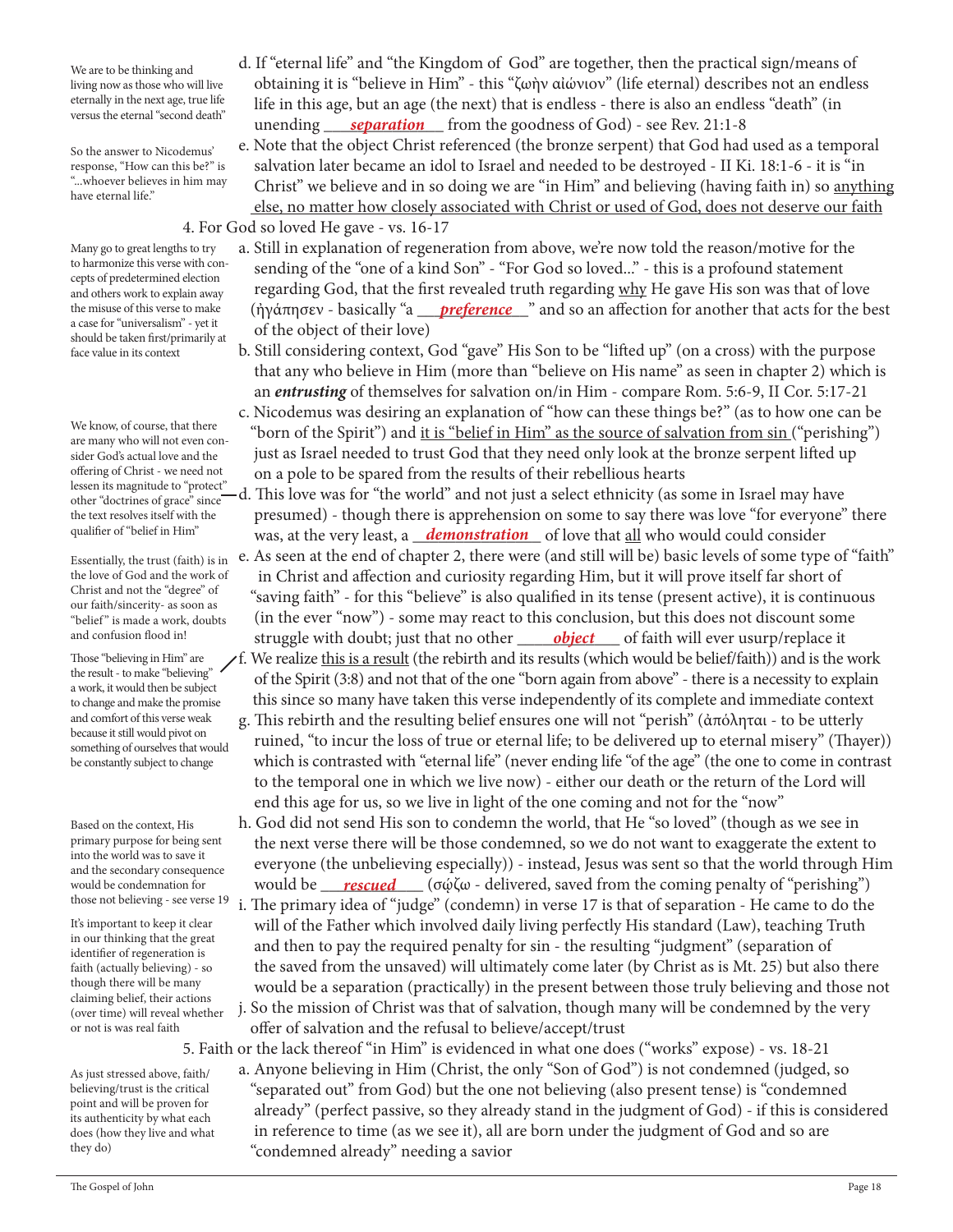We are to be thinking and living now as those who will live eternally in the next age, true life versus the eternal "second death"

So the answer to Nicodemus' response, "How can this be?" is "...whoever believes in him may have eternal life."

Many go to great lengths to try to harmonize this verse with concepts of predetermined election and others work to explain away the misuse of this verse to make a case for "universalism" - yet it should be taken first/primarily at

face value in its context

We know, of course, that there are many who will not even consider God's actual love and the offering of Christ - we need not lessen its magnitude to "protect" other "doctrines of grace" since the text resolves itself with the qualifier of "belief in Him"

Essentially, the trust (faith) is in the love of God and the work of Christ and not the "degree" of our faith/sincerity- as soon as "belief" is made a work, doubts and confusion flood in!

Those "believing in Him" are the result - to make "believing" a work, it would then be subject to change and make the promise and comfort of this verse weak because it still would pivot on something of ourselves that would be constantly subject to change

Based on the context, His primary purpose for being sent into the world was to save it and the secondary consequence would be condemnation for

It's important to keep it clear in our thinking that the great identifier of regeneration is faith (actually believing) - so though there will be many claiming belief, their actions (over time) will reveal whether or not is was real faith

As just stressed above, faith/ believing/trust is the critical point and will be proven for its authenticity by what each does (how they live and what they do)

- d. If "eternal life" and "the Kingdom of God" are together, then the practical sign/means of obtaining it is "believe in Him" - this "ζωὴν αἰώνιον" (life eternal) describes not an endless life in this age, but an age (the next) that is endless - there is also an endless "death" (in <sup>derig</sup> unending <u>separation</u> from the goodness of God) - see Rev. 21:1-8
	- e. Note that the object Christ referenced (the bronze serpent) that God had used as a temporal salvation later became an idol to Israel and needed to be destroyed - II Ki. 18:1-6 - it is "in Christ" we believe and in so doing we are "in Him" and believing (having faith in) so anything else, no matter how closely associated with Christ or used of God, does not deserve our faith 4. For God so loved He gave - vs. 16-17
- a. Still in explanation of regeneration from above, we're now told the reason/motive for the sending of the "one of a kind Son" - "For God so loved..." - this is a profound statement regarding God, that the first revealed truth regarding why He gave His son was that of love the misuse of this verse to make (ἠγάπησεν - basically "a <u>preference w</u>" and so an affection for another that acts for the best of the object of their love)
	- b. Still considering context, God "gave" His Son to be "lifted up" (on a cross) with the purpose that any who believe in Him (more than "believe on His name" as seen in chapter 2) which is an *entrusting* of themselves for salvation on/in Him - compare Rom. 5:6-9, II Cor. 5:17-21 c. Nicodemus was desiring an explanation of "how can these things be?" (as to how one can be
	- "born of the Spirit") and it is "belief in Him" as the source of salvation from sin ("perishing") just as Israel needed to trust God that they need only look at the bronze serpent lifted up on a pole to be spared from the results of their rebellious hearts
- d. This love was for "the world" and not just a select ethnicity (as some in Israel may have presumed) - though there is apprehension on some to say there was love "for everyone" there qualiher of "beliet in Him" was, at the very least, a <u>demonstration</u> of love that <u>all</u> who would could consider
- e. As seen at the end of chapter 2, there were (and still will be) basic levels of some type of "faith" in Christ and affection and curiosity regarding Him, but it will prove itself far short of "saving faith" - for this "believe" is also qualified in its tense (present active), it is continuous (in the ever "now") - some may react to this conclusion, but this does not discount some and confusion flood in!<sub>struggle</sub> with doubt; just that no other <u>object</u> of faith will ever usurp/replace it
	- f. We realize this is a result (the rebirth and its results (which would be belief/faith)) and is the work of the Spirit (3:8) and not that of the one "born again from above" - there is a necessity to explain this since so many have taken this verse independently of its complete and immediate context
	- g. This rebirth and the resulting belief ensures one will not "perish" (ἀπόληται to be utterly ruined, "to incur the loss of true or eternal life; to be delivered up to eternal misery" (Thayer)) which is contrasted with "eternal life" (never ending life "of the age" (the one to come in contrast to the temporal one in which we live now) - either our death or the return of the Lord will end this age for us, so we live in light of the one coming and not for the "now"
- h. God did not send His son to condemn the world, that He "so loved" (though as we see in the next verse there will be those condemned, so we do not want to exaggerate the extent to everyone (the unbelieving especially)) - instead, Jesus was sent so that the world through Him would be condemnation for would be <u>rescued</u> (σώζω - delivered, saved from the coming penalty of "perishing")
- those not believing see verse 19 i. The primary idea of "judge" (condemn) in verse 17 is that of separation He came to do the will of the Father which involved daily living perfectly His standard (Law), teaching Truth and then to pay the required penalty for sin - the resulting "judgment" (separation of the saved from the unsaved) will ultimately come later (by Christ as is Mt. 25) but also there would be a separation (practically) in the present between those truly believing and those not j. So the mission of Christ was that of salvation, though many will be condemned by the very
	- offer of salvation and the refusal to believe/accept/trust

5. Faith or the lack thereof "in Him" is evidenced in what one does ("works" expose) - vs. 18-21

 a. Anyone believing in Him (Christ, the only "Son of God") is not condemned (judged, so "separated out" from God) but the one not believing (also present tense) is "condemned already" (perfect passive, so they already stand in the judgment of God) - if this is considered in reference to time (as we see it), all are born under the judgment of God and so are "condemned already" needing a savior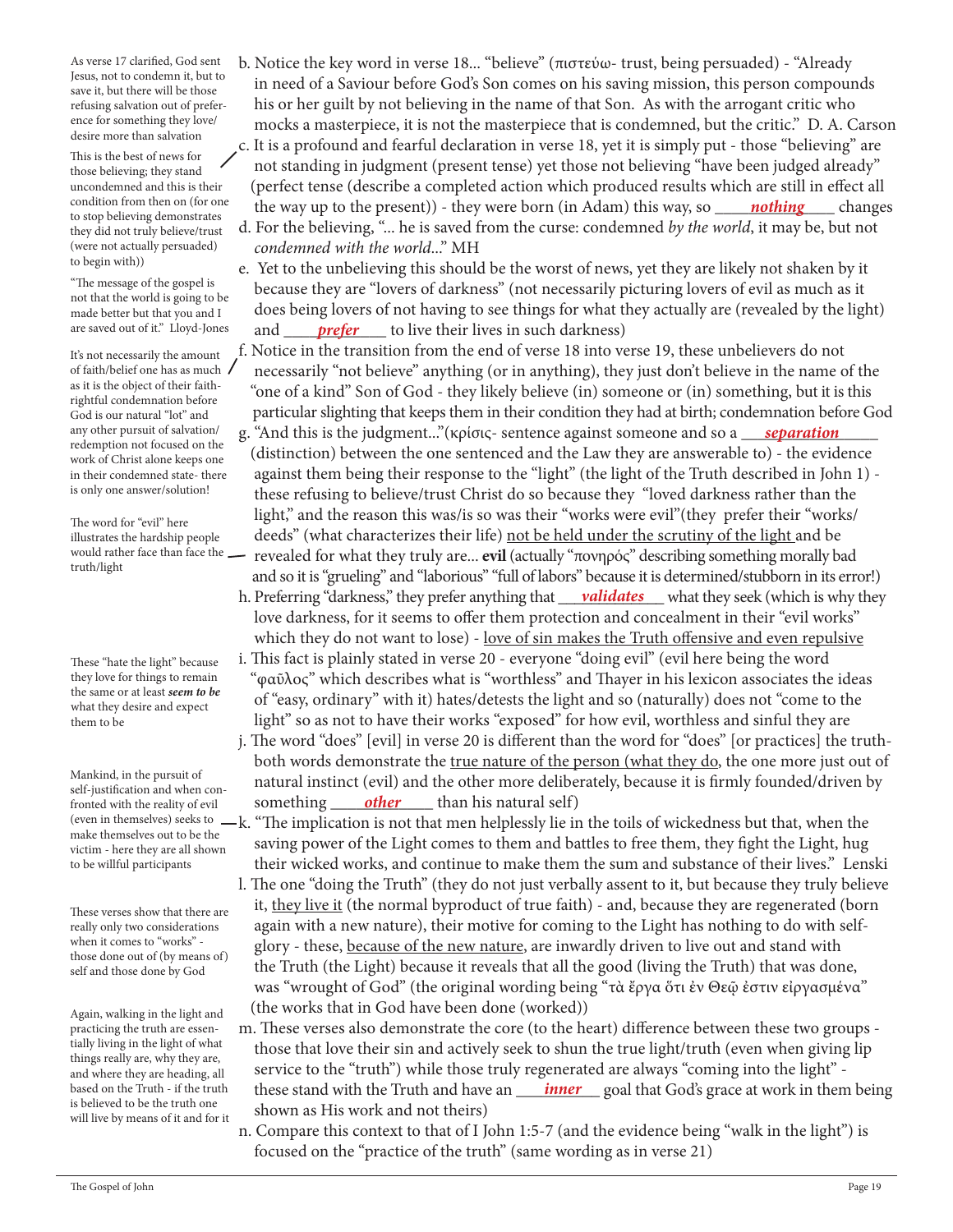As verse 17 clarified, God sent Jesus, not to condemn it, but to save it, but there will be those refusing salvation out of preference for something they love/ desire more than salvation

This is the best of news for those believing; they stand uncondemned and this is their condition from then on (for one to stop believing demonstrates they did not truly believe/trust (were not actually persuaded) to begin with))

"The message of the gospel is not that the world is going to be made better but that you and I are saved out of it." Lloyd-Jones

It's not necessarily the amount of faith/belief one has as much as it is the object of their faithrightful condemnation before God is our natural "lot" and any other pursuit of salvation/ redemption not focused on the work of Christ alone keeps one in their condemned state- there is only one answer/solution!

The word for "evil" here illustrates the hardship people would rather face than face the truth/light

These "hate the light" because they love for things to remain the same or at least *seem to be* what they desire and expect them to be

Mankind, in the pursuit of self-justification and when confronted with the reality of evil (even in themselves) seeks to make themselves out to be the victim - here they are all shown to be willful participants

These verses show that there are really only two considerations when it comes to "works" those done out of (by means of) self and those done by God

Again, walking in the light and practicing the truth are essentially living in the light of what things really are, why they are, and where they are heading, all based on the Truth - if the truth is believed to be the truth one will live by means of it and for it

- b. Notice the key word in verse 18... "believe" (πιστεύω- trust, being persuaded) "Already in need of a Saviour before God's Son comes on his saving mission, this person compounds his or her guilt by not believing in the name of that Son. As with the arrogant critic who mocks a masterpiece, it is not the masterpiece that is condemned, but the critic." D. A. Carson c. It is a profound and fearful declaration in verse 18, yet it is simply put - those "believing" are not standing in judgment (present tense) yet those not believing "have been judged already" (perfect tense (describe a completed action which produced results which are still in effect all the way up to the present)) - they were born (in Adam) this way, so d. For the believing, "... he is saved from the curse: condemned *by the world*, it may be, but not *condemned with the world*..." MH *nothing* changes
- e. Yet to the unbelieving this should be the worst of news, yet they are likely not shaken by it because they are "lovers of darkness" (not necessarily picturing lovers of evil as much as it does being lovers of not having to see things for what they actually are (revealed by the light) are saved out of it." Lloyd-Jones and <u>prefer</u> to live their lives in such darkness)
	- f. Notice in the transition from the end of verse 18 into verse 19, these unbelievers do not necessarily "not believe" anything (or in anything), they just don't believe in the name of the "one of a kind" Son of God - they likely believe (in) someone or (in) something, but it is this particular slighting that keeps them in their condition they had at birth; condemnation before God
- any other pursuit of salvation/https://example.net/statherstand..." (κρίσις- sentence against someone and so a mass *separation* https:// (distinction) between the one sentenced and the Law they are answerable to) - the evidence against them being their response to the "light" (the light of the Truth described in John 1) these refusing to believe/trust Christ do so because they "loved darkness rather than the light," and the reason this was/is so was their "works were evil"(they prefer their "works/ deeds" (what characterizes their life) not be held under the scrutiny of the light and be revealed for what they truly are... **evil** (actually "πονηρός" describing something morally bad and so it is "grueling" and "laborious" "full of labors" because it is determined/stubborn in its error!)
- h. Preferring "darkness," they prefer anything that <u>validates</u> what they seek (which is why they love darkness, for it seems to offer them protection and concealment in their "evil works" which they do not want to lose) - love of sin makes the Truth offensive and even repulsive
	- i. This fact is plainly stated in verse 20 everyone "doing evil" (evil here being the word "φαῦλος" which describes what is "worthless" and Thayer in his lexicon associates the ideas of "easy, ordinary" with it) hates/detests the light and so (naturally) does not "come to the light" so as not to have their works "exposed" for how evil, worthless and sinful they are
- j. The word "does" [evil] in verse 20 is different than the word for "does" [or practices] the truth both words demonstrate the true nature of the person (what they do, the one more just out of natural instinct (evil) and the other more deliberately, because it is firmly founded/driven by fronted with the reality of evil something <u>other</u> than his natural self)
	- -k. "The implication is not that men helplessly lie in the toils of wickedness but that, when the saving power of the Light comes to them and battles to free them, they fight the Light, hug their wicked works, and continue to make them the sum and substance of their lives." Lenski
	- l. The one "doing the Truth" (they do not just verbally assent to it, but because they truly believe it, they live it (the normal byproduct of true faith) - and, because they are regenerated (born again with a new nature), their motive for coming to the Light has nothing to do with self glory - these, because of the new nature, are inwardly driven to live out and stand with the Truth (the Light) because it reveals that all the good (living the Truth) that was done, was "wrought of God" (the original wording being "τὰ ἔργα ὅτι ἐν Θεῷ ἐστιν εἰργασμένα" (the works that in God have been done (worked))
- m. These verses also demonstrate the core (to the heart) difference between these two groups those that love their sin and actively seek to shun the true light/truth (even when giving lip service to the "truth") while those truly regenerated are always "coming into the light" based on the Truth - if the truth these stand with the Truth and have an <u>hiner</u> goal that God's grace at work in them being shown as His work and not theirs)
	- n. Compare this context to that of I John 1:5-7 (and the evidence being "walk in the light") is focused on the "practice of the truth" (same wording as in verse 21)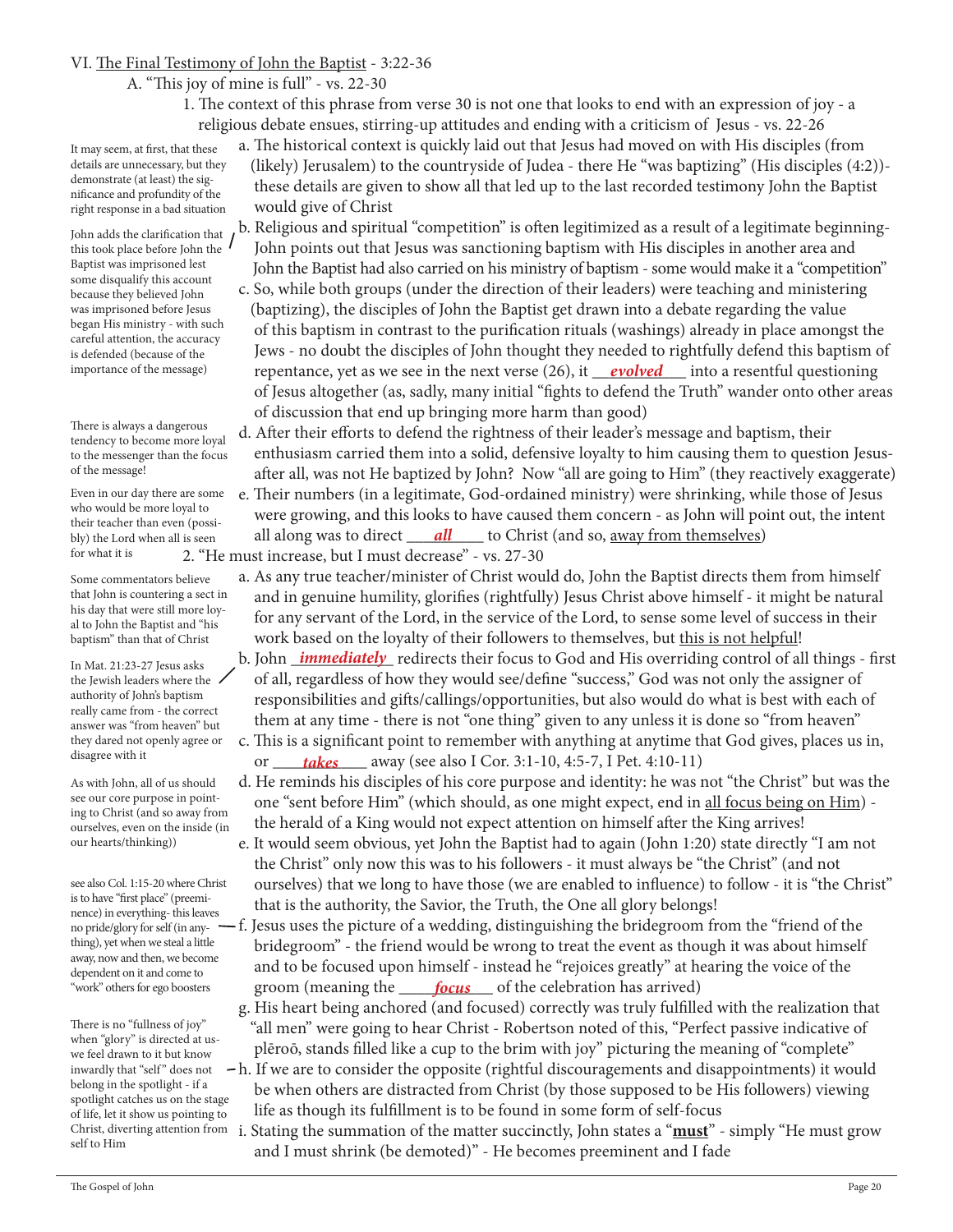### VI. The Final Testimony of John the Baptist - 3:22-36

#### A. "This joy of mine is full" - vs. 22-30

 1. The context of this phrase from verse 30 is not one that looks to end with an expression of joy - a religious debate ensues, stirring-up attitudes and ending with a criticism of Jesus - vs. 22-26

It may seem, at first, that these details are unnecessary, but they demonstrate (at least) the significance and profundity of the

John adds the clarification that this took place before John the Baptist was imprisoned lest some disqualify this account because they believed John was imprisoned before Jesus began His ministry - with such careful attention, the accuracy is defended (because of the importance of the message)

There is always a dangerous tendency to become more loyal to the messenger than the focus of the message!

Even in our day there are some who would be more loyal to their teacher than even (possibly) the Lord when all is seen for what it is

Some commentators believe that John is countering a sect in his day that were still more loyal to John the Baptist and "his baptism" than that of Christ

In Mat. 21:23-27 Jesus asks the Jewish leaders where the authority of John's baptism really came from - the correct answer was "from heaven" but they dared not openly agree or disagree with it

As with John, all of us should see our core purpose in pointing to Christ (and so away from ourselves, even on the inside (in our hearts/thinking))

see also Col. 1:15-20 where Christ is to have "first place" (preeminence) in everything- this leaves no pride/glory for self (in anything), yet when we steal a little away, now and then, we become dependent on it and come to "work" others for ego boosters

There is no "fullness of joy" when "glory" is directed at uswe feel drawn to it but know inwardly that "self" does not belong in the spotlight - if a spotlight catches us on the stage of life, let it show us pointing to Christ, diverting attention from self to Him

 a. The historical context is quickly laid out that Jesus had moved on with His disciples (from (likely) Jerusalem) to the countryside of Judea - there He "was baptizing" (His disciples (4:2)) these details are given to show all that led up to the last recorded testimony John the Baptist would give of Christ right response in a bad situation

- b. Religious and spiritual "competition" is often legitimized as a result of a legitimate beginning- John points out that Jesus was sanctioning baptism with His disciples in another area and John the Baptist had also carried on his ministry of baptism - some would make it a "competition" c. So, while both groups (under the direction of their leaders) were teaching and ministering (baptizing), the disciples of John the Baptist get drawn into a debate regarding the value of this baptism in contrast to the purification rituals (washings) already in place amongst the Jews - no doubt the disciples of John thought they needed to rightfully defend this baptism of importance of the message) repentance, yet as we see in the next verse (26), it <u>evolved</u> into a resentful questioning of Jesus altogether (as, sadly, many initial "fights to defend the Truth" wander onto other areas of discussion that end up bringing more harm than good)
	- d. After their efforts to defend the rightness of their leader's message and baptism, their enthusiasm carried them into a solid, defensive loyalty to him causing them to question Jesus after all, was not He baptized by John? Now "all are going to Him" (they reactively exaggerate)
- e. Their numbers (in a legitimate, God-ordained ministry) were shrinking, while those of Jesus were growing, and this looks to have caused them concern - as John will point out, the intent bly) the Lord when all is seen all along was to direct <u>all</u> to Christ (and so, <u>away from themselves</u>)
	- 2. "He must increase, but I must decrease" vs. 27-30
		- a. As any true teacher/minister of Christ would do, John the Baptist directs them from himself and in genuine humility, glorifies (rightfully) Jesus Christ above himself - it might be natural for any servant of the Lord, in the service of the Lord, to sense some level of success in their work based on the loyalty of their followers to themselves, but this is not helpful!
- In Mat 21:23-27 Jesus asks **b. John** *immediately* redirects their focus to God and His overriding control of all things first of all, regardless of how they would see/define "success," God was not only the assigner of responsibilities and gifts/callings/opportunities, but also would do what is best with each of them at any time - there is not "one thing" given to any unless it is done so "from heaven"
- c. This is a significant point to remember with anything at anytime that God gives, places us in, or \_\_\_\_\_\_\_\_\_\_\_ away (see also I Cor. 3:1-10, 4:5-7, I Pet. 4:10-11) *takes*
	- d. He reminds his disciples of his core purpose and identity: he was not "the Christ" but was the one "sent before Him" (which should, as one might expect, end in all focus being on Him) the herald of a King would not expect attention on himself after the King arrives!
	- e. It would seem obvious, yet John the Baptist had to again (John 1:20) state directly "I am not the Christ" only now this was to his followers - it must always be "the Christ" (and not ourselves) that we long to have those (we are enabled to influence) to follow - it is "the Christ" that is the authority, the Savior, the Truth, the One all glory belongs!
- $-f.$  Jesus uses the picture of a wedding, distinguishing the bridegroom from the "friend of the bridegroom" - the friend would be wrong to treat the event as though it was about himself and to be focused upon himself - instead he "rejoices greatly" at hearing the voice of the "work" others for ego boosters groom (meaning the **focus** of the celebration has arrived)
	- g. His heart being anchored (and focused) correctly was truly fulfilled with the realization that "all men" were going to hear Christ - Robertson noted of this, "Perfect passive indicative of plēroō, stands filled like a cup to the brim with joy" picturing the meaning of "complete"
	- h. If we are to consider the opposite (rightful discouragements and disappointments) it would be when others are distracted from Christ (by those supposed to be His followers) viewing life as though its fulfillment is to be found in some form of self-focus
		- i. Stating the summation of the matter succinctly, John states a "**must**" simply "He must grow and I must shrink (be demoted)" - He becomes preeminent and I fade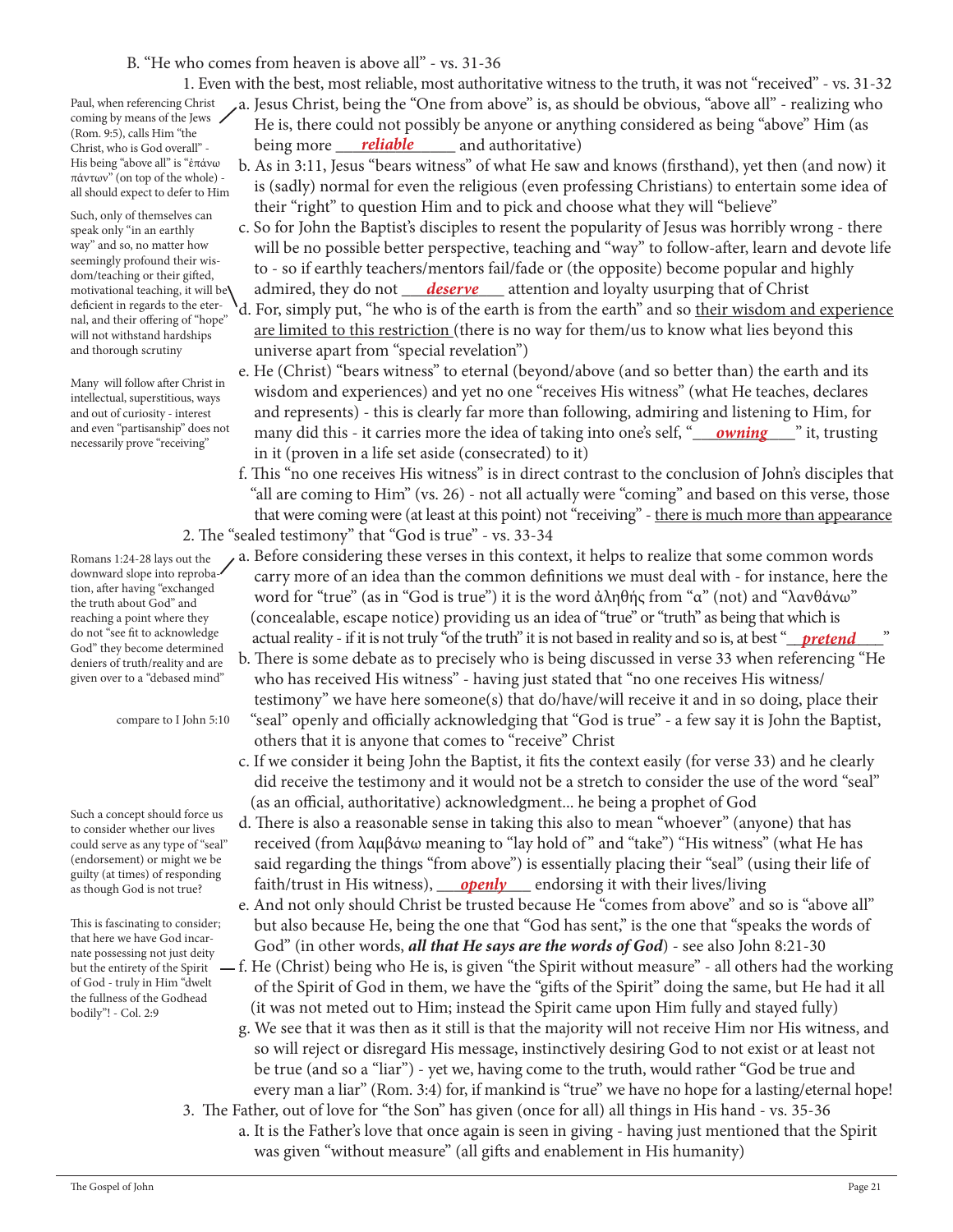## B. "He who comes from heaven is above all" - vs. 31-36

1. Even with the best, most reliable, most authoritative witness to the truth, it was not "received" - vs. 31-32

Paul, when referencing Christ coming by means of the Jews (Rom. 9:5), calls Him "the Christ, who is God overall" - His being "above all" is "ἐπάνω πάντων" (on top of the whole) all should expect to defer to Him

Such, only of themselves can speak only "in an earthly way" and so, no matter how seemingly profound their wisdom/teaching or their gifted, motivational teaching, it will be deficient in regards to the eternal, and their offering of "hope" will not withstand hardships and thorough scrutiny

Many will follow after Christ in intellectual, superstitious, ways and out of curiosity - interest and even "partisanship" does not necessarily prove "receiving"

Romans 1:24-28 lays out the downward slope into reprobation, after having "exchanged the truth about God" and reaching a point where they do not "see fit to acknowledge God" they become determined

deniers of truth/reality and are given over to a "debased mind"

compare to I John 5:10

Such a concept should force us to consider whether our lives could serve as any type of "seal" (endorsement) or might we be guilty (at times) of responding as though God is not true?

This is fascinating to consider; that here we have God incarnate possessing not just deity but the entirety of the Spirit of God - truly in Him "dwelt the fullness of the Godhead bodily"! - Col. 2:9

 a. Jesus Christ, being the "One from above" is, as should be obvious, "above all" - realizing who He is, there could not possibly be anyone or anything considered as being "above" Him (as Christ, who is God overall" being more <u>reliable</u> and authoritative)

- b. As in 3:11, Jesus "bears witness" of what He saw and knows (firsthand), yet then (and now) it is (sadly) normal for even the religious (even professing Christians) to entertain some idea of their "right" to question Him and to pick and choose what they will "believe"
- c. So for John the Baptist's disciples to resent the popularity of Jesus was horribly wrong there will be no possible better perspective, teaching and "way" to follow-after, learn and devote life to - so if earthly teachers/mentors fail/fade or (the opposite) become popular and highly motivational teaching, it will be**\** admired, they do not <u>deserve</u> attention and loyalty usurping that of Christ
	- d. For, simply put, "he who is of the earth is from the earth" and so their wisdom and experience are limited to this restriction (there is no way for them/us to know what lies beyond this universe apart from "special revelation")
- e. He (Christ) "bears witness" to eternal (beyond/above (and so better than) the earth and its wisdom and experiences) and yet no one "receives His witness" (what He teaches, declares and represents) - this is clearly far more than following, admiring and listening to Him, for and even "partisanship" does not **many did this - it carries more the idea of taking into one's self, "<u>owning "</u> it, trusting "**  in it (proven in a life set aside (consecrated) to it)
	- f. This "no one receives His witness" is in direct contrast to the conclusion of John's disciples that "all are coming to Him" (vs. 26) - not all actually were "coming" and based on this verse, those that were coming were (at least at this point) not "receiving" - there is much more than appearance 2. The "sealed testimony" that "God is true" - vs. 33-34
- a. Before considering these verses in this context, it helps to realize that some common words carry more of an idea than the common definitions we must deal with - for instance, here the word for "true" (as in "God is true") it is the word ἀληθής from "α" (not) and "λανθάνω" (concealable, escape notice) providing us an idea of "true" or "truth" as being that which is do not "see ht to acknowledge actual reality - if it is not truly "of the truth" it is not based in reality and so is, at best "<u>pretend "</u>"
	- b. There is some debate as to precisely who is being discussed in verse 33 when referencing "He who has received His witness" - having just stated that "no one receives His witness/ testimony" we have here someone(s) that do/have/will receive it and in so doing, place their "seal" openly and officially acknowledging that "God is true" - a few say it is John the Baptist, others that it is anyone that comes to "receive" Christ
	- c. If we consider it being John the Baptist, it fits the context easily (for verse 33) and he clearly did receive the testimony and it would not be a stretch to consider the use of the word "seal" (as an official, authoritative) acknowledgment... he being a prophet of God
- d. There is also a reasonable sense in taking this also to mean "whoever" (anyone) that has received (from λαμβάνω meaning to "lay hold of " and "take") "His witness" (what He has said regarding the things "from above") is essentially placing their "seal" (using their life of as though God is not true? *faith/trust in His witness*), *openly* endorsing it with their lives/living
	- e. And not only should Christ be trusted because He "comes from above" and so is "above all" but also because He, being the one that "God has sent," is the one that "speaks the words of God" (in other words, *all that He says are the words of God*) - see also John 8:21-30
	- f. He (Christ) being who He is, is given "the Spirit without measure" all others had the working of the Spirit of God in them, we have the "gifts of the Spirit" doing the same, but He had it all (it was not meted out to Him; instead the Spirit came upon Him fully and stayed fully)
		- g. We see that it was then as it still is that the majority will not receive Him nor His witness, and so will reject or disregard His message, instinctively desiring God to not exist or at least not be true (and so a "liar") - yet we, having come to the truth, would rather "God be true and every man a liar" (Rom. 3:4) for, if mankind is "true" we have no hope for a lasting/eternal hope!
	- 3. The Father, out of love for "the Son" has given (once for all) all things in His hand vs. 35-36 a. It is the Father's love that once again is seen in giving - having just mentioned that the Spirit was given "without measure" (all gifts and enablement in His humanity)

The Gospel of John Page 21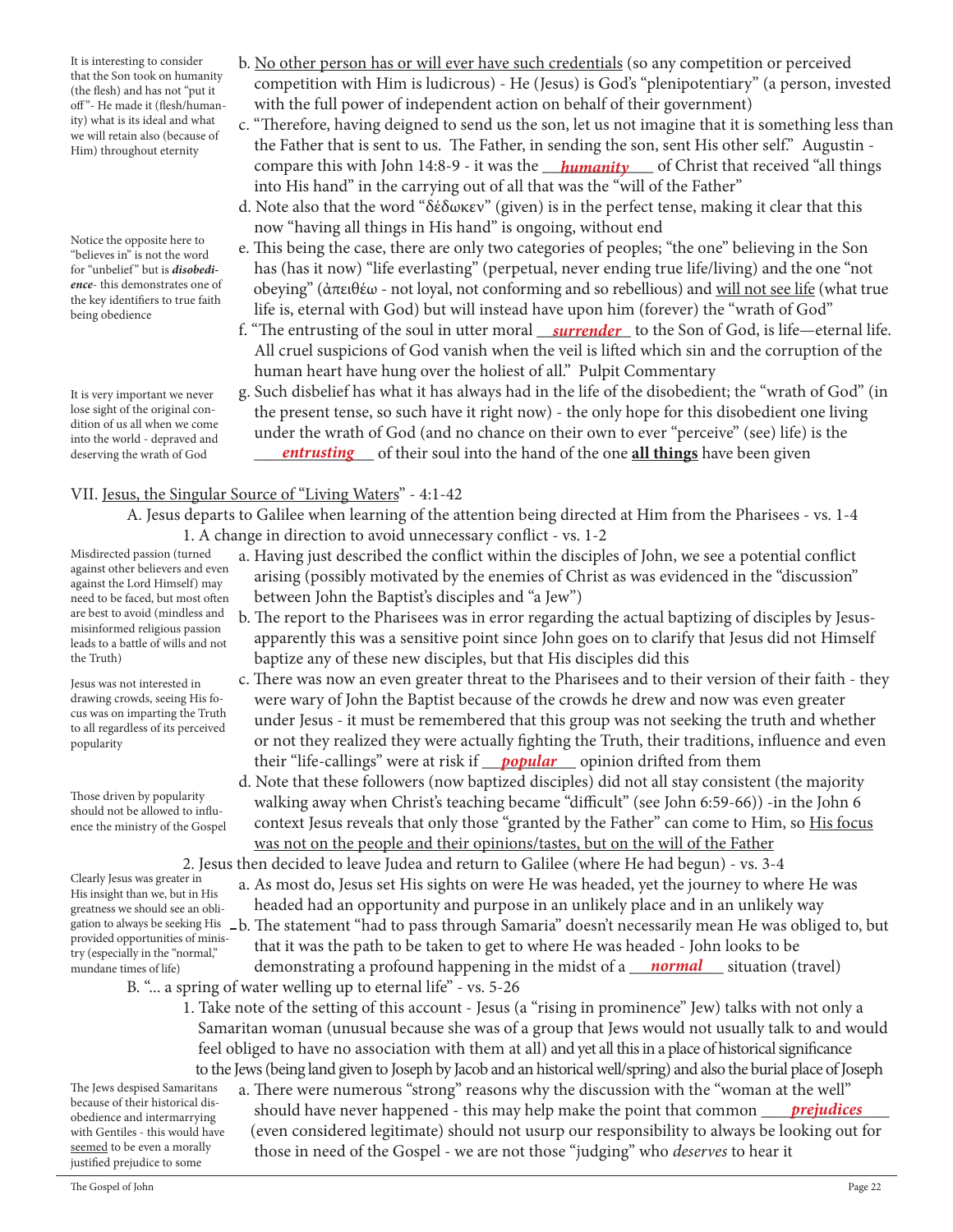It is interesting to consider that the Son took on humanity (the flesh) and has not "put it off"- He made it (flesh/humanity) what is its ideal and what we will retain also (because of Him) throughout eternity

Notice the opposite here to "believes in" is not the word for "unbelief " but is *disobedience*- this demonstrates one of the key identifiers to true faith being obedience

It is very important we never lose sight of the original condition of us all when we come into the world - depraved and deserving the wrath of God

- b. No other person has or will ever have such credentials (so any competition or perceived competition with Him is ludicrous) - He (Jesus) is God's "plenipotentiary" (a person, invested with the full power of independent action on behalf of their government)
- c. "Therefore, having deigned to send us the son, let us not imagine that it is something less than the Father that is sent to us. The Father, in sending the son, sent His other self." Augustin compare this with John 14:8-9 - it was the \_\_\_\_\_\_\_\_\_\_\_\_\_ of Christ that received "all things *humanity* into His hand" in the carrying out of all that was the "will of the Father"
	- d. Note also that the word "δέδωκεν" (given) is in the perfect tense, making it clear that this now "having all things in His hand" is ongoing, without end
	- e. This being the case, there are only two categories of peoples; "the one" believing in the Son has (has it now) "life everlasting" (perpetual, never ending true life/living) and the one "not obeying" (ἀπειθέω - not loyal, not conforming and so rebellious) and will not see life (what true life is, eternal with God) but will instead have upon him (forever) the "wrath of God"
- f. "The entrusting of the soul in utter moral <u>garrender</u> to the Son of God, is life—eternal life. All cruel suspicions of God vanish when the veil is lifted which sin and the corruption of the human heart have hung over the holiest of all." Pulpit Commentary
- g. Such disbelief has what it has always had in the life of the disobedient; the "wrath of God" (in the present tense, so such have it right now) - the only hope for this disobedient one living under the wrath of God (and no chance on their own to ever "perceive" (see) life) is the deserving the wrath of God **continumity of the one of the one <u>all things</u>** have been given

# VII. Jesus, the Singular Source of "Living Waters" - 4:1-42

- A. Jesus departs to Galilee when learning of the attention being directed at Him from the Pharisees vs. 1-4 1. A change in direction to avoid unnecessary conflict - vs. 1-2
	- a. Having just described the conflict within the disciples of John, we see a potential conflict arising (possibly motivated by the enemies of Christ as was evidenced in the "discussion" between John the Baptist's disciples and "a Jew")
		- b. The report to the Pharisees was in error regarding the actual baptizing of disciples by Jesus apparently this was a sensitive point since John goes on to clarify that Jesus did not Himself baptize any of these new disciples, but that His disciples did this
- c. There was now an even greater threat to the Pharisees and to their version of their faith they were wary of John the Baptist because of the crowds he drew and now was even greater under Jesus - it must be remembered that this group was not seeking the truth and whether or not they realized they were actually fighting the Truth, their traditions, influence and even their "life-callings" were at risk if <u>popular</u> opinion drifted from them
	- d. Note that these followers (now baptized disciples) did not all stay consistent (the majority walking away when Christ's teaching became "difficult" (see John 6:59-66)) -in the John 6 context Jesus reveals that only those "granted by the Father" can come to Him, so His focus was not on the people and their opinions/tastes, but on the will of the Father

2. Jesus then decided to leave Judea and return to Galilee (where He had begun) - vs. 3-4

- a. As most do, Jesus set His sights on were He was headed, yet the journey to where He was headed had an opportunity and purpose in an unlikely place and in an unlikely way
- gation to always be seeking His  $\,$  \_b. The statement "had to pass through Samaria" doesn't necessarily mean He was obliged to, but that it was the path to be taken to get to where He was headed - John looks to be mundane times of life) demonstrating a profound happening in the midst of a *\_\_\_\_\_\_\_\_\_\_\_\_\_\_\_\_\_* situation (travel) B. "... a spring of water welling up to eternal life" - vs. 5-26
	- 1. Take note of the setting of this account Jesus (a "rising in prominence" Jew) talks with not only a Samaritan woman (unusual because she was of a group that Jews would not usually talk to and would feel obliged to have no association with them at all) and yet all this in a place of historical significance to the Jews (being land given to Joseph by Jacob and an historical well/spring) and also the burial place of Joseph
- a. There were numerous "strong" reasons why the discussion with the "woman at the well" because of their historical dis-<br>obedience and intermarrying should have never happened - this may help make the point that common <u>prejudices</u> (even considered legitimate) should not usurp our responsibility to always be looking out for those in need of the Gospel - we are not those "judging" who *deserves* to hear it

Misdirected passion (turned against other believers and even against the Lord Himself) may need to be faced, but most often are best to avoid (mindless and misinformed religious passion leads to a battle of wills and not the Truth)

Jesus was not interested in drawing crowds, seeing His focus was on imparting the Truth to all regardless of its perceived popularity

Those driven by popularity should not be allowed to influence the ministry of the Gospel

Clearly Jesus was greater in His insight than we, but in His greatness we should see an obliprovided opportunities of ministry (especially in the "normal," mundane times of life)

The Jews despised Samaritans because of their historical disobedience and intermarrying with Gentiles - this would have seemed to be even a morally justified prejudice to some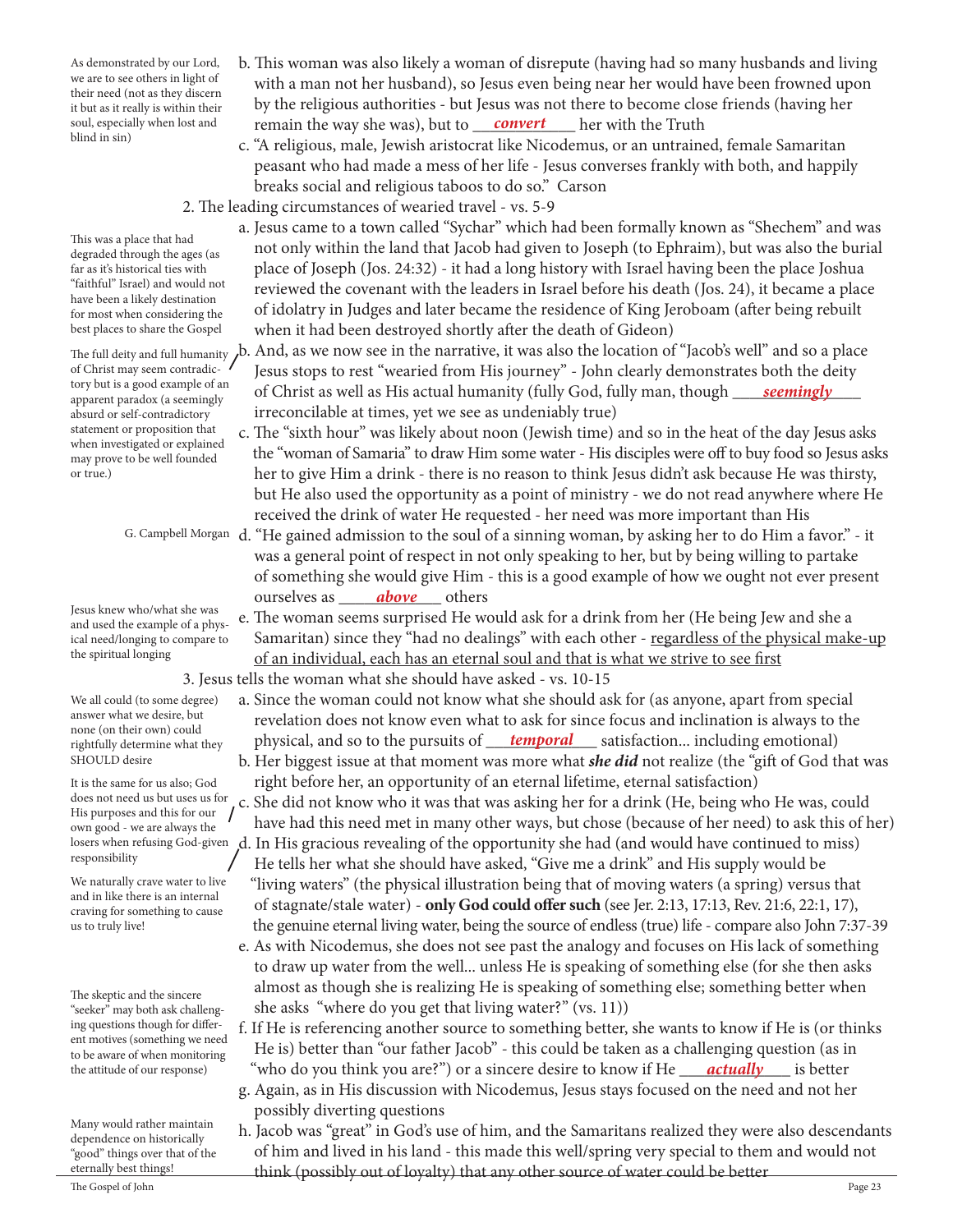As demonstrated by our Lord, we are to see others in light of their need (not as they discern it but as it really is within their soul, especially when lost and blind in sin)

 b. This woman was also likely a woman of disrepute (having had so many husbands and living with a man not her husband), so Jesus even being near her would have been frowned upon by the religious authorities - but Jesus was not there to become close friends (having her soul, especially when lost and **convert** end **convert** with the Truth

- c. "A religious, male, Jewish aristocrat like Nicodemus, or an untrained, female Samaritan peasant who had made a mess of her life - Jesus converses frankly with both, and happily breaks social and religious taboos to do so." Carson
- 2. The leading circumstances of wearied travel vs. 5-9
	- a. Jesus came to a town called "Sychar" which had been formally known as "Shechem" and was not only within the land that Jacob had given to Joseph (to Ephraim), but was also the burial place of Joseph (Jos. 24:32) - it had a long history with Israel having been the place Joshua reviewed the covenant with the leaders in Israel before his death (Jos. 24), it became a place of idolatry in Judges and later became the residence of King Jeroboam (after being rebuilt when it had been destroyed shortly after the death of Gideon)
- The full deity and full humanity  $\,$ b. And, as we now see in the narrative, it was also the location of "Jacob's well" and so a place Jesus stops to rest "wearied from His journey" - John clearly demonstrates both the deity ory out is a good example of an **order Christ as well as His actual humanity** (fully God, fully man, though <u>seemingly</u> irreconcilable at times, yet we see as undeniably true)
	- c. The "sixth hour" was likely about noon (Jewish time) and so in the heat of the day Jesus asks the "woman of Samaria" to draw Him some water - His disciples were off to buy food so Jesus asks her to give Him a drink - there is no reason to think Jesus didn't ask because He was thirsty, but He also used the opportunity as a point of ministry - we do not read anywhere where He received the drink of water He requested - her need was more important than His
- G. Campbell Morgan  $\,$  d. "He gained admission to the soul of a sinning woman, by asking her to do Him a favor." it was a general point of respect in not only speaking to her, but by being willing to partake of something she would give Him - this is a good example of how we ought not ever present **b** ourselves as <u>**above**</u> others
	- e. The woman seems surprised He would ask for a drink from her (He being Jew and she a Samaritan) since they "had no dealings" with each other - regardless of the physical make-up of an individual, each has an eternal soul and that is what we strive to see first 3. Jesus tells the woman what she should have asked - vs. 10-15
- a. Since the woman could not know what she should ask for (as anyone, apart from special revelation does not know even what to ask for since focus and inclination is always to the rightfully determine what they physical, and so to the pursuits of <u>temporal</u> satisfaction... including emotional)
	- b. Her biggest issue at that moment was more what *she did* not realize (the "gift of God that was right before her, an opportunity of an eternal lifetime, eternal satisfaction)
- c. She did not know who it was that was asking her for a drink (He, being who He was, could have had this need met in many other ways, but chose (because of her need) to ask this of her) losers when refusing God-given  $\,$ d. In His gracious revealing of the opportunity she had (and would have continued to miss)
	- He tells her what she should have asked, "Give me a drink" and His supply would be "living waters" (the physical illustration being that of moving waters (a spring) versus that of stagnate/stale water) - **only God could offer such** (see Jer. 2:13, 17:13, Rev. 21:6, 22:1, 17), the genuine eternal living water, being the source of endless (true) life - compare also John 7:37-39
	- e. As with Nicodemus, she does not see past the analogy and focuses on His lack of something to draw up water from the well... unless He is speaking of something else (for she then asks almost as though she is realizing He is speaking of something else; something better when she asks "where do you get that living water?" (vs. 11))
- f. If He is referencing another source to something better, she wants to know if He is (or thinks He is) better than "our father Jacob" - this could be taken as a challenging question (as in the attitude of our response) "who do you think you are?") or a sincere desire to know if He <u>gactually</u> as better
	- g. Again, as in His discussion with Nicodemus, Jesus stays focused on the need and not her possibly diverting questions
- h. Jacob was "great" in God's use of him, and the Samaritans realized they were also descendants of him and lived in his land - this made this well/spring very special to them and would not eternally best things! think (possibly out of loyalty) that any other source of water could be better.<br>The Gospel of John

This was a place that had degraded through the ages (as far as it's historical ties with "faithful" Israel) and would not have been a likely destination for most when considering the best places to share the Gospel

of Christ may seem contradictory but is a good example of an apparent paradox (a seemingly absurd or self-contradictory statement or proposition that when investigated or explained may prove to be well founded or true.)

Jesus knew who/what she was and used the example of a physical need/longing to compare to the spiritual longing

We all could (to some degree) answer what we desire, but none (on their own) could rightfully determine what they SHOULD desire

It is the same for us also; God does not need us but uses us for His purposes and this for our own good - we are always the responsibility

We naturally crave water to live and in like there is an internal craving for something to cause us to truly live!

The skeptic and the sincere "seeker" may both ask challenging questions though for different motives (something we need to be aware of when monitoring the attitude of our response)

Many would rather maintain dependence on historically "good" things over that of the eternally best things!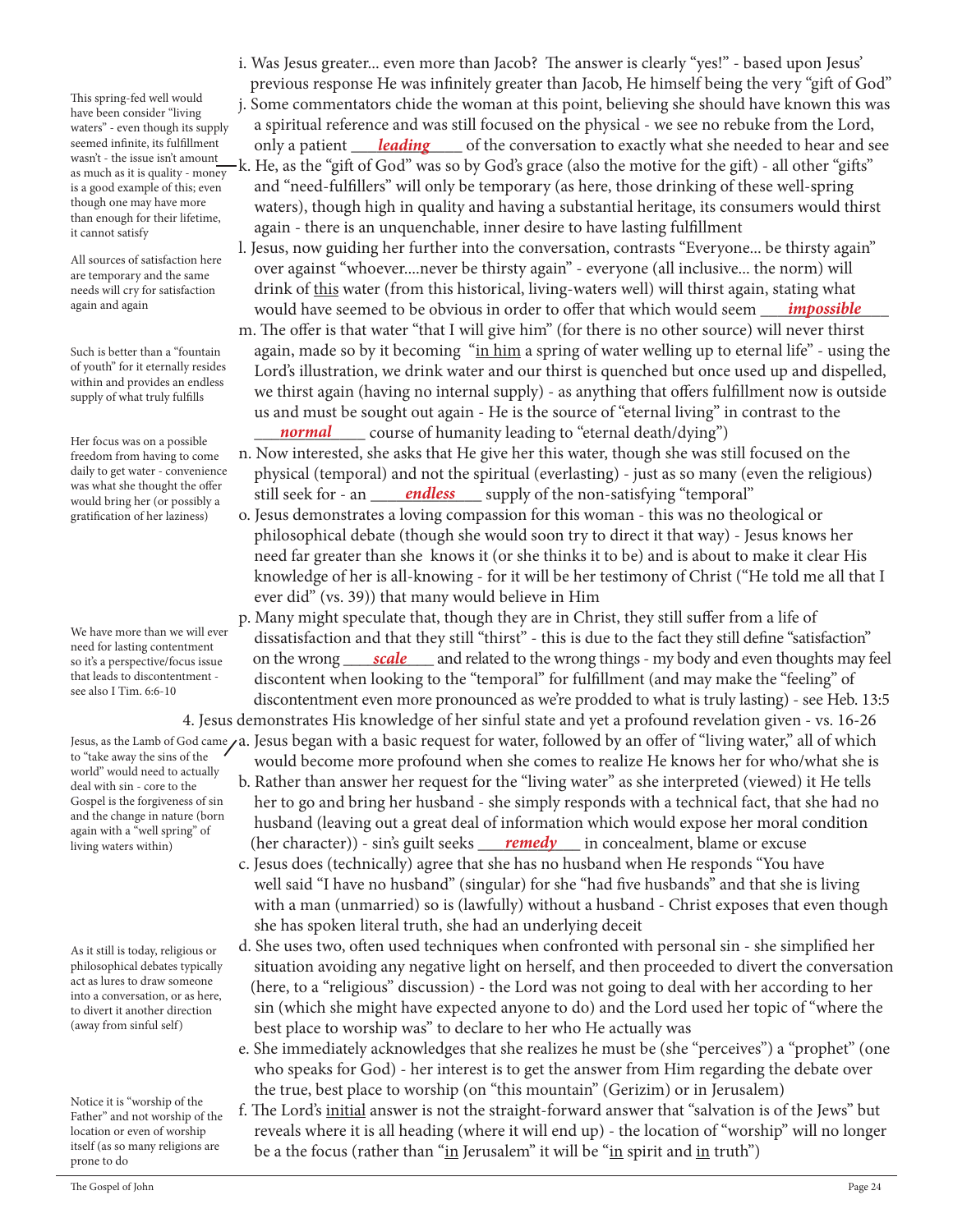This spring-fed well would have been consider "living waters" - even though its supply seemed infinite, its fulfillment wasn't - the issue isn't amount as much as it is quality - money is a good example of this; even though one may have more than enough for their lifetime, it cannot satisfy

All sources of satisfaction here are temporary and the same needs will cry for satisfaction again and again

Such is better than a "fountain of youth" for it eternally resides within and provides an endless supply of what truly fulfills

Her focus was on a possible freedom from having to come daily to get water - convenience was what she thought the offer would bring her (or possibly a gratification of her laziness)

We have more than we will ever need for lasting contentment so it's a perspective/focus issue that leads to discontentment see also I Tim. 6:6-10

to "take away the sins of the world" would need to actually deal with sin - core to the Gospel is the forgiveness of sin and the change in nature (born again with a "well spring" of living waters within)

As it still is today, religious or philosophical debates typically act as lures to draw someone into a conversation, or as here, to divert it another direction (away from sinful self)

Notice it is "worship of the Father" and not worship of the location or even of worship itself (as so many religions are prone to do

 i. Was Jesus greater... even more than Jacob? The answer is clearly "yes!" - based upon Jesus' previous response He was infinitely greater than Jacob, He himself being the very "gift of God"

 j. Some commentators chide the woman at this point, believing she should have known this was a spiritual reference and was still focused on the physical - we see no rebuke from the Lord, seemed infinite, its fulfillment only a patient <u>leading</u> of the conversation to exactly what she needed to hear and see

- k. He, as the "gift of God" was so by God's grace (also the motive for the gift) all other "gifts" and "need-fulfillers" will only be temporary (as here, those drinking of these well-spring waters), though high in quality and having a substantial heritage, its consumers would thirst again - there is an unquenchable, inner desire to have lasting fulfillment
- l. Jesus, now guiding her further into the conversation, contrasts "Everyone... be thirsty again" over against "whoever....never be thirsty again" - everyone (all inclusive... the norm) will drink of this water (from this historical, living-waters well) will thirst again, stating what would have seemed to be obvious in order to offer that which would seem *impossible*
- m. The offer is that water "that I will give him" (for there is no other source) will never thirst again, made so by it becoming "in him a spring of water welling up to eternal life" - using the Lord's illustration, we drink water and our thirst is quenched but once used up and dispelled, we thirst again (having no internal supply) - as anything that offers fulfillment now is outside us and must be sought out again - He is the source of "eternal living" in contrast to the \_\_\_\_\_\_\_\_\_\_\_\_\_ course of humanity leading to "eternal death/dying") *normal*

 n. Now interested, she asks that He give her this water, though she was still focused on the physical (temporal) and not the spiritual (everlasting) - just as so many (even the religious) was what she thought the offer example that seek for - an <u>endless</u> supply of the non-satisfying "temporal"

- o. Jesus demonstrates a loving compassion for this woman this was no theological or philosophical debate (though she would soon try to direct it that way) - Jesus knows her need far greater than she knows it (or she thinks it to be) and is about to make it clear His knowledge of her is all-knowing - for it will be her testimony of Christ ("He told me all that I ever did" (vs. 39)) that many would believe in Him
- p. Many might speculate that, though they are in Christ, they still suffer from a life of dissatisfaction and that they still "thirst" - this is due to the fact they still define "satisfaction" so it's a perspective/focus issue on the wrong <u>scale</u> and related to the wrong things - my body and even thoughts may feel discontent when looking to the "temporal" for fulfillment (and may make the "feeling" of discontentment even more pronounced as we're prodded to what is truly lasting) - see Heb. 13:5

 4. Jesus demonstrates His knowledge of her sinful state and yet a profound revelation given - vs. 16-26 Jesus, as the Lamb of God came  $\mu$ a. Jesus began with a basic request for water, followed by an offer of "living water," all of which would become more profound when she comes to realize He knows her for who/what she is

- b. Rather than answer her request for the "living water" as she interpreted (viewed) it He tells her to go and bring her husband - she simply responds with a technical fact, that she had no husband (leaving out a great deal of information which would expose her moral condition living waters within) (her character)) - sin's guilt seeks <u>remedy</u> in concealment, blame or excuse
	- c. Jesus does (technically) agree that she has no husband when He responds "You have well said "I have no husband" (singular) for she "had five husbands" and that she is living with a man (unmarried) so is (lawfully) without a husband - Christ exposes that even though she has spoken literal truth, she had an underlying deceit
	- d. She uses two, often used techniques when confronted with personal sin she simplified her situation avoiding any negative light on herself, and then proceeded to divert the conversation (here, to a "religious" discussion) - the Lord was not going to deal with her according to her sin (which she might have expected anyone to do) and the Lord used her topic of "where the best place to worship was" to declare to her who He actually was
	- e. She immediately acknowledges that she realizes he must be (she "perceives") a "prophet" (one who speaks for God) - her interest is to get the answer from Him regarding the debate over the true, best place to worship (on "this mountain" (Gerizim) or in Jerusalem)
	- f. The Lord's initial answer is not the straight-forward answer that "salvation is of the Jews" but reveals where it is all heading (where it will end up) - the location of "worship" will no longer be a the focus (rather than "in Jerusalem" it will be "in spirit and in truth")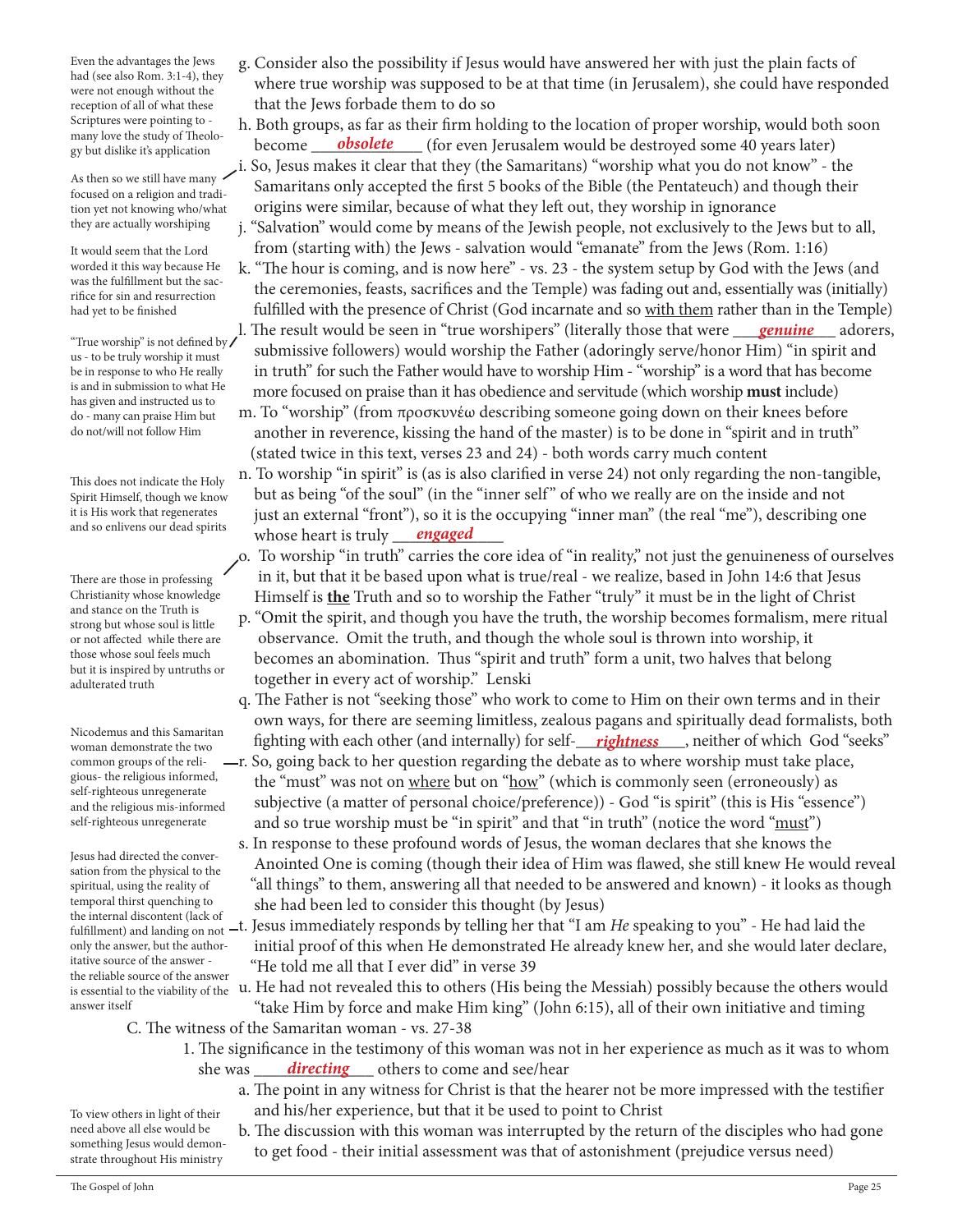Even the advantages the Jews had (see also Rom. 3:1-4), they were not enough without the reception of all of what these Scriptures were pointing to many love the study of Theology but dislike it's application

As then so we still have many  $\checkmark$ focused on a religion and tradition yet not knowing who/what they are actually worshiping

It would seem that the Lord worded it this way because He was the fulfillment but the sacrifice for sin and resurrection had yet to be finished

us - to be truly worship it must be in response to who He really is and in submission to what He has given and instructed us to do - many can praise Him but do not/will not follow Him

This does not indicate the Holy Spirit Himself, though we know it is His work that regenerates and so enlivens our dead spirits

There are those in professing Christianity whose knowledge and stance on the Truth is strong but whose soul is little or not affected while there are those whose soul feels much but it is inspired by untruths or adulterated truth

Nicodemus and this Samaritan woman demonstrate the two common groups of the religious- the religious informed, self-righteous unregenerate and the religious mis-informed self-righteous unregenerate

Jesus had directed the conversation from the physical to the spiritual, using the reality of temporal thirst quenching to fulfillment) and landing on not only the answer, but the authoritative source of the answer the reliable source of the answer answer itself

 g. Consider also the possibility if Jesus would have answered her with just the plain facts of where true worship was supposed to be at that time (in Jerusalem), she could have responded that the Jews forbade them to do so

 h. Both groups, as far as their firm holding to the location of proper worship, would both soon become \_\_\_\_\_\_\_\_\_\_\_\_\_ (for even Jerusalem would be destroyed some 40 years later) i. So, Jesus makes it clear that they (the Samaritans) "worship what you do not know" - the *obsolete*

 Samaritans only accepted the first 5 books of the Bible (the Pentateuch) and though their origins were similar, because of what they left out, they worship in ignorance

 j. "Salvation" would come by means of the Jewish people, not exclusively to the Jews but to all, from (starting with) the Jews - salvation would "emanate" from the Jews (Rom. 1:16)

 k. "The hour is coming, and is now here" - vs. 23 - the system setup by God with the Jews (and the ceremonies, feasts, sacrifices and the Temple) was fading out and, essentially was (initially) fulfilled with the presence of Christ (God incarnate and so with them rather than in the Temple) I. The result would be seen in "true worshipers" (literally those that were <u>genuine</u> adorers,<br>"True worship" is not defined by *genuine is the comment of the comment in the Father (edgain class care then as Him***). "in or**  submissive followers) would worship the Father (adoringly serve/honor Him) "in spirit and in truth" for such the Father would have to worship Him - "worship" is a word that has become

 more focused on praise than it has obedience and servitude (which worship **must** include) m. To "worship" (from προσκυνέω describing someone going down on their knees before another in reverence, kissing the hand of the master) is to be done in "spirit and in truth" (stated twice in this text, verses 23 and 24) - both words carry much content

 n. To worship "in spirit" is (as is also clarified in verse 24) not only regarding the non-tangible, but as being "of the soul" (in the "inner self" of who we really are on the inside and not just an external "front"), so it is the occupying "inner man" (the real "me"), describing one and so enlivens our dead spirits whose heart is truly <u>engaged</u>

- o. To worship "in truth" carries the core idea of "in reality," not just the genuineness of ourselves in it, but that it be based upon what is true/real - we realize, based in John 14:6 that Jesus Himself is **the** Truth and so to worship the Father "truly" it must be in the light of Christ
- p. "Omit the spirit, and though you have the truth, the worship becomes formalism, mere ritual observance. Omit the truth, and though the whole soul is thrown into worship, it becomes an abomination. Thus "spirit and truth" form a unit, two halves that belong together in every act of worship." Lenski
- q. The Father is not "seeking those" who work to come to Him on their own terms and in their own ways, for there are seeming limitless, zealous pagans and spiritually dead formalists, both *ricoderings and this samaritan* fighting with each other (and internally) for self-**\_\_\_\_***rightness*\_\_\_\_, neither of which God "seeks"
	- r. So, going back to her question regarding the debate as to where worship must take place, the "must" was not on where but on "how" (which is commonly seen (erroneously) as subjective (a matter of personal choice/preference)) - God "is spirit" (this is His "essence") and so true worship must be "in spirit" and that "in truth" (notice the word "must")
- s. In response to these profound words of Jesus, the woman declares that she knows the Anointed One is coming (though their idea of Him was flawed, she still knew He would reveal "all things" to them, answering all that needed to be answered and known) - it looks as though temporal thirst quenching to she had been led to consider this thought (by Jesus)<br>the internal discontent (lack of
- the internal discontent (lack of<br>fulfillment) and landing on not —t. Jesus immediately responds by telling her that "I am *He* speaking to you" He had laid the initial proof of this when He demonstrated He already knew her, and she would later declare, "He told me all that I ever did" in verse 39

is essential to the viability of the u. He had not revealed this to others (His being the Messiah) possibly because the others would "take Him by force and make Him king" (John 6:15), all of their own initiative and timing

- C. The witness of the Samaritan woman vs. 27-38
- 1. The significance in the testimony of this woman was not in her experience as much as it was to whom she was <u>directing</u> others to come and see/hear
	- a. The point in any witness for Christ is that the hearer not be more impressed with the testifier and his/her experience, but that it be used to point to Christ

 b. The discussion with this woman was interrupted by the return of the disciples who had gone to get food - their initial assessment was that of astonishment (prejudice versus need)

To view others in light of their need above all else would be something Jesus would demonstrate throughout His ministry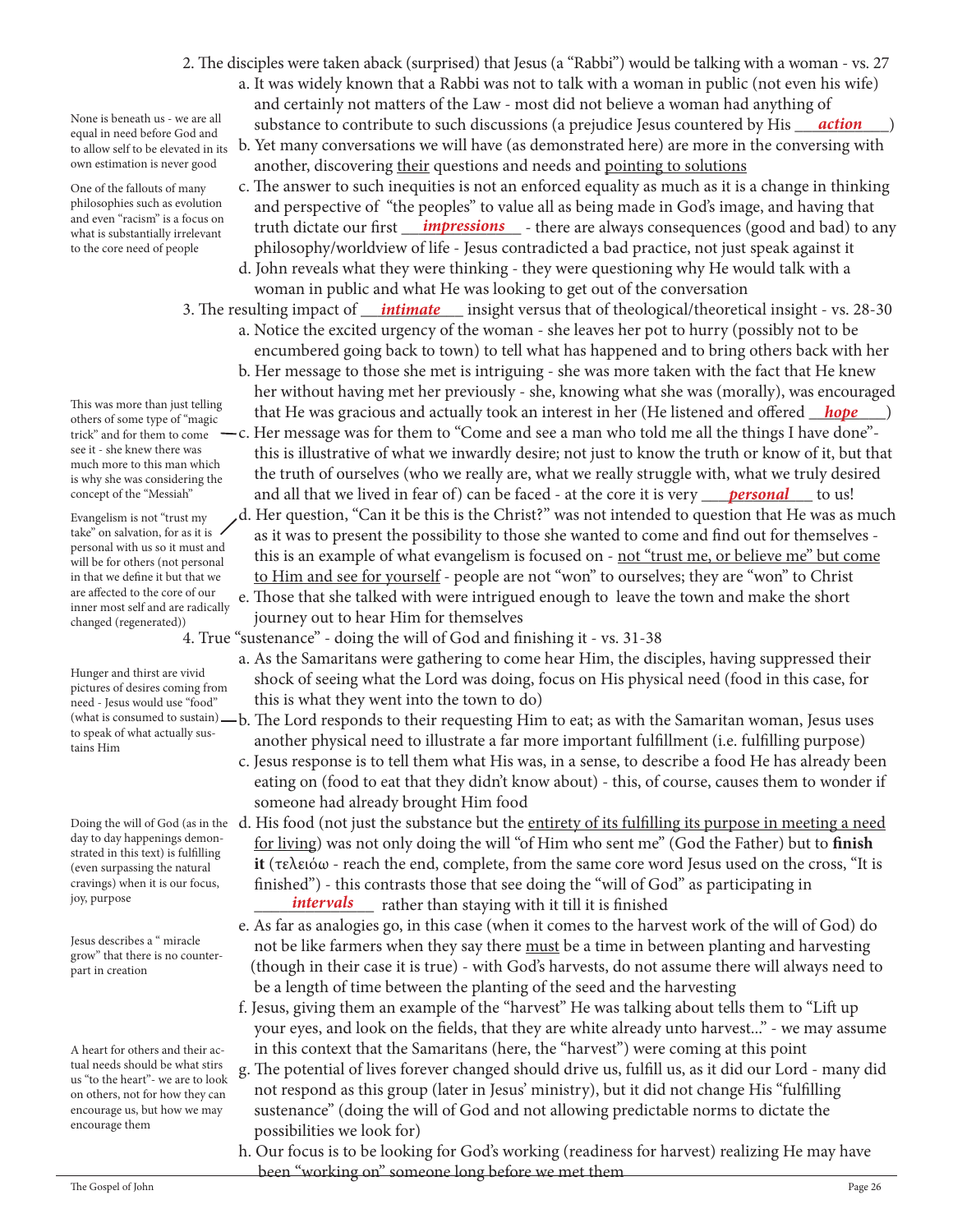- 2. The disciples were taken aback (surprised) that Jesus (a "Rabbi") would be talking with a woman vs. 27 a. It was widely known that a Rabbi was not to talk with a woman in public (not even his wife) and certainly not matters of the Law - most did not believe a woman had anything of None is beneath us - we are all substance to contribute to such discussions (a prejudice Jesus countered by His <u>action</u>)
	- b. Yet many conversations we will have (as demonstrated here) are more in the conversing with another, discovering their questions and needs and pointing to solutions
- c. The answer to such inequities is not an enforced equality as much as it is a change in thinking and perspective of "the peoples" to value all as being made in God's image, and having that and even racism is a focus on truth dictate our first *impressions* - there are always consequences (good and bad) to any what is substantially irrelevant philosophy/worldview of life - Jesus contradicted a bad practice, not just speak against it
	- d. John reveals what they were thinking they were questioning why He would talk with a woman in public and what He was looking to get out of the conversation
- 3. The resulting impact of \_\_\_\_\_\_\_\_\_\_\_\_ insight versus that of theological/theoretical insight vs. 28-30 *intimate* a. Notice the excited urgency of the woman - she leaves her pot to hurry (possibly not to be
	- encumbered going back to town) to tell what has happened and to bring others back with her b. Her message to those she met is intriguing - she was more taken with the fact that He knew her without having met her previously - she, knowing what she was (morally), was encouraged
- that Hers of some type of "magic unity" that He was gracious and actually took an interest in her (He listened and offered *\_hope* ) -c. Her message was for them to "Come and see a man who told me all the things I have done"this is illustrative of what we inwardly desire; not just to know the truth or know of it, but that
- the truth of ourselves (who we really are, what we really struggle with, what we truly desired concept of the "Messiah" and all that we lived in fear of) can be faced - at the core it is very <u>personal</u> to us!
	- d. Her question, "Can it be this is the Christ?" was not intended to question that He was as much as it was to present the possibility to those she wanted to come and find out for themselves this is an example of what evangelism is focused on - not "trust me, or believe me" but come to Him and see for yourself - people are not "won" to ourselves; they are "won" to Christ
	- e. Those that she talked with were intrigued enough to leave the town and make the short journey out to hear Him for themselves
	- 4. True "sustenance" doing the will of God and finishing it vs. 31-38
		- a. As the Samaritans were gathering to come hear Him, the disciples, having suppressed their shock of seeing what the Lord was doing, focus on His physical need (food in this case, for this is what they went into the town to do)
		- b. The Lord responds to their requesting Him to eat; as with the Samaritan woman, Jesus uses another physical need to illustrate a far more important fulfillment (i.e. fulfilling purpose)
		- c. Jesus response is to tell them what His was, in a sense, to describe a food He has already been eating on (food to eat that they didn't know about) - this, of course, causes them to wonder if someone had already brought Him food
- Doing the will of God (as in the  $\:$  d. His food (not just the substance but the <u>entirety of its fulfilling its purpose in meeting a need</u> for living) was not only doing the will "of Him who sent me" (God the Father) but to **finish it** (τελειόω - reach the end, complete, from the same core word Jesus used on the cross, "It is finished") - this contrasts those that see doing the "will of God" as participating in \_\_\_\_\_\_\_\_\_\_\_\_\_\_ rather than staying with it till it is finished *intervals*
	- e. As far as analogies go, in this case (when it comes to the harvest work of the will of God) do not be like farmers when they say there must be a time in between planting and harvesting (though in their case it is true) - with God's harvests, do not assume there will always need to be a length of time between the planting of the seed and the harvesting
	- f. Jesus, giving them an example of the "harvest" He was talking about tells them to "Lift up your eyes, and look on the fields, that they are white already unto harvest..." - we may assume in this context that the Samaritans (here, the "harvest") were coming at this point
	- g. The potential of lives forever changed should drive us, fulfill us, as it did our Lord many did not respond as this group (later in Jesus' ministry), but it did not change His "fulfilling sustenance" (doing the will of God and not allowing predictable norms to dictate the possibilities we look for)
- h. Our focus is to be looking for God's working (readiness for harvest) realizing He may have **been "working on" someone long before we met them**<br>The Gospel of John

None is beneath us - we are all equal in need before God and to allow self to be elevated in its own estimation is never good

One of the fallouts of many philosophies such as evolution and even "racism" is a focus on what is substantially irrelevant to the core need of people

This was more than just telling others of some type of "magic trick" and for them to come see it - she knew there was much more to this man which is why she was considering the concept of the "Messiah"

Evangelism is not "trust my take" on salvation, for as it is  $\prime$ personal with us so it must and will be for others (not personal in that we define it but that we are affected to the core of our inner most self and are radically changed (regenerated))

Hunger and thirst are vivid pictures of desires coming from need - Jesus would use "food" (what is consumed to sustain) to speak of what actually sustains Him

day to day happenings demonstrated in this text) is fulfilling (even surpassing the natural cravings) when it is our focus, joy, purpose

Jesus describes a " miracle grow" that there is no counterpart in creation

A heart for others and their actual needs should be what stirs us "to the heart"- we are to look on others, not for how they can encourage us, but how we may encourage them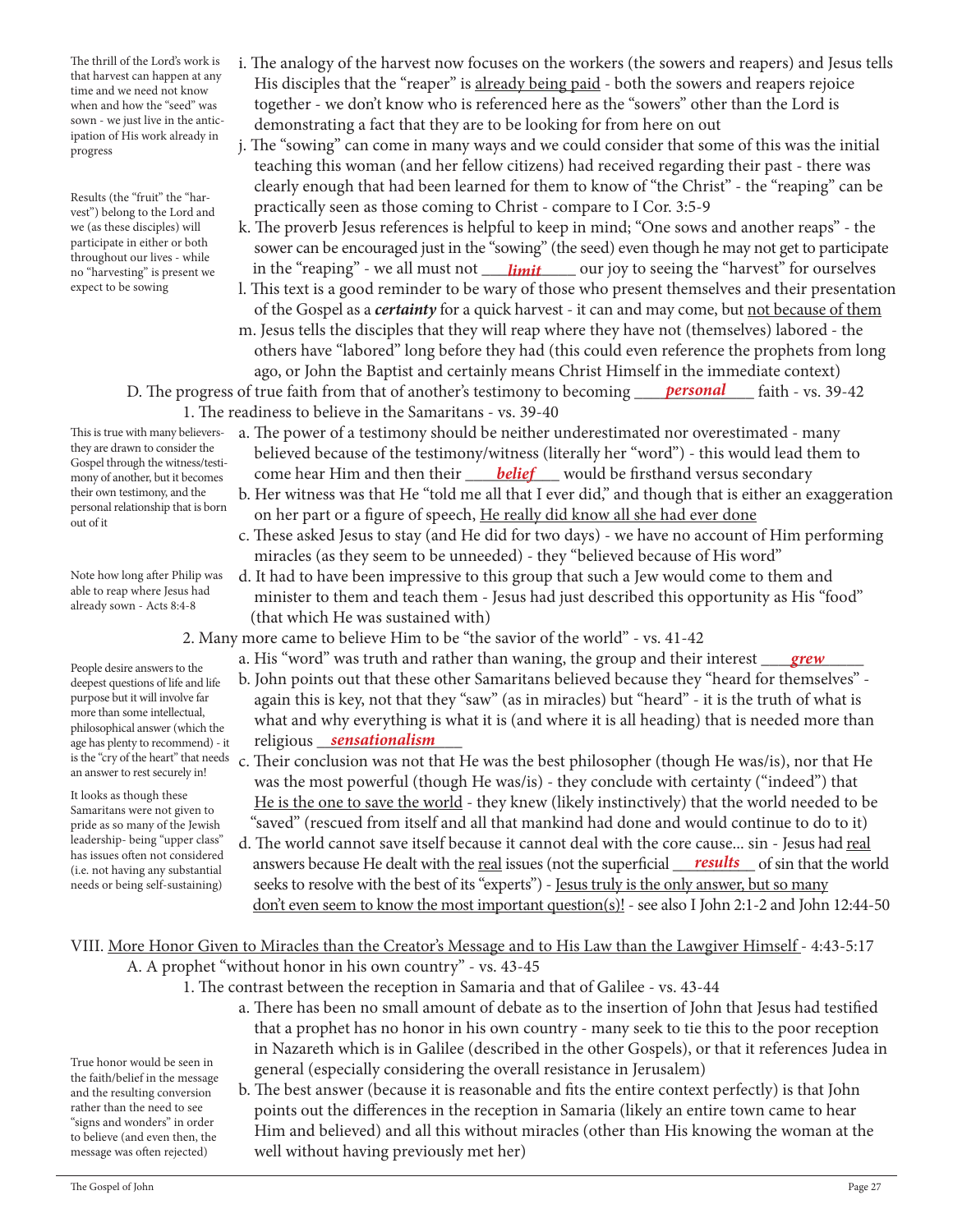The thrill of the Lord's work is that harvest can happen at any time and we need not know when and how the "seed" was sown - we just live in the anticipation of His work already in progress

Results (the "fruit" the "harvest") belong to the Lord and we (as these disciples) will participate in either or both throughout our lives - while no "harvesting" is present we expect to be sowing

This is true with many believersthey are drawn to consider the Gospel through the witness/testimony of another, but it becomes their own testimony, and the personal relationship that is born out of it

Note how long after Philip was able to reap where Jesus had already sown - Acts 8:4-8

People desire answers to the deepest questions of life and life purpose but it will involve far more than some intellectual, philosophical answer (which the age has plenty to recommend) - it an answer to rest securely in!

It looks as though these Samaritans were not given to pride as so many of the Jewish leadership- being "upper class" has issues often not considered (i.e. not having any substantial needs or being self-sustaining)

- i. The analogy of the harvest now focuses on the workers (the sowers and reapers) and Jesus tells His disciples that the "reaper" is already being paid - both the sowers and reapers rejoice together - we don't know who is referenced here as the "sowers" other than the Lord is demonstrating a fact that they are to be looking for from here on out
- j. The "sowing" can come in many ways and we could consider that some of this was the initial teaching this woman (and her fellow citizens) had received regarding their past - there was clearly enough that had been learned for them to know of "the Christ" - the "reaping" can be practically seen as those coming to Christ - compare to I Cor. 3:5-9
- k. The proverb Jesus references is helpful to keep in mind; "One sows and another reaps" the sower can be encouraged just in the "sowing" (the seed) even though he may not get to participate no "harvesting" is present we caping" - we all must not <u>capinal second</u> our joy to seeing the "harvest" for ourselves
	- l. This text is a good reminder to be wary of those who present themselves and their presentation of the Gospel as a *certainty* for a quick harvest - it can and may come, but not because of them m. Jesus tells the disciples that they will reap where they have not (themselves) labored - the
	- others have "labored" long before they had (this could even reference the prophets from long ago, or John the Baptist and certainly means Christ Himself in the immediate context)
	- D. The progress of true faith from that of another's testimony to becoming *personal* faith vs. 39-42 1. The readiness to believe in the Samaritans - vs. 39-40
- a. The power of a testimony should be neither underestimated nor overestimated many believed because of the testimony/witness (literally her "word") - this would lead them to <sub>mony of another, but it becomes</sub> come hear Him and then their **belief** would be firsthand versus secondary
	- b. Her witness was that He "told me all that I ever did," and though that is either an exaggeration on her part or a figure of speech, He really did know all she had ever done
	- c. These asked Jesus to stay (and He did for two days) we have no account of Him performing miracles (as they seem to be unneeded) - they "believed because of His word"
	- d. It had to have been impressive to this group that such a Jew would come to them and minister to them and teach them - Jesus had just described this opportunity as His "food" (that which He was sustained with)
	- 2. Many more came to believe Him to be "the savior of the world" vs. 41-42
- a. His "word" was truth and rather than waning, the group and their interest <u>grew</u>
- b. John points out that these other Samaritans believed because they "heard for themselves" again this is key, not that they "saw" (as in miracles) but "heard" - it is the truth of what is what and why everything is what it is (and where it is all heading) that is needed more than religious \_\_\_\_\_\_\_\_\_\_\_\_\_\_\_\_\_ *sensationalism*
- is the "cry of the heart" that needs c. Their conclusion was not that He was the best philosopher (though He was/is), nor that He was the most powerful (though He was/is) - they conclude with certainty ("indeed") that He is the one to save the world - they knew (likely instinctively) that the world needed to be "saved" (rescued from itself and all that mankind had done and would continue to do to it)
- d. The world cannot save itself because it cannot deal with the core cause... sin Jesus had real lias issues buen not considered a answers because He dealt with the <u>real</u> issues (not the superficial <u>results</u> of sin that the world is not having any substantial seeks to resolve with the best of its "experts") - Jesus truly is the only answer, but so many don't even seem to know the most important question(s)! - see also I John 2:1-2 and John 12:44-50

VIII. More Honor Given to Miracles than the Creator's Message and to His Law than the Lawgiver Himself - 4:43-5:17 A. A prophet "without honor in his own country" - vs. 43-45

- 1. The contrast between the reception in Samaria and that of Galilee vs. 43-44
	- a. There has been no small amount of debate as to the insertion of John that Jesus had testified that a prophet has no honor in his own country - many seek to tie this to the poor reception in Nazareth which is in Galilee (described in the other Gospels), or that it references Judea in general (especially considering the overall resistance in Jerusalem)
	- b. The best answer (because it is reasonable and fits the entire context perfectly) is that John points out the differences in the reception in Samaria (likely an entire town came to hear Him and believed) and all this without miracles (other than His knowing the woman at the well without having previously met her)

True honor would be seen in the faith/belief in the message and the resulting conversion rather than the need to see "signs and wonders" in order to believe (and even then, the message was often rejected)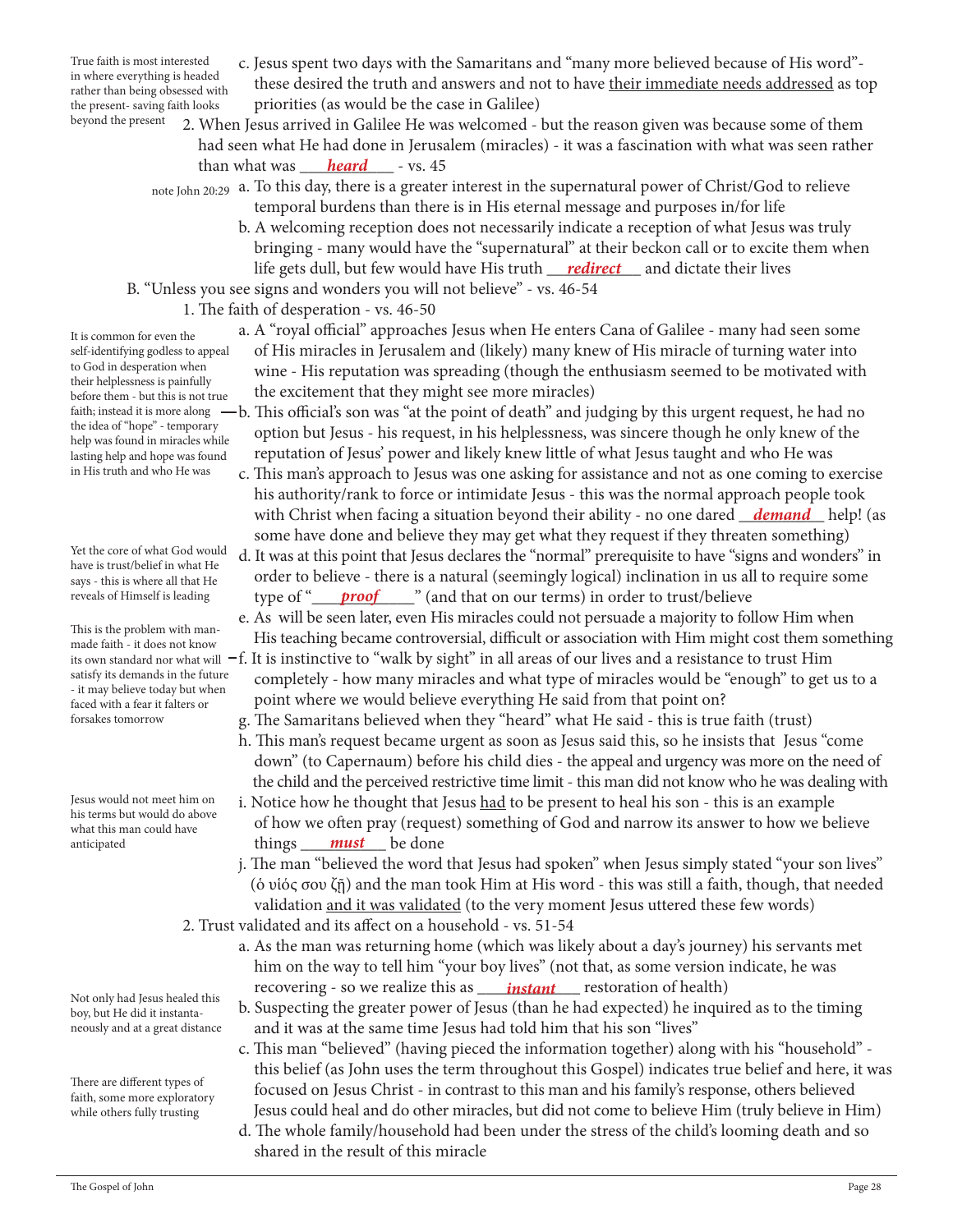True faith is most interested in where everything is headed rather than being obsessed with the present- saving faith looks beyond the present

- c. Jesus spent two days with the Samaritans and "many more believed because of His word" these desired the truth and answers and not to have their immediate needs addressed as top priorities (as would be the case in Galilee)
- 2. When Jesus arrived in Galilee He was welcomed but the reason given was because some of them had seen what He had done in Jerusalem (miracles) - it was a fascination with what was seen rather than what was <u>heard</u> - vs. 45
- note John 20:29 a. To this day, there is a greater interest in the supernatural power of Christ/God to relieve temporal burdens than there is in His eternal message and purposes in/for life
- b. A welcoming reception does not necessarily indicate a reception of what Jesus was truly bringing - many would have the "supernatural" at their beckon call or to excite them when life gets dull, but few would have His truth <u>\_\_\_*redirect*\_\_\_</u> and dictate their lives
	- B. "Unless you see signs and wonders you will not believe" vs. 46-54
		- 1. The faith of desperation vs. 46-50
			- a. A "royal official" approaches Jesus when He enters Cana of Galilee many had seen some of His miracles in Jerusalem and (likely) many knew of His miracle of turning water into wine - His reputation was spreading (though the enthusiasm seemed to be motivated with the excitement that they might see more miracles)
- faith; instead it is more along  $-b$ . This official's son was "at the point of death" and judging by this urgent request, he had no option but Jesus - his request, in his helplessness, was sincere though he only knew of the reputation of Jesus' power and likely knew little of what Jesus taught and who He was
- c. This man's approach to Jesus was one asking for assistance and not as one coming to exercise his authority/rank to force or intimidate Jesus - this was the normal approach people took with Christ when facing a situation beyond their ability - no one dared <u>\_\_*demand*\_\_</u> help! (as some have done and believe they may get what they request if they threaten something)
- d. It was at this point that Jesus declares the "normal" prerequisite to have "signs and wonders" in order to believe - there is a natural (seemingly logical) inclination in us all to require some reveals of Himself is leading httppe of "<u>proof wate</u> (and that on our terms) in order to trust/believe
	- e. As will be seen later, even His miracles could not persuade a majority to follow Him when His teaching became controversial, difficult or association with Him might cost them something
- its own standard nor what will <code>–f.</code> It is instinctive to "walk by sight" in all areas of our lives and a resistance to trust Him completely - how many miracles and what type of miracles would be "enough" to get us to a point where we would believe everything He said from that point on?
	- g. The Samaritans believed when they "heard" what He said this is true faith (trust)
	- h. This man's request became urgent as soon as Jesus said this, so he insists that Jesus "come down" (to Capernaum) before his child dies - the appeal and urgency was more on the need of the child and the perceived restrictive time limit - this man did not know who he was dealing with
- i. Notice how he thought that Jesus had to be present to heal his son this is an example of how we often pray (request) something of God and narrow its answer to how we believe anticipated **things** must be done
	- j. The man "believed the word that Jesus had spoken" when Jesus simply stated "your son lives" (ὁ υἱός σου ζῇ) and the man took Him at His word - this was still a faith, though, that needed validation and it was validated (to the very moment Jesus uttered these few words)
	- 2. Trust validated and its affect on a household vs. 51-54
- a. As the man was returning home (which was likely about a day's journey) his servants met him on the way to tell him "your boy lives" (not that, as some version indicate, he was recovering - so we realize this as *instant* restoration of health)
	- b. Suspecting the greater power of Jesus (than he had expected) he inquired as to the timing and it was at the same time Jesus had told him that his son "lives"
	- c. This man "believed" (having pieced the information together) along with his "household" this belief (as John uses the term throughout this Gospel) indicates true belief and here, it was focused on Jesus Christ - in contrast to this man and his family's response, others believed Jesus could heal and do other miracles, but did not come to believe Him (truly believe in Him)
	- d. The whole family/household had been under the stress of the child's looming death and so shared in the result of this miracle

It is common for even the self-identifying godless to appeal to God in desperation when their helplessness is painfully before them - but this is not true the idea of "hope" - temporary help was found in miracles while lasting help and hope was found in His truth and who He was

Yet the core of what God would have is trust/belief in what He says - this is where all that He reveals of Himself is leading

This is the problem with manmade faith - it does not know satisfy its demands in the future - it may believe today but when faced with a fear it falters or forsakes tomorrow

Jesus would not meet him on his terms but would do above what this man could have anticipated

Not only had Jesus healed this boy, but He did it instantaneously and at a great distance

There are different types of faith, some more exploratory while others fully trusting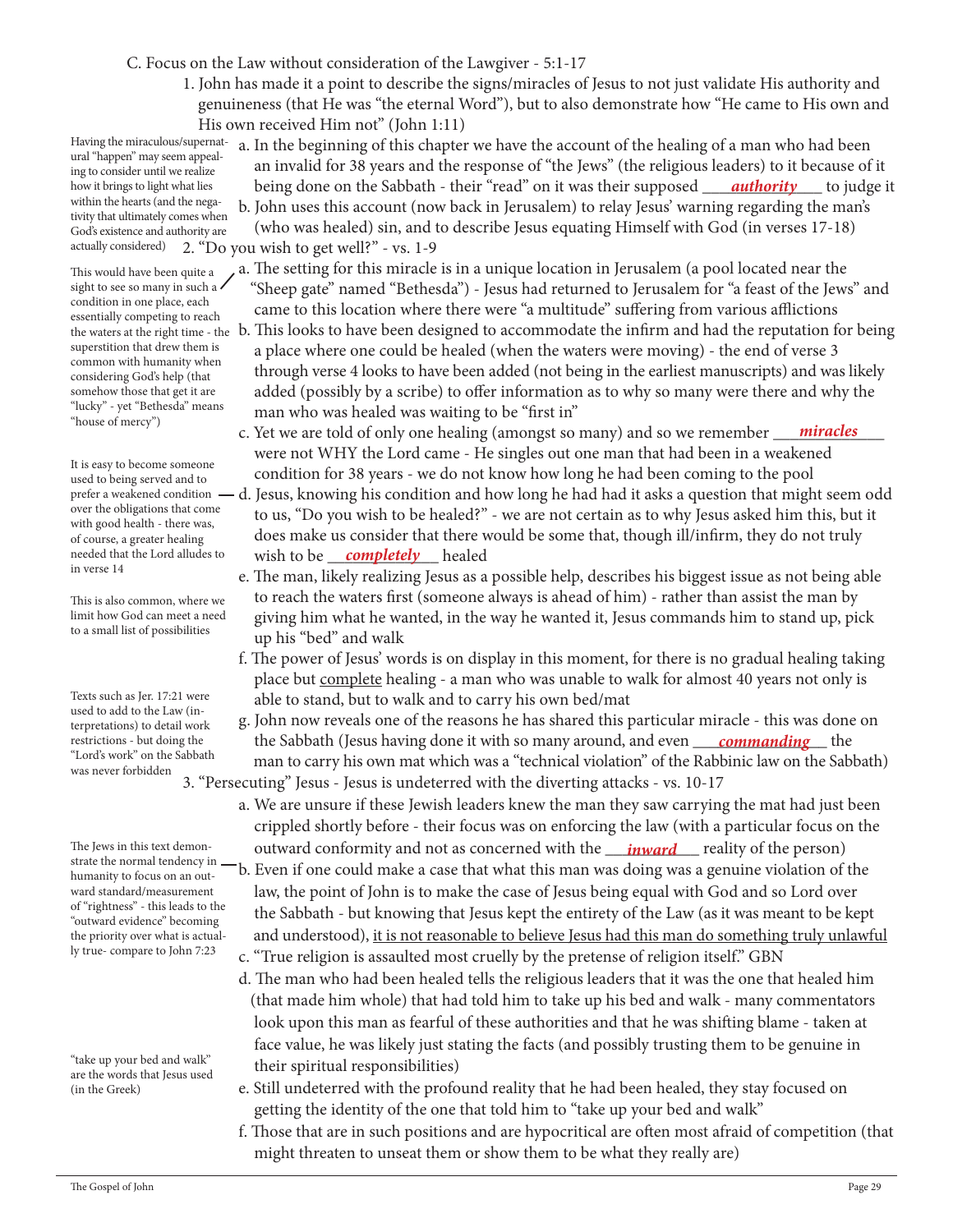C. Focus on the Law without consideration of the Lawgiver - 5:1-17

 1. John has made it a point to describe the signs/miracles of Jesus to not just validate His authority and genuineness (that He was "the eternal Word"), but to also demonstrate how "He came to His own and His own received Him not" (John 1:11)

ural "happen" may seem appealing to consider until we realize how it brings to light what lies within the hearts (and the negativity that ultimately comes when God's existence and authority are

This would have been quite a sight to see so many in such a condition in one place, each essentially competing to reach superstition that drew them is common with humanity when considering God's help (that somehow those that get it are "lucky" - yet "Bethesda" means "house of mercy")

It is easy to become someone used to being served and to over the obligations that come with good health - there was, of course, a greater healing needed that the Lord alludes to in verse 14

This is also common, where we limit how God can meet a need to a small list of possibilities

Texts such as Jer. 17:21 were used to add to the Law (interpretations) to detail work restrictions - but doing the "Lord's work" on the Sabbath was never forbidden

The Jews in this text demonstrate the normal tendency in humanity to focus on an outward standard/measurement of "rightness" - this leads to the "outward evidence" becoming the priority over what is actually true- compare to John 7:23

"take up your bed and walk" are the words that Jesus used (in the Greek)

Having the miraculous/supernat- a. In the beginning of this chapter we have the account of the healing of a man who had been an invalid for 38 years and the response of "the Jews" (the religious leaders) to it because of it how it brings to light what lies being done on the Sabbath - their "read" on it was their supposed <u>authority</u> to judge it b. John uses this account (now back in Jerusalem) to relay Jesus' warning regarding the man's

 (who was healed) sin, and to describe Jesus equating Himself with God (in verses 17-18) 2. "Do you wish to get well?" - vs. 1-9 actually considered)

- a. The setting for this miracle is in a unique location in Jerusalem (a pool located near the "Sheep gate" named "Bethesda") - Jesus had returned to Jerusalem for "a feast of the Jews" and came to this location where there were "a multitude" suffering from various afflictions
- the waters at the right time the b. This looks to have been designed to accommodate the infirm and had the reputation for being a place where one could be healed (when the waters were moving) - the end of verse 3 through verse 4 looks to have been added (not being in the earliest manuscripts) and was likely added (possibly by a scribe) to offer information as to why so many were there and why the man who was healed was waiting to be "first in"
- c. Yet we are told of only one healing (amongst so many) and so we remember <u>miracles</u> were not WHY the Lord came - He singles out one man that had been in a weakened condition for 38 years - we do not know how long he had been coming to the pool
- prefer a weakened condition  $-d$ . Jesus, knowing his condition and how long he had had it asks a question that might seem odd to us, "Do you wish to be healed?" - we are not certain as to why Jesus asked him this, but it does make us consider that there would be some that, though ill/infirm, they do not truly wish to be \_\_\_\_\_\_\_\_\_\_\_\_\_ healed *completely*
	- e. The man, likely realizing Jesus as a possible help, describes his biggest issue as not being able to reach the waters first (someone always is ahead of him) - rather than assist the man by giving him what he wanted, in the way he wanted it, Jesus commands him to stand up, pick up his "bed" and walk
	- f. The power of Jesus' words is on display in this moment, for there is no gradual healing taking place but complete healing - a man who was unable to walk for almost 40 years not only is able to stand, but to walk and to carry his own bed/mat
- g. John now reveals one of the reasons he has shared this particular miracle this was done on restrictions - but doing the **the Sabbath (Jesus having done it with so many around, and even** *commanding* **the**  man to carry his own mat which was a "technical violation" of the Rabbinic law on the Sabbath) 3. "Persecuting" Jesus - Jesus is undeterred with the diverting attacks - vs. 10-17

 a. We are unsure if these Jewish leaders knew the man they saw carrying the mat had just been crippled shortly before - their focus was on enforcing the law (with a particular focus on the The Jews in this text demon-<br> **outward conformity and not as concerned with the** <u>*inward*</u> reality of the person)

 b. Even if one could make a case that what this man was doing was a genuine violation of the law, the point of John is to make the case of Jesus being equal with God and so Lord over the Sabbath - but knowing that Jesus kept the entirety of the Law (as it was meant to be kept and understood), it is not reasonable to believe Jesus had this man do something truly unlawful

c. "True religion is assaulted most cruelly by the pretense of religion itself." GBN

- d. The man who had been healed tells the religious leaders that it was the one that healed him (that made him whole) that had told him to take up his bed and walk - many commentators look upon this man as fearful of these authorities and that he was shifting blame - taken at face value, he was likely just stating the facts (and possibly trusting them to be genuine in their spiritual responsibilities)
- e. Still undeterred with the profound reality that he had been healed, they stay focused on getting the identity of the one that told him to "take up your bed and walk"
- f. Those that are in such positions and are hypocritical are often most afraid of competition (that might threaten to unseat them or show them to be what they really are)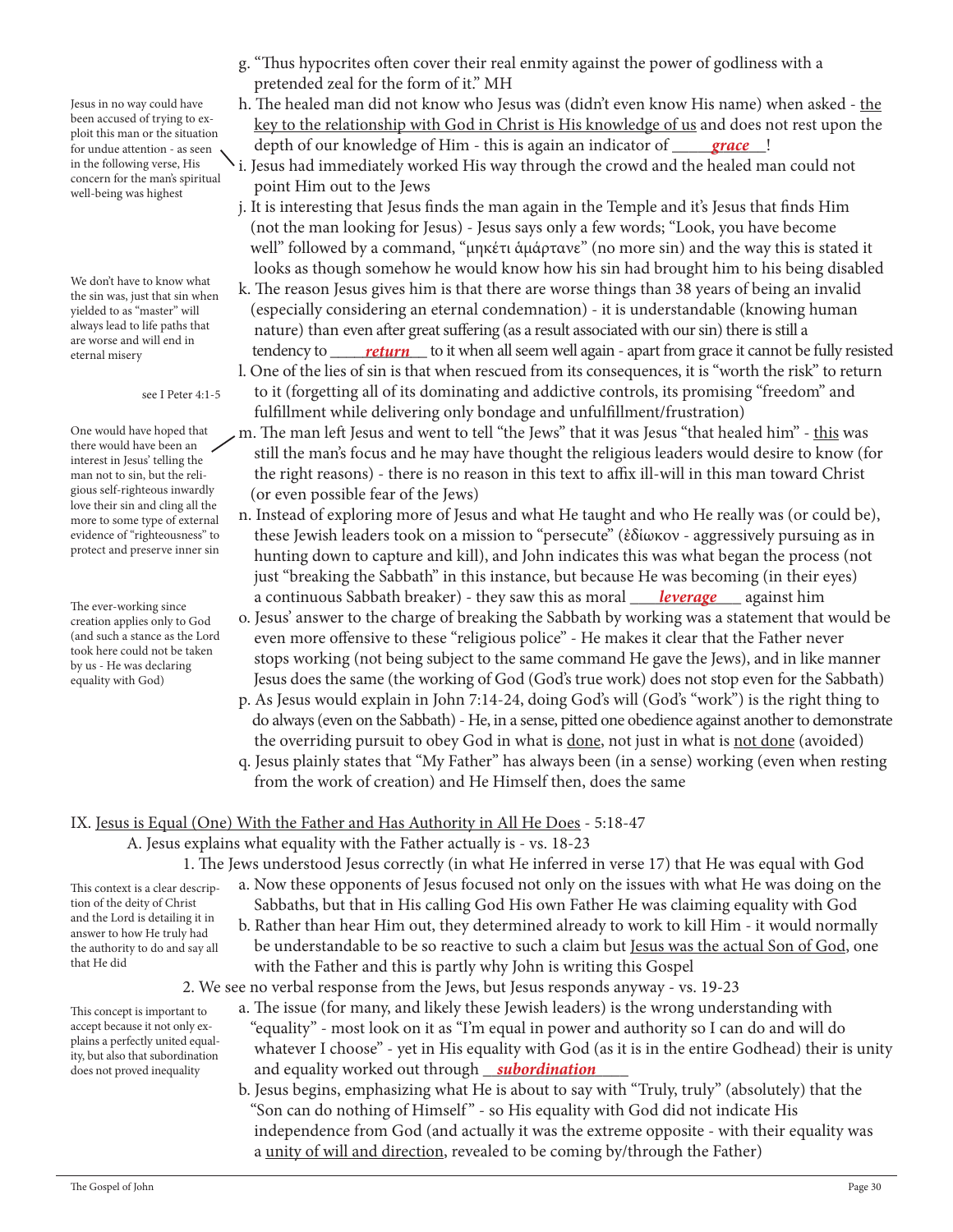Jesus in no way could have been accused of trying to exploit this man or the situation for undue attention - as seen in the following verse, His concern for the man's spiritual well-being was highest

We don't have to know what the sin was, just that sin when yielded to as "master" will always lead to life paths that are worse and will end in eternal misery

see I Peter 4:1-5

One would have hoped that there would have been an interest in Jesus' telling the man not to sin, but the religious self-righteous inwardly love their sin and cling all the more to some type of external evidence of "righteousness" to protect and preserve inner sin

The ever-working since creation applies only to God (and such a stance as the Lord took here could not be taken by us - He was declaring equality with God)

- g. "Thus hypocrites often cover their real enmity against the power of godliness with a pretended zeal for the form of it." MH
- h. The healed man did not know who Jesus was (didn't even know His name) when asked the key to the relationship with God in Christ is His knowledge of us and does not rest upon the depth of our knowledge of Him - this is again an indicator of *grace*
- i. Jesus had immediately worked His way through the crowd and the healed man could not point Him out to the Jews
- j. It is interesting that Jesus finds the man again in the Temple and it's Jesus that finds Him (not the man looking for Jesus) - Jesus says only a few words; "Look, you have become well" followed by a command, "μηκέτι ἁμάρτανε" (no more sin) and the way this is stated it looks as though somehow he would know how his sin had brought him to his being disabled
- k. The reason Jesus gives him is that there are worse things than 38 years of being an invalid (especially considering an eternal condemnation) - it is understandable (knowing human nature) than even after great suffering (as a result associated with our sin) there is still a <sub>eternal misery</sub> that the fully resisted tendency to <u>return</u> to it when all seem well again - apart from grace it cannot be fully resisted l. One of the lies of sin is that when rescued from its consequences, it is "worth the risk" to return
	- to it (forgetting all of its dominating and addictive controls, its promising "freedom" and fulfillment while delivering only bondage and unfulfillment/frustration)
	- m. The man left Jesus and went to tell "the Jews" that it was Jesus "that healed him" this was still the man's focus and he may have thought the religious leaders would desire to know (for the right reasons) - there is no reason in this text to affix ill-will in this man toward Christ (or even possible fear of the Jews)
- n. Instead of exploring more of Jesus and what He taught and who He really was (or could be), these Jewish leaders took on a mission to "persecute" (ἐδίωκον - aggressively pursuing as in hunting down to capture and kill), and John indicates this was what began the process (not just "breaking the Sabbath" in this instance, but because He was becoming (in their eyes) a continuous Sabbath breaker) - they saw this as moral <u>\_\_\_\_\_leverage</u> \_\_\_\_\_ against him
	- o. Jesus' answer to the charge of breaking the Sabbath by working was a statement that would be even more offensive to these "religious police" - He makes it clear that the Father never stops working (not being subject to the same command He gave the Jews), and in like manner Jesus does the same (the working of God (God's true work) does not stop even for the Sabbath)
	- p. As Jesus would explain in John 7:14-24, doing God's will (God's "work") is the right thing to do always (even on the Sabbath) - He, in a sense, pitted one obedience against another to demonstrate the overriding pursuit to obey God in what is done, not just in what is not done (avoided)
	- q. Jesus plainly states that "My Father" has always been (in a sense) working (even when resting from the work of creation) and He Himself then, does the same

# IX. Jesus is Equal (One) With the Father and Has Authority in All He Does - 5:18-47

A. Jesus explains what equality with the Father actually is - vs. 18-23

- 1. The Jews understood Jesus correctly (in what He inferred in verse 17) that He was equal with God a. Now these opponents of Jesus focused not only on the issues with what He was doing on the
	- Sabbaths, but that in His calling God His own Father He was claiming equality with God
	- b. Rather than hear Him out, they determined already to work to kill Him it would normally be understandable to be so reactive to such a claim but Jesus was the actual Son of God, one with the Father and this is partly why John is writing this Gospel
- 2. We see no verbal response from the Jews, but Jesus responds anyway vs. 19-23
- a. The issue (for many, and likely these Jewish leaders) is the wrong understanding with "equality" - most look on it as "I'm equal in power and authority so I can do and will do whatever I choose" - yet in His equality with God (as it is in the entire Godhead) their is unity does not proved inequality **and equality worked out through <u>subordination</u>** 
	- b. Jesus begins, emphasizing what He is about to say with "Truly, truly" (absolutely) that the "Son can do nothing of Himself" - so His equality with God did not indicate His independence from God (and actually it was the extreme opposite - with their equality was a unity of will and direction, revealed to be coming by/through the Father)
- This context is a clear description of the deity of Christ and the Lord is detailing it in answer to how He truly had the authority to do and say all that He did
- This concept is important to accept because it not only explains a perfectly united equality, but also that subordination does not proved inequality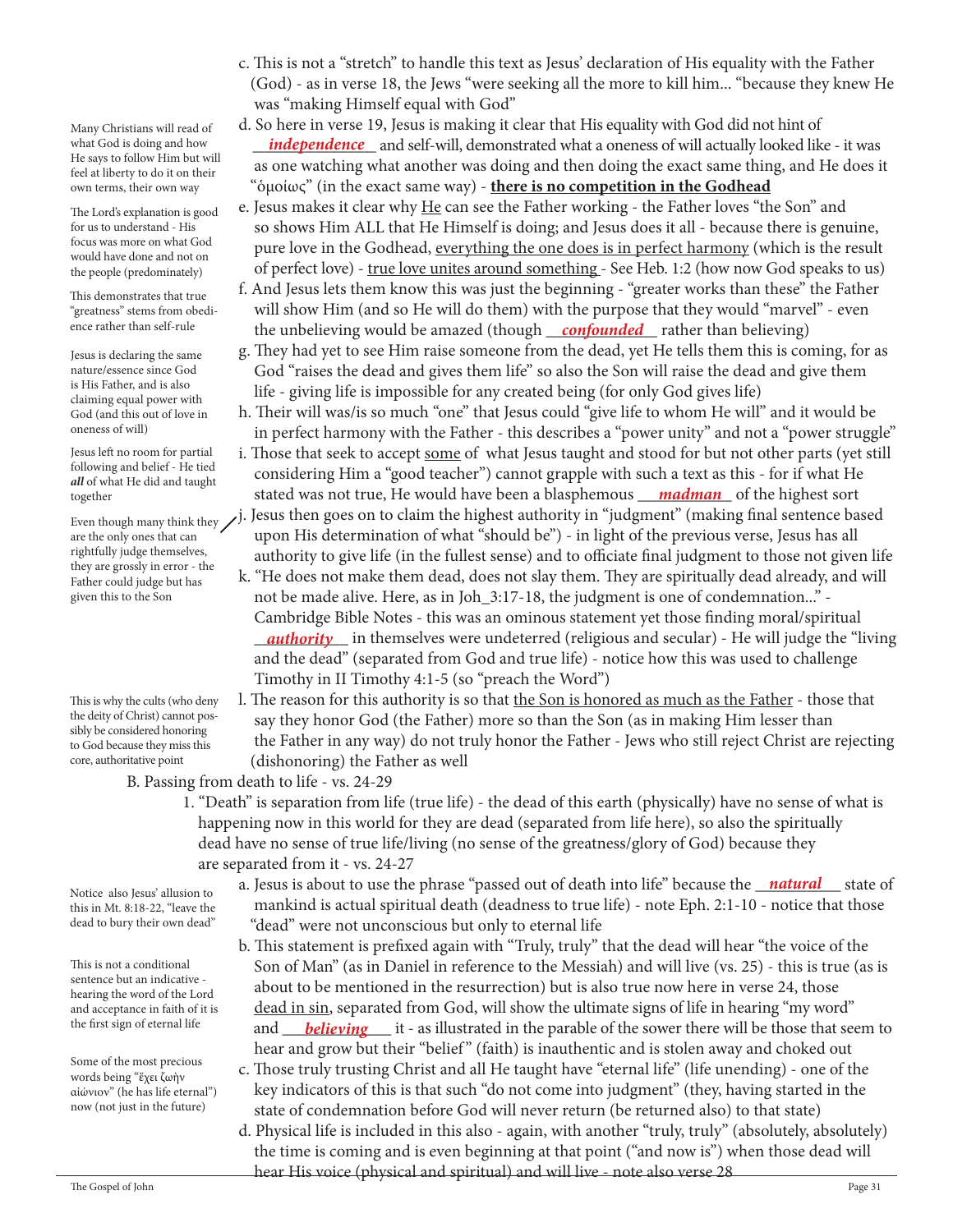Many Christians will read of what God is doing and how He says to follow Him but will feel at liberty to do it on their own terms, their own way

The Lord's explanation is good for us to understand - His focus was more on what God would have done and not on the people (predominately)

This demonstrates that true "greatness" stems from obedience rather than self-rule

Jesus is declaring the same nature/essence since God is His Father, and is also claiming equal power with God (and this out of love in oneness of will)

Jesus left no room for partial following and belief - He tied *all* of what He did and taught together

are the only ones that can rightfully judge themselves, they are grossly in error - the Father could judge but has given this to the Son

This is why the cults (who deny the deity of Christ) cannot possibly be considered honoring to God because they miss this core, authoritative point

Notice also Jesus' allusion to this in Mt. 8:18-22, "leave the dead to bury their own dead"

This is not a conditional sentence but an indicative hearing the word of the Lord and acceptance in faith of it is the first sign of eternal life

Some of the most precious words being "ἔχει ζωὴν αἰώνιον" (he has life eternal") now (not just in the future)

- c. This is not a "stretch" to handle this text as Jesus' declaration of His equality with the Father (God) - as in verse 18, the Jews "were seeking all the more to kill him... "because they knew He was "making Himself equal with God"
- d. So here in verse 19, Jesus is making it clear that His equality with God did not hint of what God is doing and how *independence* and self-will, demonstrated what a oneness of will actually looked like - it was as one watching what another was doing and then doing the exact same thing, and He does it "ὁμοίως" (in the exact same way) - **there is no competition in the Godhead**
	- e. Jesus makes it clear why He can see the Father working the Father loves "the Son" and so shows Him ALL that He Himself is doing; and Jesus does it all - because there is genuine, pure love in the Godhead, everything the one does is in perfect harmony (which is the result of perfect love) - true love unites around something - See Heb. 1:2 (how now God speaks to us)
- f. And Jesus lets them know this was just the beginning "greater works than these" the Father will show Him (and so He will do them) with the purpose that they would "marvel" - even <sup>ence rather than self-rule</sup> he unbelieving would be amazed (though <u>confounded)</u> rather than believing)
	- g. They had yet to see Him raise someone from the dead, yet He tells them this is coming, for as God "raises the dead and gives them life" so also the Son will raise the dead and give them life - giving life is impossible for any created being (for only God gives life)
	- h. Their will was/is so much "one" that Jesus could "give life to whom He will" and it would be in perfect harmony with the Father - this describes a "power unity" and not a "power struggle"
- i. Those that seek to accept some of what Jesus taught and stood for but not other parts (yet still considering Him a "good teacher") cannot grapple with such a text as this - for if what He stated was not true, He would have been a blasphemous \_\_\_\_\_\_\_\_\_\_\_ of the highest sort *madman*
- Even though many think they  $\bigtriangledown$  J. Jesus then goes on to claim the highest authority in "judgment" (making final sentence based upon His determination of what "should be") - in light of the previous verse, Jesus has all authority to give life (in the fullest sense) and to officiate final judgment to those not given life
- k. "He does not make them dead, does not slay them. They are spiritually dead already, and will not be made alive. Here, as in Joh\_3:17-18, the judgment is one of condemnation..." - Cambridge Bible Notes - this was an ominous statement yet those finding moral/spiritual \_\_\_\_\_\_\_\_\_\_\_ in themselves were undeterred (religious and secular) - He will judge the "living *authority* and the dead" (separated from God and true life) - notice how this was used to challenge Timothy in II Timothy 4:1-5 (so "preach the Word")
	- l. The reason for this authority is so that the Son is honored as much as the Father those that say they honor God (the Father) more so than the Son (as in making Him lesser than the Father in any way) do not truly honor the Father - Jews who still reject Christ are rejecting (dishonoring) the Father as well
	- B. Passing from death to life vs. 24-29
		- 1. "Death" is separation from life (true life) the dead of this earth (physically) have no sense of what is happening now in this world for they are dead (separated from life here), so also the spiritually dead have no sense of true life/living (no sense of the greatness/glory of God) because they are separated from it - vs. 24-27
- Notice also Jesus' allusion to **a**. Jesus is about to use the phrase "passed out of death into life" because the **natural** state of mankind is actual spiritual death (deadness to true life) - note Eph. 2:1-10 - notice that those "dead" were not unconscious but only to eternal life
- b. This statement is prefixed again with "Truly, truly" that the dead will hear "the voice of the Son of Man" (as in Daniel in reference to the Messiah) and will live (vs. 25) - this is true (as is about to be mentioned in the resurrection) but is also true now here in verse 24, those dead in sin, separated from God, will show the ultimate signs of life in hearing "my word" the first sign of eternal life **and** *believing* it - as illustrated in the parable of the sower there will be those that seem to hear and grow but their "belief" (faith) is inauthentic and is stolen away and choked out
	- c. Those truly trusting Christ and all He taught have "eternal life" (life unending) one of the key indicators of this is that such "do not come into judgment" (they, having started in the state of condemnation before God will never return (be returned also) to that state)
- d. Physical life is included in this also again, with another "truly, truly" (absolutely, absolutely) the time is coming and is even beginning at that point ("and now is") when those dead will hear His voice (physical and spiritual) and will live - note also verse 28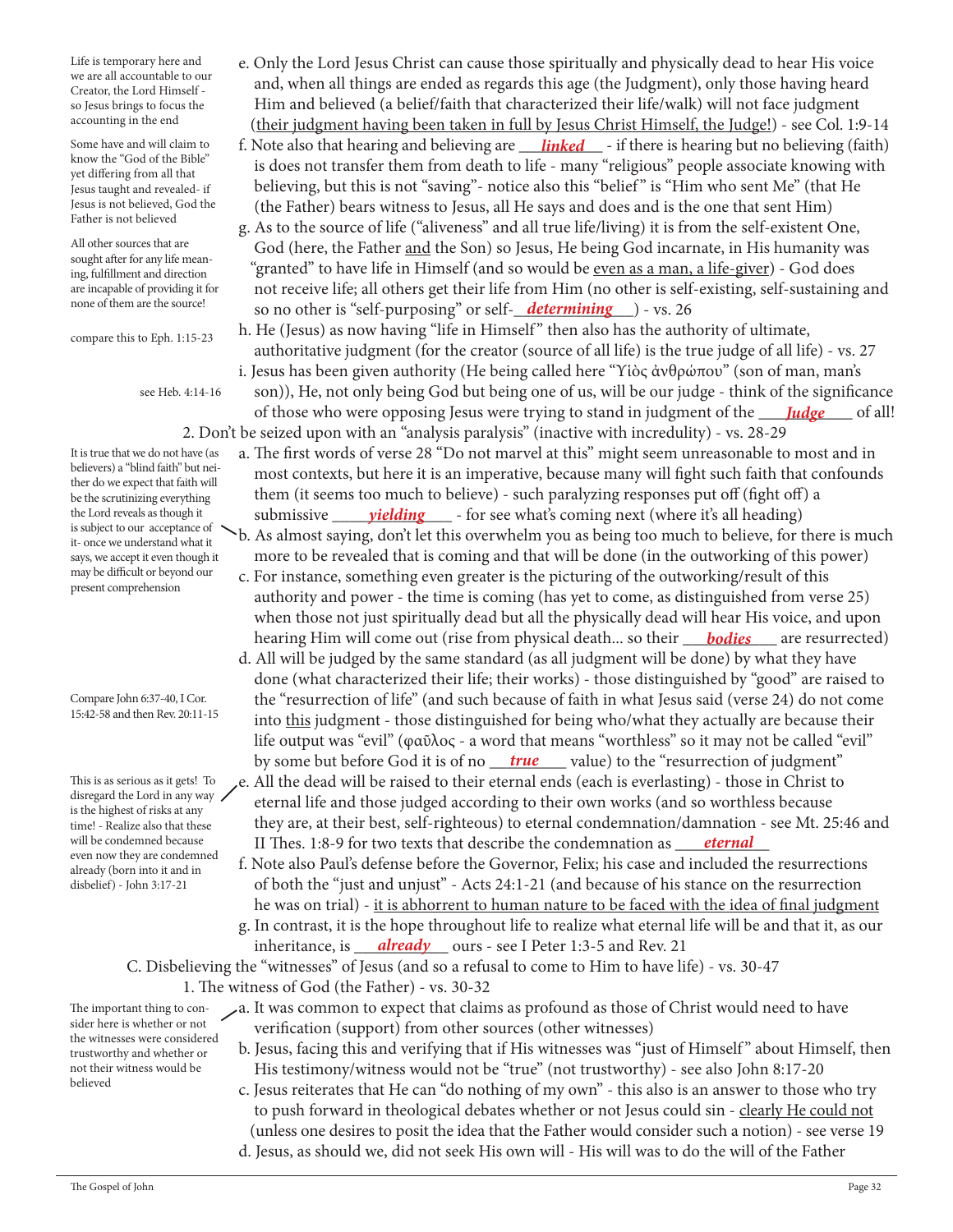Life is temporary here and we are all accountable to our Creator, the Lord Himself so Jesus brings to focus the accounting in the end

Some have and will claim to know the "God of the Bible" yet differing from all that Jesus taught and revealed- if Jesus is not believed, God the Father is not believed

All other sources that are sought after for any life meaning, fulfillment and direction are incapable of providing it for none of them are the source!

compare this to Eph. 1:15-23

see Heb. 4:14-16

It is true that we do not have (as believers) a "blind faith" but neither do we expect that faith will be the scrutinizing everything the Lord reveals as though it is subject to our acceptance of it- once we understand what it says, we accept it even though it may be difficult or beyond our present comprehension

Compare John 6:37-40, I Cor. 15:42-58 and then Rev. 20:11-15

This is as serious as it gets! To disregard the Lord in any way is the highest of risks at any time! - Realize also that these will be condemned because even now they are condemned already (born into it and in disbelief) - John 3:17-21

- e. Only the Lord Jesus Christ can cause those spiritually and physically dead to hear His voice and, when all things are ended as regards this age (the Judgment), only those having heard Him and believed (a belief/faith that characterized their life/walk) will not face judgment (their judgment having been taken in full by Jesus Christ Himself, the Judge!) - see Col. 1:9-14
- Some have and will claim to f. Note also that hearing and believing are *linked* if there is hearing but no believing (faith) is does not transfer them from death to life - many "religious" people associate knowing with believing, but this is not "saving"- notice also this "belief " is "Him who sent Me" (that He (the Father) bears witness to Jesus, all He says and does and is the one that sent Him)
- g. As to the source of life ("aliveness" and all true life/living) it is from the self-existent One, God (here, the Father and the Son) so Jesus, He being God incarnate, in His humanity was "granted" to have life in Himself (and so would be even as a man, a life-giver) - God does not receive life; all others get their life from Him (no other is self-existing, self-sustaining and none of them are the source! so no other is "self-purposing" or self-<u>\_\_determining</u> \_\_) - vs. 26
	- h. He (Jesus) as now having "life in Himself" then also has the authority of ultimate, authoritative judgment (for the creator (source of all life) is the true judge of all life) - vs. 27
- i. Jesus has been given authority (He being called here "Υἱὸς ἀνθρώπου" (son of man, man's son)), He, not only being God but being one of us, will be our judge - think of the significance of those who were opposing Jesus were trying to stand in judgment of the <u>Judge</u> \_\_\_\_ of all! 2. Don't be seized upon with an "analysis paralysis" (inactive with incredulity) - vs. 28-29
- a. The first words of verse 28 "Do not marvel at this" might seem unreasonable to most and in most contexts, but here it is an imperative, because many will fight such faith that confounds them (it seems too much to believe) - such paralyzing responses put off (fight off) a the Lord reveals as though it submissive *yielding* - for see what's coming next (where it's all heading)
	- b. As almost saying, don't let this overwhelm you as being too much to believe, for there is much more to be revealed that is coming and that will be done (in the outworking of this power)
- c. For instance, something even greater is the picturing of the outworking/result of this authority and power - the time is coming (has yet to come, as distinguished from verse 25) when those not just spiritually dead but all the physically dead will hear His voice, and upon hearing Him will come out (rise from physical death... so their <u>bodies</u> are resurrected)
- d. All will be judged by the same standard (as all judgment will be done) by what they have done (what characterized their life; their works) - those distinguished by "good" are raised to the "resurrection of life" (and such because of faith in what Jesus said (verse 24) do not come into this judgment - those distinguished for being who/what they actually are because their life output was "evil" (φαῦλος - a word that means "worthless" so it may not be called "evil" by some but before God it is of no <u>\_\_\_true\_\_\_\_</u>\_ value) to the "resurrection of judgment"
- e. All the dead will be raised to their eternal ends (each is everlasting) those in Christ to eternal life and those judged according to their own works (and so worthless because they are, at their best, self-righteous) to eternal condemnation/damnation - see Mt. 25:46 and will be condemned because **II** Thes. 1:8-9 for two texts that describe the condemnation as <u>eternal</u>
- f. Note also Paul's defense before the Governor, Felix; his case and included the resurrections of both the "just and unjust" - Acts 24:1-21 (and because of his stance on the resurrection he was on trial) - it is abhorrent to human nature to be faced with the idea of final judgment g. In contrast, it is the hope throughout life to realize what eternal life will be and that it, as our inheritance, is <u>\_\_\_\_already</u> \_\_\_\_\_ ours - see I Peter 1:3-5 and Rev. 21

C. Disbelieving the "witnesses" of Jesus (and so a refusal to come to Him to have life) - vs. 30-47 1. The witness of God (the Father) - vs. 30-32

The important thing to consider here is whether or not the witnesses were considered trustworthy and whether or not their witness would be believed

- a. It was common to expect that claims as profound as those of Christ would need to have verification (support) from other sources (other witnesses)
	- b. Jesus, facing this and verifying that if His witnesses was "just of Himself" about Himself, then His testimony/witness would not be "true" (not trustworthy) - see also John 8:17-20
	- c. Jesus reiterates that He can "do nothing of my own" this also is an answer to those who try to push forward in theological debates whether or not Jesus could sin - clearly He could not (unless one desires to posit the idea that the Father would consider such a notion) - see verse 19
	- d. Jesus, as should we, did not seek His own will His will was to do the will of the Father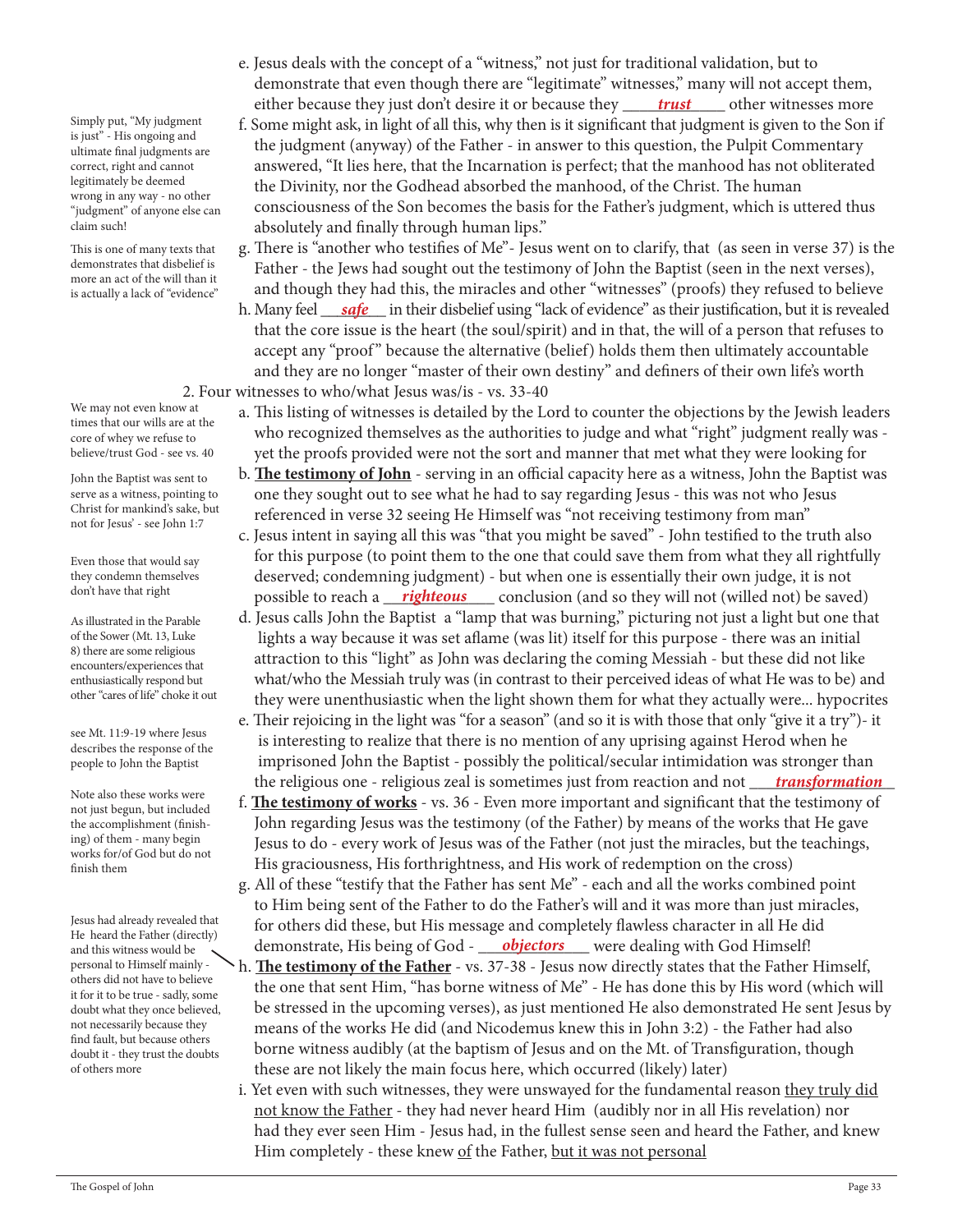Simply put, "My judgment is just" - His ongoing and ultimate final judgments are correct, right and cannot legitimately be deemed wrong in any way - no other "judgment" of anyone else can claim such!

This is one of many texts that demonstrates that disbelief is more an act of the will than it is actually a lack of "evidence"

We may not even know at times that our wills are at the core of whey we refuse to believe/trust God - see vs. 40

John the Baptist was sent to serve as a witness, pointing to Christ for mankind's sake, but not for Jesus' - see John 1:7

Even those that would say they condemn themselves don't have that right

As illustrated in the Parable of the Sower (Mt. 13, Luke 8) there are some religious encounters/experiences that enthusiastically respond but other "cares of life" choke it out

see Mt. 11:9-19 where Jesus describes the response of the people to John the Baptist

Note also these works were not just begun, but included the accomplishment (finishing) of them - many begin works for/of God but do not finish them

Jesus had already revealed that He heard the Father (directly) and this witness would be personal to Himself mainly others did not have to believe it for it to be true - sadly, some doubt what they once believed, not necessarily because they find fault, but because others doubt it - they trust the doubts of others more

- e. Jesus deals with the concept of a "witness," not just for traditional validation, but to demonstrate that even though there are "legitimate" witnesses," many will not accept them, either because they just don't desire it or because they \_\_\_\_\_*trust\_\_\_\_\_\_* other witnesses more
	- f. Some might ask, in light of all this, why then is it significant that judgment is given to the Son if the judgment (anyway) of the Father - in answer to this question, the Pulpit Commentary answered, "It lies here, that the Incarnation is perfect; that the manhood has not obliterated the Divinity, nor the Godhead absorbed the manhood, of the Christ. The human consciousness of the Son becomes the basis for the Father's judgment, which is uttered thus absolutely and finally through human lips."
	- g. There is "another who testifies of Me"- Jesus went on to clarify, that (as seen in verse 37) is the Father - the Jews had sought out the testimony of John the Baptist (seen in the next verses), and though they had this, the miracles and other "witnesses" (proofs) they refused to believe
- h. Many feel <u>gafe han</u> their disbelief using "lack of evidence" as their justification, but it is revealed that the core issue is the heart (the soul/spirit) and in that, the will of a person that refuses to accept any "proof" because the alternative (belief) holds them then ultimately accountable and they are no longer "master of their own destiny" and definers of their own life's worth 2. Four witnesses to who/what Jesus was/is - vs. 33-40
	- a. This listing of witnesses is detailed by the Lord to counter the objections by the Jewish leaders who recognized themselves as the authorities to judge and what "right" judgment really was yet the proofs provided were not the sort and manner that met what they were looking for
	- b. **The testimony of John** serving in an official capacity here as a witness, John the Baptist was one they sought out to see what he had to say regarding Jesus - this was not who Jesus referenced in verse 32 seeing He Himself was "not receiving testimony from man"
- c. Jesus intent in saying all this was "that you might be saved" John testified to the truth also for this purpose (to point them to the one that could save them from what they all rightfully deserved; condemning judgment) - but when one is essentially their own judge, it is not <sup>dont have that right that right to reach a <u>righteous</u> conclusion (and so they will not (willed not) be saved)</sup>
	- d. Jesus calls John the Baptist a "lamp that was burning," picturing not just a light but one that lights a way because it was set aflame (was lit) itself for this purpose - there was an initial attraction to this "light" as John was declaring the coming Messiah - but these did not like what/who the Messiah truly was (in contrast to their perceived ideas of what He was to be) and they were unenthusiastic when the light shown them for what they actually were... hypocrites
- e. Their rejoicing in the light was "for a season" (and so it is with those that only "give it a try")- it is interesting to realize that there is no mention of any uprising against Herod when he imprisoned John the Baptist - possibly the political/secular intimidation was stronger than the religious one - religious zeal is sometimes just from reaction and not \_\_\_\_\_\_\_\_\_\_\_\_\_\_\_\_\_ *transformation*
	- f. **The testimony of works** vs. 36 Even more important and significant that the testimony of John regarding Jesus was the testimony (of the Father) by means of the works that He gave Jesus to do - every work of Jesus was of the Father (not just the miracles, but the teachings, His graciousness, His forthrightness, and His work of redemption on the cross)
- g. All of these "testify that the Father has sent Me" each and all the works combined point to Him being sent of the Father to do the Father's will and it was more than just miracles, for others did these, but His message and completely flawless character in all He did and this witness would be demonstrate, His being of God - **objectors** were dealing with God Himself!
	- h. **The testimony of the Father** vs. 37-38 Jesus now directly states that the Father Himself, the one that sent Him, "has borne witness of Me" - He has done this by His word (which will be stressed in the upcoming verses), as just mentioned He also demonstrated He sent Jesus by means of the works He did (and Nicodemus knew this in John 3:2) - the Father had also borne witness audibly (at the baptism of Jesus and on the Mt. of Transfiguration, though these are not likely the main focus here, which occurred (likely) later)
	- i. Yet even with such witnesses, they were unswayed for the fundamental reason they truly did not know the Father - they had never heard Him (audibly nor in all His revelation) nor had they ever seen Him - Jesus had, in the fullest sense seen and heard the Father, and knew Him completely - these knew of the Father, but it was not personal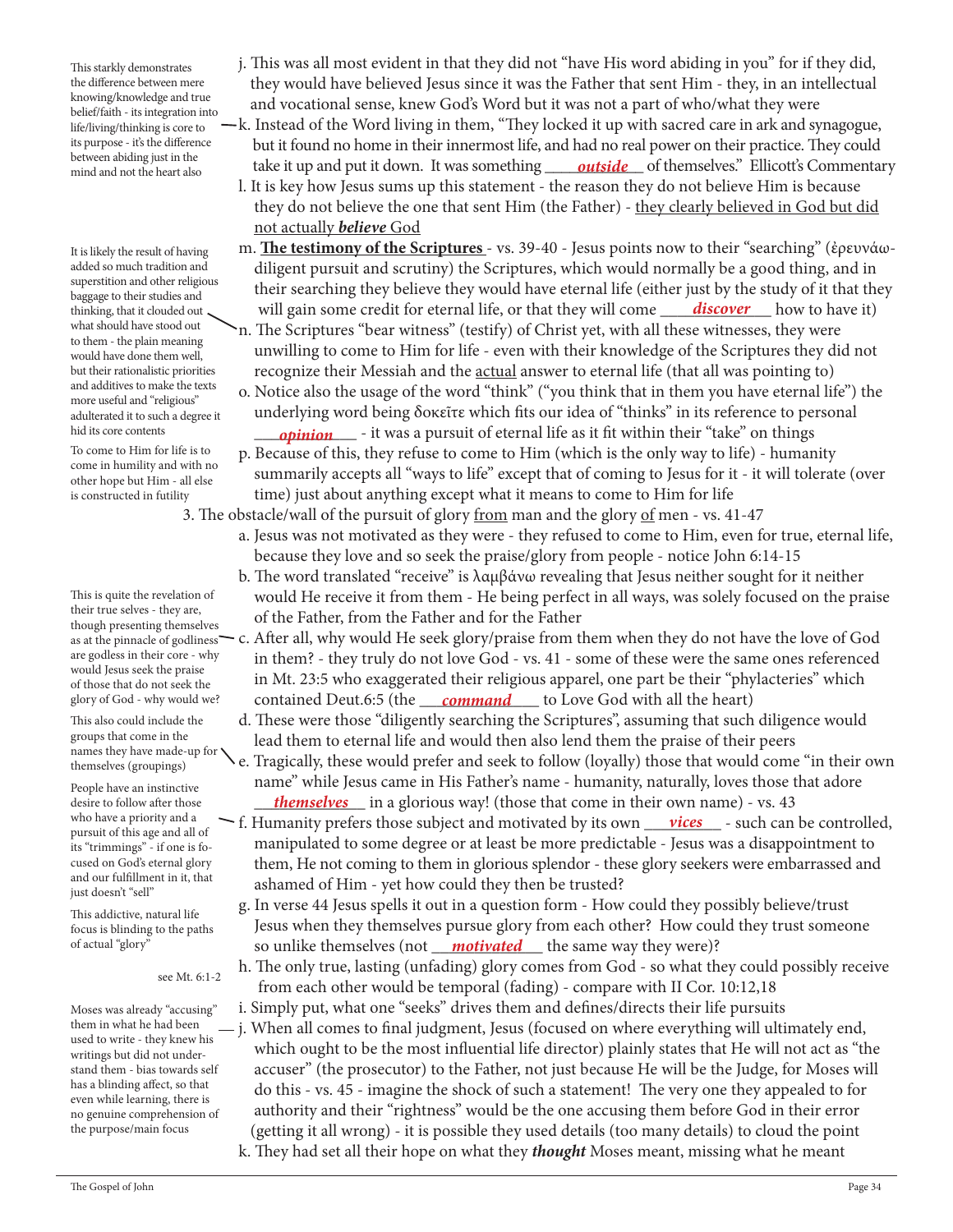This starkly demonstrates the difference between mere knowing/knowledge and true belief/faith - its integration into life/living/thinking is core to its purpose - it's the difference between abiding just in the mind and not the heart also

It is likely the result of having added so much tradition and superstition and other religious baggage to their studies and thinking, that it clouded out what should have stood out to them - the plain meaning would have done them well, but their rationalistic priorities and additives to make the texts more useful and "religious" adulterated it to such a degree it hid its core contents

To come to Him for life is to come in humility and with no other hope but Him - all else is constructed in futility

This is quite the revelation of their true selves - they are, though presenting themselves are godless in their core - why would Jesus seek the praise of those that do not seek the glory of God - why would we?

This also could include the groups that come in the names they have made-up for themselves (groupings)

People have an instinctive desire to follow after those who have a priority and a pursuit of this age and all of its "trimmings" - if one is focused on God's eternal glory and our fulfillment in it, that just doesn't "sell"

This addictive, natural life focus is blinding to the paths of actual "glory"

see Mt. 6:1-2

Moses was already "accusing" them in what he had been used to write - they knew his writings but did not understand them - bias towards self has a blinding affect, so that even while learning, there is no genuine comprehension of the purpose/main focus

- j. This was all most evident in that they did not "have His word abiding in you" for if they did, they would have believed Jesus since it was the Father that sent Him - they, in an intellectual and vocational sense, knew God's Word but it was not a part of who/what they were
- k. Instead of the Word living in them, "They locked it up with sacred care in ark and synagogue, but it found no home in their innermost life, and had no real power on their practice. They could between ablang just in the **seart also** take it up and put it down. It was something <u>outside</u> of themselves." Ellicott's Commentary
	- l. It is key how Jesus sums up this statement the reason they do not believe Him is because they do not believe the one that sent Him (the Father) - they clearly believed in God but did not actually *believe* God
	- m. **The testimony of the Scriptures**  vs. 39-40 Jesus points now to their "searching" (ἐρευνάω diligent pursuit and scrutiny) the Scriptures, which would normally be a good thing, and in their searching they believe they would have eternal life (either just by the study of it that they will gain some credit for eternal life, or that they will come n. The Scriptures "bear witness" (testify) of Christ yet, with all these witnesses, they were unwilling to come to Him for life - even with their knowledge of the Scriptures they did not recognize their Messiah and the actual answer to eternal life (that all was pointing to) *discover* how to have it)
	- o. Notice also the usage of the word "think" ("you think that in them you have eternal life") the underlying word being δοκεῖτε which fits our idea of "thinks" in its reference to personal
- hid its core contents *opinion* it was a pursuit of eternal life as it fit within their "take" on things p. Because of this, they refuse to come to Him (which is the only way to life) - humanity summarily accepts all "ways to life" except that of coming to Jesus for it - it will tolerate (over time) just about anything except what it means to come to Him for life

3. The obstacle/wall of the pursuit of glory from man and the glory of men - vs. 41-47

- a. Jesus was not motivated as they were they refused to come to Him, even for true, eternal life, because they love and so seek the praise/glory from people - notice John 6:14-15
	- b. The word translated "receive" is λαμβάνω revealing that Jesus neither sought for it neither would He receive it from them - He being perfect in all ways, was solely focused on the praise of the Father, from the Father and for the Father
- as at the pinnacle of godliness—  $\rm c.$  After all, why would He seek glory/praise from them when they do not have the love of God in them? - they truly do not love God - vs. 41 - some of these were the same ones referenced in Mt. 23:5 who exaggerated their religious apparel, one part be their "phylacteries" which glory of God - why would we? contained Deut.6:5 (the <u>command</u> to Love God with all the heart)
	- d. These were those "diligently searching the Scriptures", assuming that such diligence would lead them to eternal life and would then also lend them the praise of their peers
- e. Tragically, these would prefer and seek to follow (loyally) those that would come "in their own name" while Jesus came in His Father's name - humanity, naturally, loves those that adore desire to follow after those <u>themselves</u> in a glorious way! (those that come in their own name) - vs. 43
- who have a priority and a  $\sim$  f. Humanity prefers those subject and motivated by its own <u>vices</u> such can be controlled, manipulated to some degree or at least be more predictable - Jesus was a disappointment to them, He not coming to them in glorious splendor - these glory seekers were embarrassed and ashamed of Him - yet how could they then be trusted?
- g. In verse 44 Jesus spells it out in a question form How could they possibly believe/trust Jesus when they themselves pursue glory from each other? How could they trust someone of actual "glory" so unlike themselves (not <u>\_\_\_**motivated**\_\_\_</u> the same way they were)?
	- h. The only true, lasting (unfading) glory comes from God so what they could possibly receive from each other would be temporal (fading) - compare with II Cor. 10:12,18
	- i. Simply put, what one "seeks" drives them and defines/directs their life pursuits
	- j. When all comes to final judgment, Jesus (focused on where everything will ultimately end, which ought to be the most influential life director) plainly states that He will not act as "the accuser" (the prosecutor) to the Father, not just because He will be the Judge, for Moses will do this - vs. 45 - imagine the shock of such a statement! The very one they appealed to for authority and their "rightness" would be the one accusing them before God in their error (getting it all wrong) - it is possible they used details (too many details) to cloud the point
	- k. They had set all their hope on what they *thought* Moses meant, missing what he meant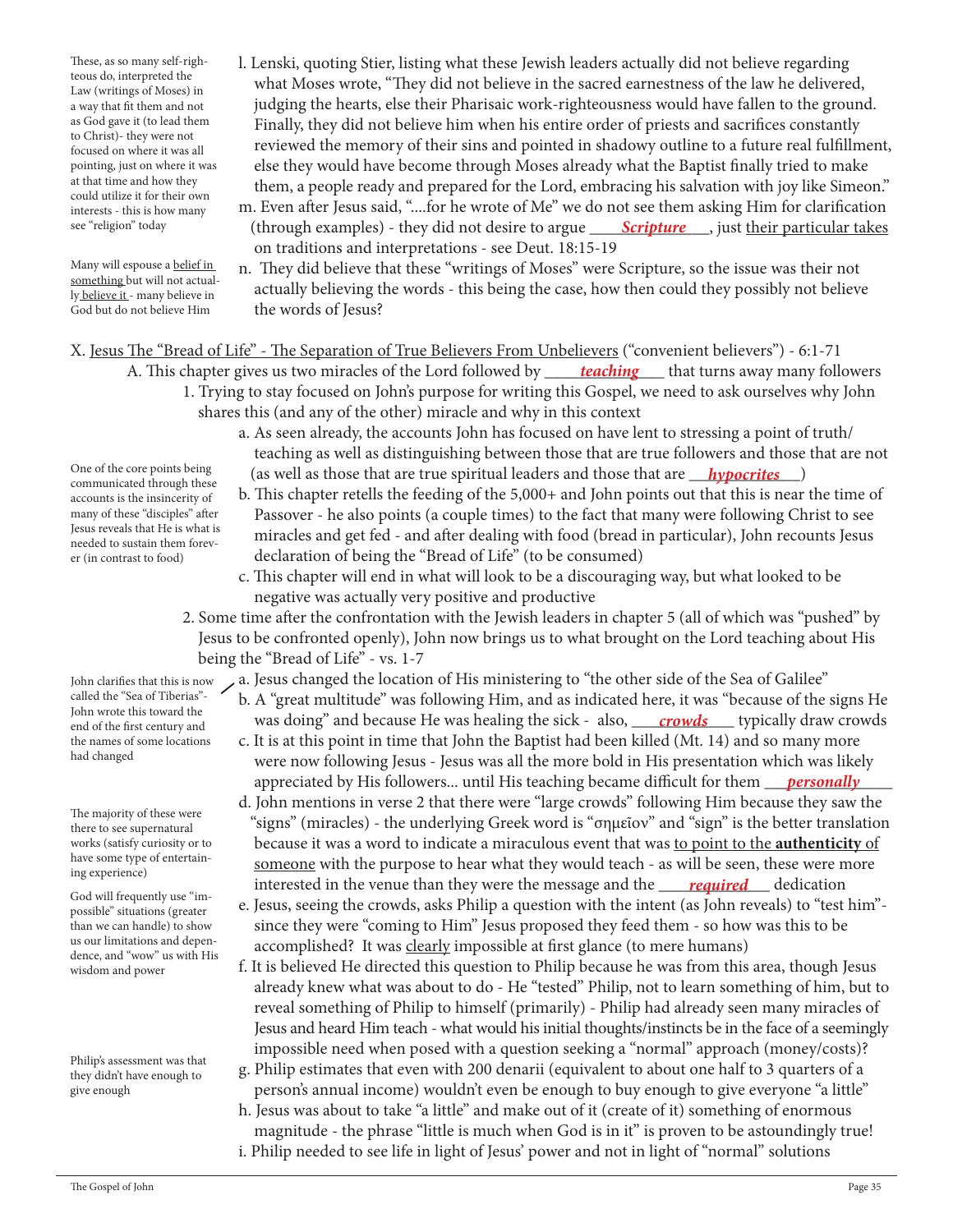These, as so many self-righteous do, interpreted the Law (writings of Moses) in a way that fit them and not as God gave it (to lead them to Christ)- they were not focused on where it was all pointing, just on where it was at that time and how they could utilize it for their own interests - this is how many see "religion" today

Many will espouse a belief in something but will not actually believe it - many believe in

- l. Lenski, quoting Stier, listing what these Jewish leaders actually did not believe regarding what Moses wrote, "They did not believe in the sacred earnestness of the law he delivered, judging the hearts, else their Pharisaic work-righteousness would have fallen to the ground. Finally, they did not believe him when his entire order of priests and sacrifices constantly reviewed the memory of their sins and pointed in shadowy outline to a future real fulfillment, else they would have become through Moses already what the Baptist finally tried to make them, a people ready and prepared for the Lord, embracing his salvation with joy like Simeon."
- m. Even after Jesus said, "....for he wrote of Me" we do not see them asking Him for clarification see "religion" today (through examples) - they did not desire to argue <u> **Scripture** ,</u> just <u>their particular takes</u> on traditions and interpretations - see Deut. 18:15-19
- n. They did believe that these "writings of Moses" were Scripture, so the issue was their not actually believing the words - this being the case, how then could they possibly not believe the words of Jesus? God but do not believe Him

X. Jesus The "Bread of Life" - The Separation of True Believers From Unbelievers ("convenient believers") - 6:1-71

- A. This chapter gives us two miracles of the Lord followed by \_\_\_\_\_*teaching\_\_\_\_\_ that turns away many followers*  1. Trying to stay focused on John's purpose for writing this Gospel, we need to ask ourselves why John shares this (and any of the other) miracle and why in this context
- a. As seen already, the accounts John has focused on have lent to stressing a point of truth/ teaching as well as distinguishing between those that are true followers and those that are not One of the core points being (as well as those that are true spiritual leaders and those that are *\_\_\_\_\_\_\_\_\_\_\_\_\_\_\_*)
	- b. This chapter retells the feeding of the 5,000+ and John points out that this is near the time of Passover - he also points (a couple times) to the fact that many were following Christ to see miracles and get fed - and after dealing with food (bread in particular), John recounts Jesus declaration of being the "Bread of Life" (to be consumed)
	- c. This chapter will end in what will look to be a discouraging way, but what looked to be negative was actually very positive and productive
	- 2. Some time after the confrontation with the Jewish leaders in chapter 5 (all of which was "pushed" by Jesus to be confronted openly), John now brings us to what brought on the Lord teaching about His being the "Bread of Life" - vs. 1-7
- a. Jesus changed the location of His ministering to "the other side of the Sea of Galilee" John clarifies that this is now
- b. A "great multitude" was following Him, and as indicated here, it was "because of the signs He <sub>end of the first century and **was doing**" and because He was healing the sick - also, <u>crowds</u> typically draw crowds</sub> c. It is at this point in time that John the Baptist had been killed (Mt. 14) and so many more
- were now following Jesus Jesus was all the more bold in His presentation which was likely appreciated by His followers... until His teaching became difficult for them \_\_\_*\_\_\_<u>personally</u>\_\_\_\_\_\_*
- d. John mentions in verse 2 that there were "large crowds" following Him because they saw the "signs" (miracles) - the underlying Greek word is "σημεῖον" and "sign" is the better translation because it was a word to indicate a miraculous event that was to point to the **authenticity** of someone with the purpose to hear what they would teach - as will be seen, these were more *required* dedication interested in the venue than they were the message and the *required* dedication
	- e. Jesus, seeing the crowds, asks Philip a question with the intent (as John reveals) to "test him" since they were "coming to Him" Jesus proposed they feed them - so how was this to be accomplished? It was clearly impossible at first glance (to mere humans)
	- f. It is believed He directed this question to Philip because he was from this area, though Jesus already knew what was about to do - He "tested" Philip, not to learn something of him, but to reveal something of Philip to himself (primarily) - Philip had already seen many miracles of Jesus and heard Him teach - what would his initial thoughts/instincts be in the face of a seemingly impossible need when posed with a question seeking a "normal" approach (money/costs)?
	- g. Philip estimates that even with 200 denarii (equivalent to about one half to 3 quarters of a person's annual income) wouldn't even be enough to buy enough to give everyone "a little"
	- h. Jesus was about to take "a little" and make out of it (create of it) something of enormous magnitude - the phrase "little is much when God is in it" is proven to be astoundingly true! i. Philip needed to see life in light of Jesus' power and not in light of "normal" solutions

One of the core points being communicated through these accounts is the insincerity of many of these "disciples" after Jesus reveals that He is what is needed to sustain them forever (in contrast to food)

called the "Sea of Tiberias"- John wrote this toward the end of the first century and the names of some locations had changed

The majority of these were there to see supernatural works (satisfy curiosity or to have some type of entertaining experience)

God will frequently use "impossible" situations (greater than we can handle) to show us our limitations and dependence, and "wow" us with His wisdom and power

Philip's assessment was that they didn't have enough to give enough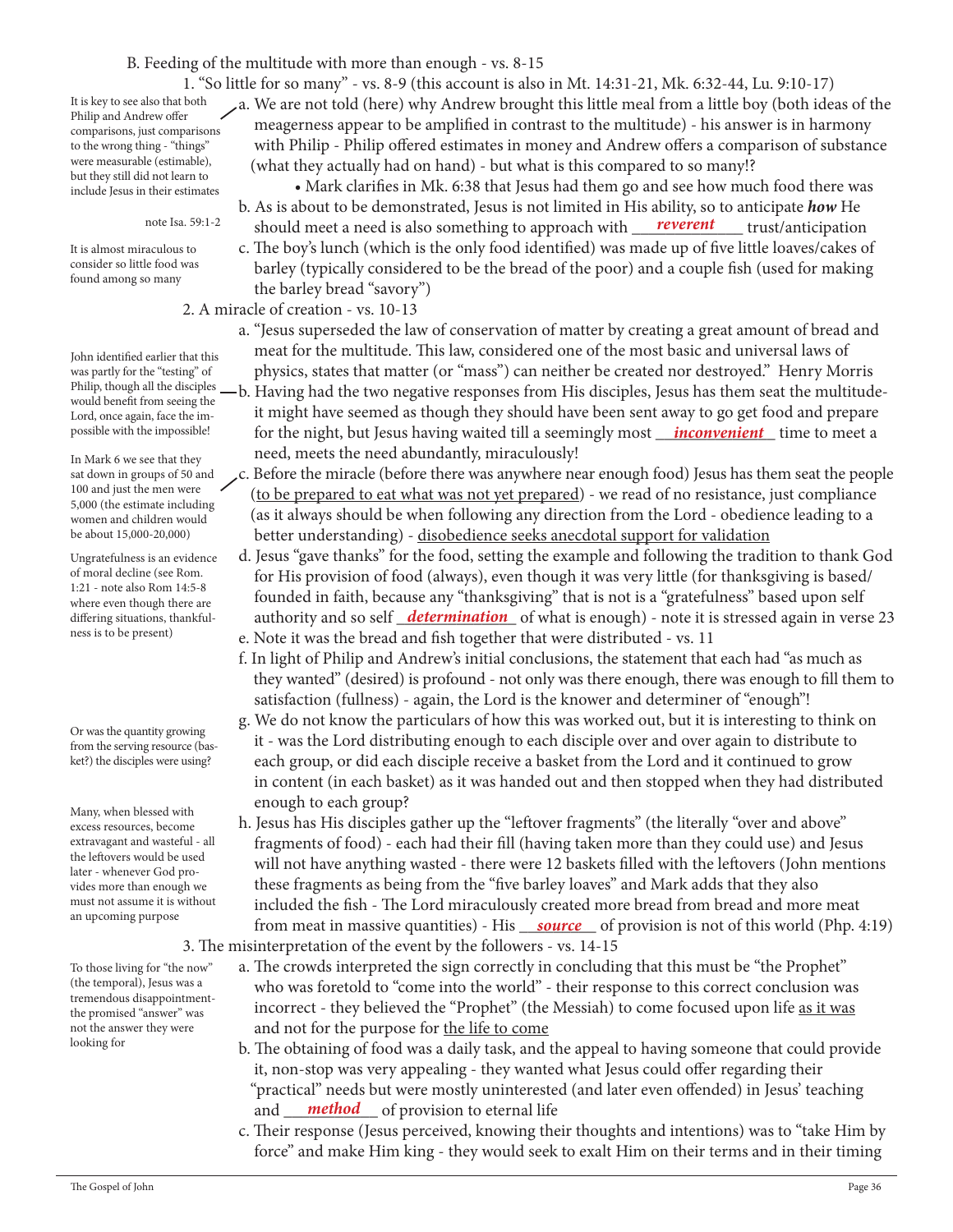#### B. Feeding of the multitude with more than enough - vs. 8-15

It is key to see also that both Philip and Andrew offer comparisons, just comparisons to the wrong thing - "things" were measurable (estimable), but they still did not learn to include Jesus in their estimates

note Isa. 59:1-2

It is almost miraculous to consider so little food was found among so many

John identified earlier that this was partly for the "testing" of Philip, though all the disciples would benefit from seeing the Lord, once again, face the impossible with the impossible!

In Mark 6 we see that they sat down in groups of 50 and 100 and just the men were 5,000 (the estimate including women and children would be about 15,000-20,000)

Ungratefulness is an evidence of moral decline (see Rom. 1:21 - note also Rom 14:5-8 where even though there are differing situations, thankfulness is to be present)

Or was the quantity growing from the serving resource (basket?) the disciples were using?

Many, when blessed with excess resources, become extravagant and wasteful - all the leftovers would be used later - whenever God provides more than enough we must not assume it is without an upcoming purpose

To those living for "the now" (the temporal), Jesus was a tremendous disappointmentthe promised "answer" was not the answer they were looking for

 1. "So little for so many" - vs. 8-9 (this account is also in Mt. 14:31-21, Mk. 6:32-44, Lu. 9:10-17) a. We are not told (here) why Andrew brought this little meal from a little boy (both ideas of the meagerness appear to be amplified in contrast to the multitude) - his answer is in harmony with Philip - Philip offered estimates in money and Andrew offers a comparison of substance (what they actually had on hand) - but what is this compared to so many!?

 • Mark clarifies in Mk. 6:38 that Jesus had them go and see how much food there was b. As is about to be demonstrated, Jesus is not limited in His ability, so to anticipate *how* He <sup>note Isa. 59:1-2 should meet a need is also something to approach with <u>reverent trust</u>/anticipation</sup>

 c. The boy's lunch (which is the only food identified) was made up of five little loaves/cakes of barley (typically considered to be the bread of the poor) and a couple fish (used for making the barley bread "savory")

2. A miracle of creation - vs. 10-13

- a. "Jesus superseded the law of conservation of matter by creating a great amount of bread and meat for the multitude. This law, considered one of the most basic and universal laws of physics, states that matter (or "mass") can neither be created nor destroyed." Henry Morris b. Having had the two negative responses from His disciples, Jesus has them seat the multitude it might have seemed as though they should have been sent away to go get food and prepare possible with the impossible! **For the night, but Jesus having waited till a seemingly most <u>Finconvenient</u> time to meet a** 
	- need, meets the need abundantly, miraculously!
	- c. Before the miracle (before there was anywhere near enough food) Jesus has them seat the people (to be prepared to eat what was not yet prepared) - we read of no resistance, just compliance (as it always should be when following any direction from the Lord - obedience leading to a better understanding) - disobedience seeks anecdotal support for validation
- d. Jesus "gave thanks" for the food, setting the example and following the tradition to thank God for His provision of food (always), even though it was very little (for thanksgiving is based/ founded in faith, because any "thanksgiving" that is not is a "gratefulness" based upon self differing situations, thankful-**computation** and so self **determination** of what is enough) - note it is stressed again in verse 23 e. Note it was the bread and fish together that were distributed - vs. 11
	- f. In light of Philip and Andrew's initial conclusions, the statement that each had "as much as they wanted" (desired) is profound - not only was there enough, there was enough to fill them to satisfaction (fullness) - again, the Lord is the knower and determiner of "enough"!
	- g. We do not know the particulars of how this was worked out, but it is interesting to think on it - was the Lord distributing enough to each disciple over and over again to distribute to each group, or did each disciple receive a basket from the Lord and it continued to grow in content (in each basket) as it was handed out and then stopped when they had distributed enough to each group?
- h. Jesus has His disciples gather up the "leftover fragments" (the literally "over and above" fragments of food) - each had their fill (having taken more than they could use) and Jesus will not have anything wasted - there were 12 baskets filled with the leftovers (John mentions these fragments as being from the "five barley loaves" and Mark adds that they also included the fish - The Lord miraculously created more bread from bread and more meat from meat in massive quantities) - His *source* of provision is not of this world (Php. 4:19) 3. The misinterpretation of the event by the followers - vs. 14-15
	- a. The crowds interpreted the sign correctly in concluding that this must be "the Prophet" who was foretold to "come into the world" - their response to this correct conclusion was incorrect - they believed the "Prophet" (the Messiah) to come focused upon life as it was and not for the purpose for the life to come
- b. The obtaining of food was a daily task, and the appeal to having someone that could provide it, non-stop was very appealing - they wanted what Jesus could offer regarding their "practical" needs but were mostly uninterested (and later even offended) in Jesus' teaching and <u>method</u> of provision to eternal life
	- c. Their response (Jesus perceived, knowing their thoughts and intentions) was to "take Him by force" and make Him king - they would seek to exalt Him on their terms and in their timing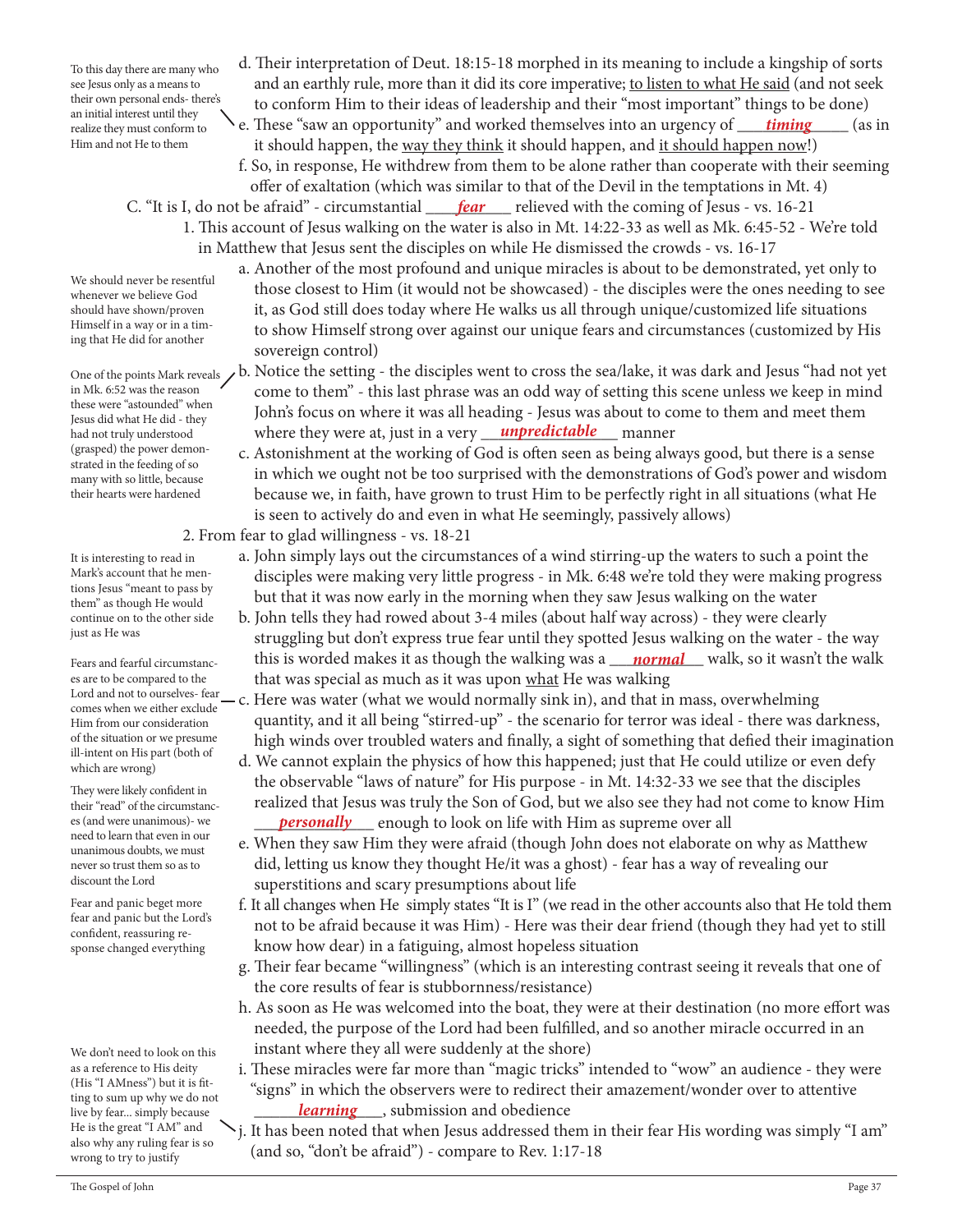To this day there are many who see Jesus only as a means to their own personal ends- there's an initial interest until they realize they must conform to Him and not He to them

- d. Their interpretation of Deut. 18:15-18 morphed in its meaning to include a kingship of sorts and an earthly rule, more than it did its core imperative; to listen to what He said (and not seek to conform Him to their ideas of leadership and their "most important" things to be done)
- realize they must conform to contain the section of these "saw an opportunity" and worked themselves into an urgency of <u>timing</u> (as in it should happen, the way they think it should happen, and it should happen now!)

 f. So, in response, He withdrew from them to be alone rather than cooperate with their seeming offer of exaltation (which was similar to that of the Devil in the temptations in Mt. 4)

- C. "It is I, do not be afraid" circumstantial <u>fear</u> relieved with the coming of Jesus vs. 16-21 1. This account of Jesus walking on the water is also in Mt. 14:22-33 as well as Mk. 6:45-52 - We're told in Matthew that Jesus sent the disciples on while He dismissed the crowds - vs. 16-17
	- a. Another of the most profound and unique miracles is about to be demonstrated, yet only to those closest to Him (it would not be showcased) - the disciples were the ones needing to see it, as God still does today where He walks us all through unique/customized life situations to show Himself strong over against our unique fears and circumstances (customized by His sovereign control)
- One of the points Mark reveals  $\lambda$ b. Notice the setting the disciples went to cross the sea/lake, it was dark and Jesus "had not yet come to them" - this last phrase was an odd way of setting this scene unless we keep in mind John's focus on where it was all heading - Jesus was about to come to them and meet them had not truly understood <sup>f</sup> where they were at, just in a very <u>unpredictable m</u>anner
	- c. Astonishment at the working of God is often seen as being always good, but there is a sense in which we ought not be too surprised with the demonstrations of God's power and wisdom because we, in faith, have grown to trust Him to be perfectly right in all situations (what He is seen to actively do and even in what He seemingly, passively allows)
	- 2. From fear to glad willingness vs. 18-21
		- a. John simply lays out the circumstances of a wind stirring-up the waters to such a point the disciples were making very little progress - in Mk. 6:48 we're told they were making progress but that it was now early in the morning when they saw Jesus walking on the water
- b. John tells they had rowed about 3-4 miles (about half way across) they were clearly struggling but don't express true fear until they spotted Jesus walking on the water - the way Fears and fearful circumstanc-**homoglet in this is worded makes it as though the walking was a <u>hormal</u> walk, so it wasn't the walk the walk so it wasn't the walk of the walk of the walk of the walk of the walk of the walk** that was special as much as it was upon what He was walking
- Lord and not to ourselves-fear c. Here was water (what we would normally sink in), and that in mass, overwhelming quantity, and it all being "stirred-up" - the scenario for terror was ideal - there was darkness, high winds over troubled waters and finally, a sight of something that defied their imagination
- d. We cannot explain the physics of how this happened; just that He could utilize or even defy the observable "laws of nature" for His purpose - in Mt. 14:32-33 we see that the disciples realized that Jesus was truly the Son of God, but we also see they had not come to know Him es (and were unanimous)- we **personally** enough to look on life with Him as supreme over all
	- e. When they saw Him they were afraid (though John does not elaborate on why as Matthew did, letting us know they thought He/it was a ghost) - fear has a way of revealing our superstitions and scary presumptions about life
	- f. It all changes when He simply states "It is I" (we read in the other accounts also that He told them not to be afraid because it was Him) - Here was their dear friend (though they had yet to still know how dear) in a fatiguing, almost hopeless situation
	- g. Their fear became "willingness" (which is an interesting contrast seeing it reveals that one of the core results of fear is stubbornness/resistance)
	- h. As soon as He was welcomed into the boat, they were at their destination (no more effort was needed, the purpose of the Lord had been fulfilled, and so another miracle occurred in an instant where they all were suddenly at the shore)
- i. These miracles were far more than "magic tricks" intended to "wow" an audience they were "signs" in which the observers were to redirect their amazement/wonder over to attentive live by fear... simply because *learning* submission and obedience
	- j. It has been noted that when Jesus addressed them in their fear His wording was simply "I am" (and so, "don't be afraid") - compare to Rev. 1:17-18

We should never be resentful whenever we believe God should have shown/proven Himself in a way or in a timing that He did for another

in Mk. 6:52 was the reason these were "astounded" when Jesus did what He did - they had not truly understood (grasped) the power demonstrated in the feeding of so many with so little, because their hearts were hardened

It is interesting to read in Mark's account that he mentions Jesus "meant to pass by them" as though He would continue on to the other side just as He was

Fears and fearful circumstances are to be compared to the comes when we either exclude Him from our consideration of the situation or we presume ill-intent on His part (both of which are wrong)

They were likely confident in their "read" of the circumstances (and were unanimous)- we need to learn that even in our unanimous doubts, we must never so trust them so as to discount the Lord

Fear and panic beget more fear and panic but the Lord's confident, reassuring response changed everything

We don't need to look on this as a reference to His deity (His "I AMness") but it is fitting to sum up why we do not live by fear... simply because He is the great "I AM" and also why any ruling fear is so wrong to try to justify